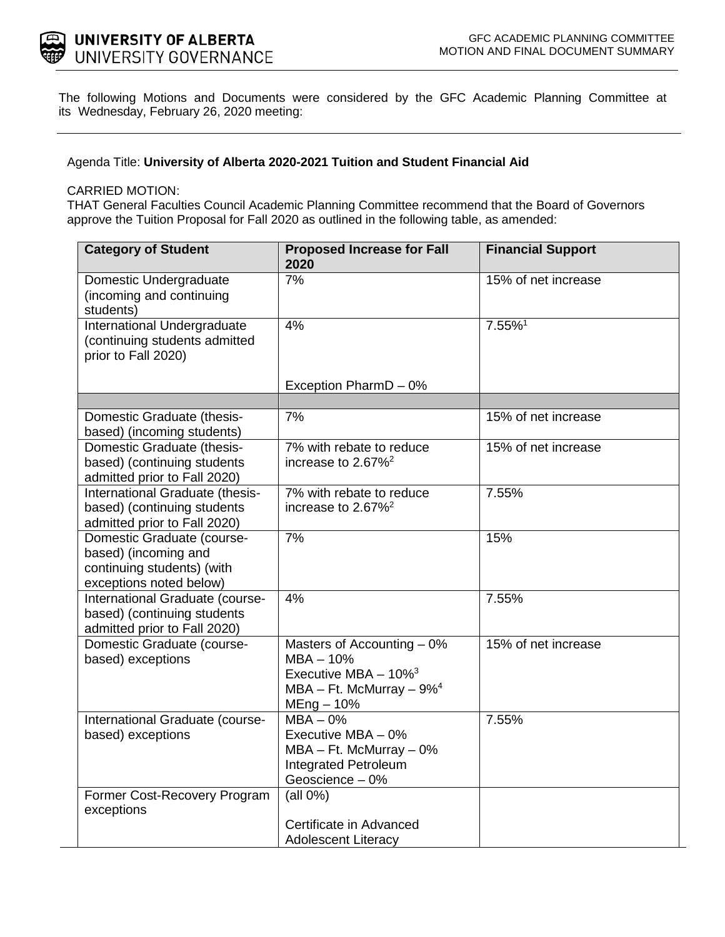

The following Motions and Documents were considered by the GFC Academic Planning Committee at its Wednesday, February 26, 2020 meeting:

Agenda Title: **University of Alberta 2020-2021 Tuition and Student Financial Aid**

## CARRIED MOTION:

THAT General Faculties Council Academic Planning Committee recommend that the Board of Governors approve the Tuition Proposal for Fall 2020 as outlined in the following table, as amended:

| <b>Category of Student</b>                                                                                  | <b>Proposed Increase for Fall</b><br>2020                                                                                         | <b>Financial Support</b> |
|-------------------------------------------------------------------------------------------------------------|-----------------------------------------------------------------------------------------------------------------------------------|--------------------------|
| Domestic Undergraduate<br>(incoming and continuing<br>students)                                             | 7%                                                                                                                                | 15% of net increase      |
| International Undergraduate<br>(continuing students admitted<br>prior to Fall 2020)                         | 4%                                                                                                                                | 7.55%1                   |
|                                                                                                             | Exception PharmD - 0%                                                                                                             |                          |
|                                                                                                             |                                                                                                                                   |                          |
| Domestic Graduate (thesis-<br>based) (incoming students)                                                    | 7%                                                                                                                                | 15% of net increase      |
| Domestic Graduate (thesis-<br>based) (continuing students<br>admitted prior to Fall 2020)                   | 7% with rebate to reduce<br>increase to 2.67% <sup>2</sup>                                                                        | 15% of net increase      |
| International Graduate (thesis-<br>based) (continuing students<br>admitted prior to Fall 2020)              | $\overline{7\%}$ with rebate to reduce<br>increase to $2.67\%^2$                                                                  | 7.55%                    |
| Domestic Graduate (course-<br>based) (incoming and<br>continuing students) (with<br>exceptions noted below) | 7%                                                                                                                                | 15%                      |
| International Graduate (course-<br>based) (continuing students<br>admitted prior to Fall 2020)              | 4%                                                                                                                                | 7.55%                    |
| Domestic Graduate (course-<br>based) exceptions                                                             | Masters of Accounting $-0\%$<br>$MBA - 10%$<br>Executive MBA $-10\%$ <sup>3</sup><br>MBA - Ft. McMurray - $9\%^4$<br>$MEng - 10%$ | 15% of net increase      |
| International Graduate (course-<br>based) exceptions                                                        | $MBA - 0%$<br>Executive MBA - 0%<br>$MBA - Ft$ . McMurray $-0\%$<br><b>Integrated Petroleum</b><br>Geoscience - 0%                | 7.55%                    |
| Former Cost-Recovery Program<br>exceptions                                                                  | $(all 0\%)$<br>Certificate in Advanced<br><b>Adolescent Literacy</b>                                                              |                          |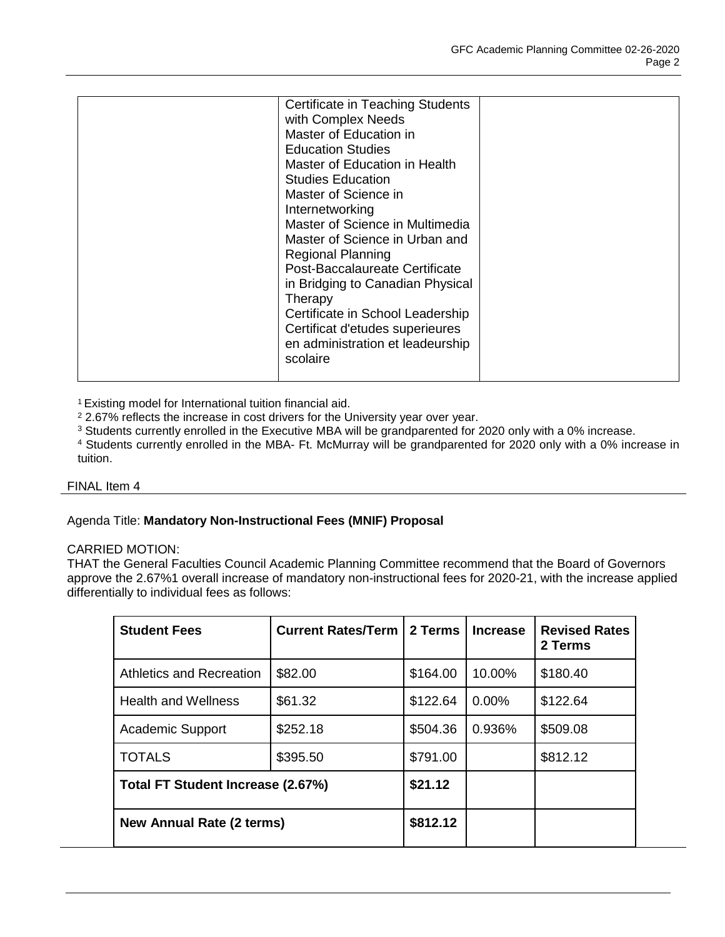| <b>Certificate in Teaching Students</b> |  |
|-----------------------------------------|--|
| with Complex Needs                      |  |
| Master of Education in                  |  |
| <b>Education Studies</b>                |  |
| Master of Education in Health           |  |
| <b>Studies Education</b>                |  |
| Master of Science in                    |  |
| Internetworking                         |  |
| Master of Science in Multimedia         |  |
| Master of Science in Urban and          |  |
| <b>Regional Planning</b>                |  |
| Post-Baccalaureate Certificate          |  |
| in Bridging to Canadian Physical        |  |
| Therapy                                 |  |
| Certificate in School Leadership        |  |
| Certificat d'etudes superieures         |  |
| en administration et leadeurship        |  |
| scolaire                                |  |
|                                         |  |

1 Existing model for International tuition financial aid.

<sup>2</sup> 2.67% reflects the increase in cost drivers for the University year over year.

<sup>3</sup> Students currently enrolled in the Executive MBA will be grandparented for 2020 only with a 0% increase.

<sup>4</sup> Students currently enrolled in the MBA- Ft. McMurray will be grandparented for 2020 only with a 0% increase in tuition.

#### FINAL Item 4

## Agenda Title: **Mandatory Non-Instructional Fees (MNIF) Proposal**

## CARRIED MOTION:

THAT the General Faculties Council Academic Planning Committee recommend that the Board of Governors approve the 2.67%1 overall increase of mandatory non-instructional fees for 2020-21, with the increase applied differentially to individual fees as follows:

| <b>Student Fees</b>               | <b>Current Rates/Term</b> | 2 Terms  | <b>Increase</b> | <b>Revised Rates</b><br>2 Terms |
|-----------------------------------|---------------------------|----------|-----------------|---------------------------------|
| <b>Athletics and Recreation</b>   | \$82.00                   | \$164.00 | 10.00%          | \$180.40                        |
| <b>Health and Wellness</b>        | \$61.32                   | \$122.64 | $0.00\%$        | \$122.64                        |
| Academic Support                  | \$252.18                  | \$504.36 | 0.936%          | \$509.08                        |
| <b>TOTALS</b>                     | \$395.50                  | \$791.00 |                 | \$812.12                        |
| Total FT Student Increase (2.67%) |                           | \$21.12  |                 |                                 |
| <b>New Annual Rate (2 terms)</b>  |                           | \$812.12 |                 |                                 |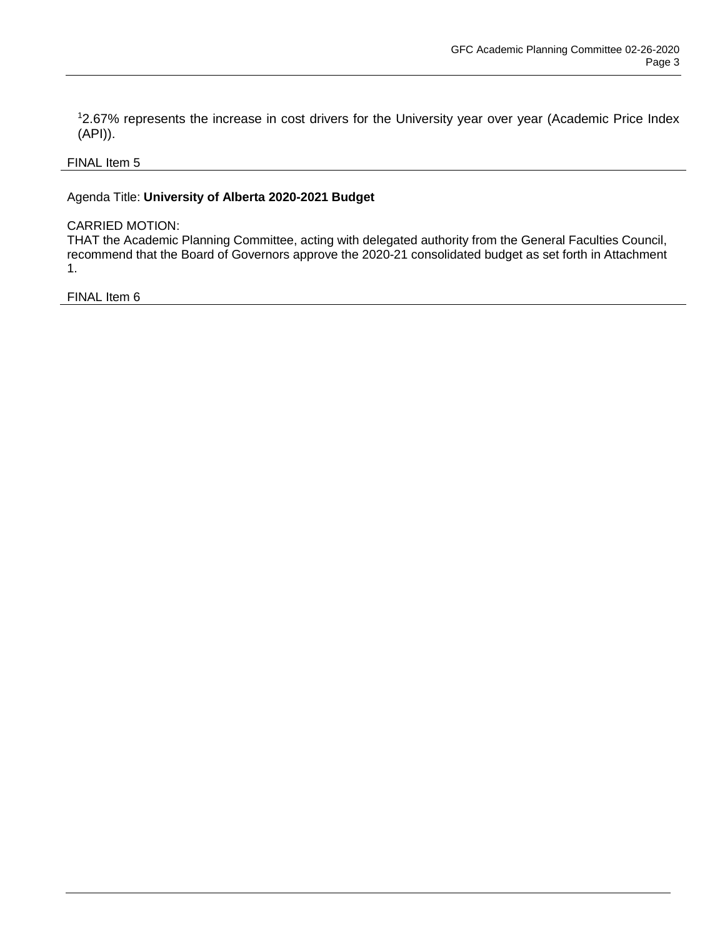1 2.67% represents the increase in cost drivers for the University year over year (Academic Price Index (API)).

## FINAL Item 5

## Agenda Title: **University of Alberta 2020-2021 Budget**

## CARRIED MOTION:

THAT the Academic Planning Committee, acting with delegated authority from the General Faculties Council, recommend that the Board of Governors approve the 2020-21 consolidated budget as set forth in Attachment 1.

FINAL Item 6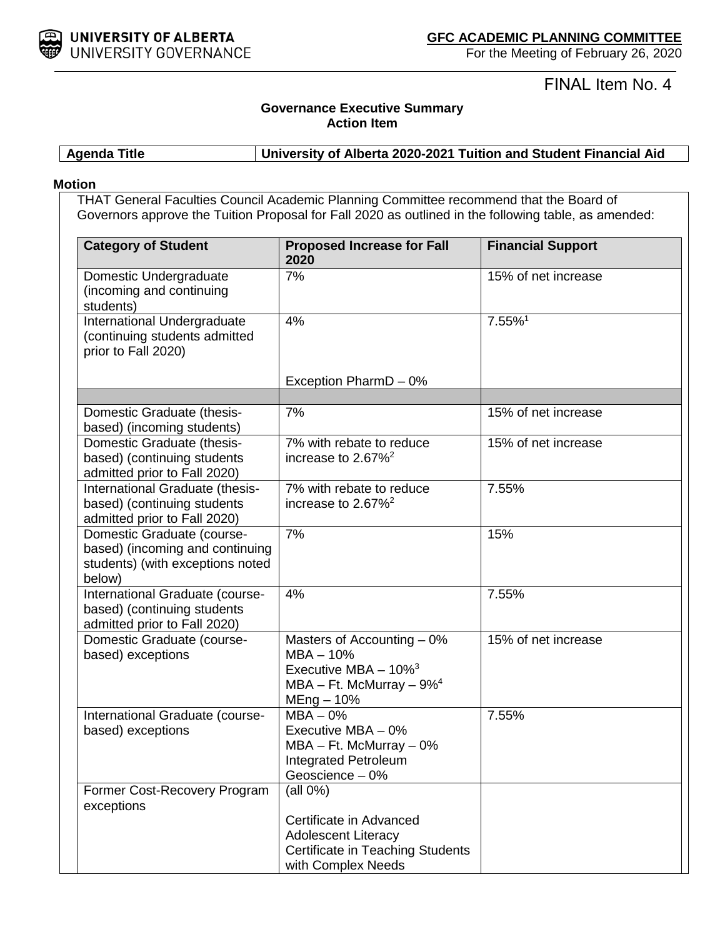

FINAL Item No. 4

# **Governance Executive Summary Action Item**

**Agenda Title University of Alberta 2020-2021 Tuition and Student Financial Aid**

## **Motion**

THAT General Faculties Council Academic Planning Committee recommend that the Board of Governors approve the Tuition Proposal for Fall 2020 as outlined in the following table, as amended:

| <b>Category of Student</b>                                                                                  | <b>Proposed Increase for Fall</b><br>2020                                                                                          | <b>Financial Support</b> |
|-------------------------------------------------------------------------------------------------------------|------------------------------------------------------------------------------------------------------------------------------------|--------------------------|
| Domestic Undergraduate<br>(incoming and continuing<br>students)                                             | 7%                                                                                                                                 | 15% of net increase      |
| International Undergraduate<br>(continuing students admitted<br>prior to Fall 2020)                         | 4%                                                                                                                                 | 7.55%1                   |
|                                                                                                             | Exception PharmD - 0%                                                                                                              |                          |
| Domestic Graduate (thesis-<br>based) (incoming students)                                                    | 7%                                                                                                                                 | 15% of net increase      |
| Domestic Graduate (thesis-<br>based) (continuing students<br>admitted prior to Fall 2020)                   | 7% with rebate to reduce<br>increase to $2.67\%^2$                                                                                 | 15% of net increase      |
| International Graduate (thesis-<br>based) (continuing students<br>admitted prior to Fall 2020)              | 7% with rebate to reduce<br>increase to $2.67\%^2$                                                                                 | 7.55%                    |
| Domestic Graduate (course-<br>based) (incoming and continuing<br>students) (with exceptions noted<br>below) | 7%                                                                                                                                 | 15%                      |
| International Graduate (course-<br>based) (continuing students<br>admitted prior to Fall 2020)              | 4%                                                                                                                                 | 7.55%                    |
| Domestic Graduate (course-<br>based) exceptions                                                             | Masters of Accounting $-0\%$<br>$MBA - 10%$<br>Executive MBA $-10\%$ <sup>3</sup><br>MBA - Ft. McMurray $-9\%^4$<br>$MEng - 10%$   | 15% of net increase      |
| International Graduate (course-<br>based) exceptions                                                        | $MBA - 0%$<br>Executive MBA - 0%<br>$MBA - Ft$ . McMurray $-0\%$<br><b>Integrated Petroleum</b><br>Geoscience - 0%                 | 7.55%                    |
| Former Cost-Recovery Program<br>exceptions                                                                  | (all 0%)<br>Certificate in Advanced<br><b>Adolescent Literacy</b><br><b>Certificate in Teaching Students</b><br>with Complex Needs |                          |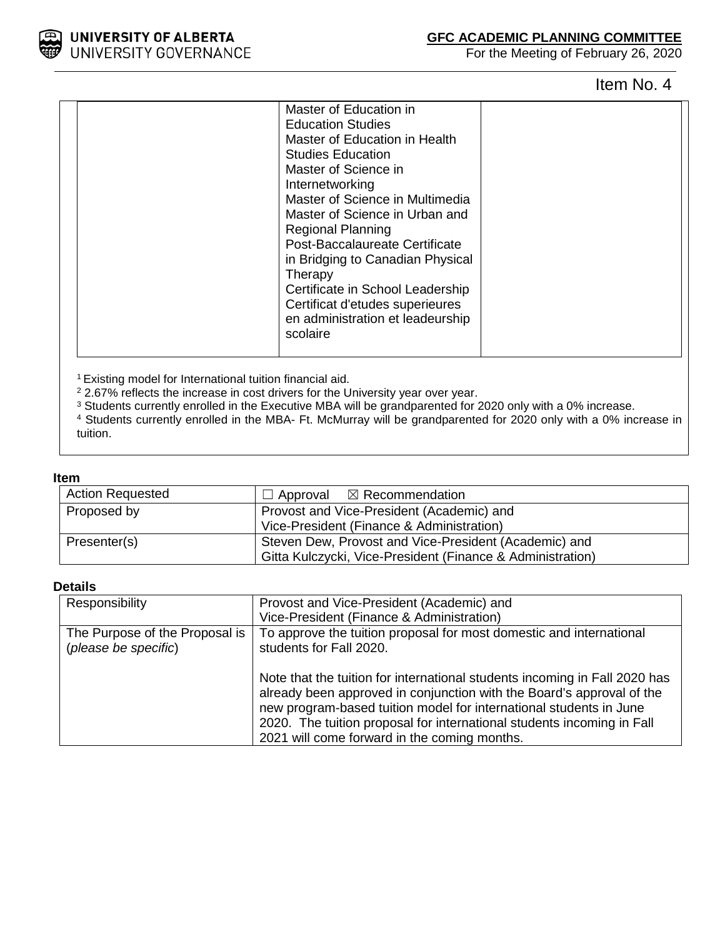UNIVERSITY OF ALBERTA<br>UNIVERSITY GOVERNANCE

## **GFC ACADEMIC PLANNING COMMITTEE**

For the Meeting of February 26, 2020

Item No. 4

| Master of Education in<br><b>Education Studies</b><br>Master of Education in Health<br><b>Studies Education</b><br>Master of Science in<br>Internetworking<br>Master of Science in Multimedia<br>Master of Science in Urban and<br><b>Regional Planning</b><br>Post-Baccalaureate Certificate<br>in Bridging to Canadian Physical<br>Therapy<br>Certificate in School Leadership<br>Certificat d'etudes superieures<br>en administration et leadeurship<br>scolaire |  |
|---------------------------------------------------------------------------------------------------------------------------------------------------------------------------------------------------------------------------------------------------------------------------------------------------------------------------------------------------------------------------------------------------------------------------------------------------------------------|--|
|                                                                                                                                                                                                                                                                                                                                                                                                                                                                     |  |

1 Existing model for International tuition financial aid.

<sup>2</sup> 2.67% reflects the increase in cost drivers for the University year over year.

<sup>3</sup> Students currently enrolled in the Executive MBA will be grandparented for 2020 only with a 0% increase.

<sup>4</sup> Students currently enrolled in the MBA- Ft. McMurray will be grandparented for 2020 only with a 0% increase in tuition.

#### **Item**

| <b>Action Requested</b> | $\Box$ Approval $\boxtimes$ Recommendation                                                                          |
|-------------------------|---------------------------------------------------------------------------------------------------------------------|
| Proposed by             | Provost and Vice-President (Academic) and<br>Vice-President (Finance & Administration)                              |
| Presenter(s)            | Steven Dew, Provost and Vice-President (Academic) and<br>Gitta Kulczycki, Vice-President (Finance & Administration) |

## **Details**

| Responsibility                 | Provost and Vice-President (Academic) and                                                                                                                                                                                 |
|--------------------------------|---------------------------------------------------------------------------------------------------------------------------------------------------------------------------------------------------------------------------|
|                                | Vice-President (Finance & Administration)                                                                                                                                                                                 |
| The Purpose of the Proposal is | To approve the tuition proposal for most domestic and international                                                                                                                                                       |
| (please be specific)           | students for Fall 2020.                                                                                                                                                                                                   |
|                                |                                                                                                                                                                                                                           |
|                                | Note that the tuition for international students incoming in Fall 2020 has<br>already been approved in conjunction with the Board's approval of the<br>new program-based tuition model for international students in June |
|                                | 2020. The tuition proposal for international students incoming in Fall                                                                                                                                                    |
|                                | 2021 will come forward in the coming months.                                                                                                                                                                              |
|                                |                                                                                                                                                                                                                           |

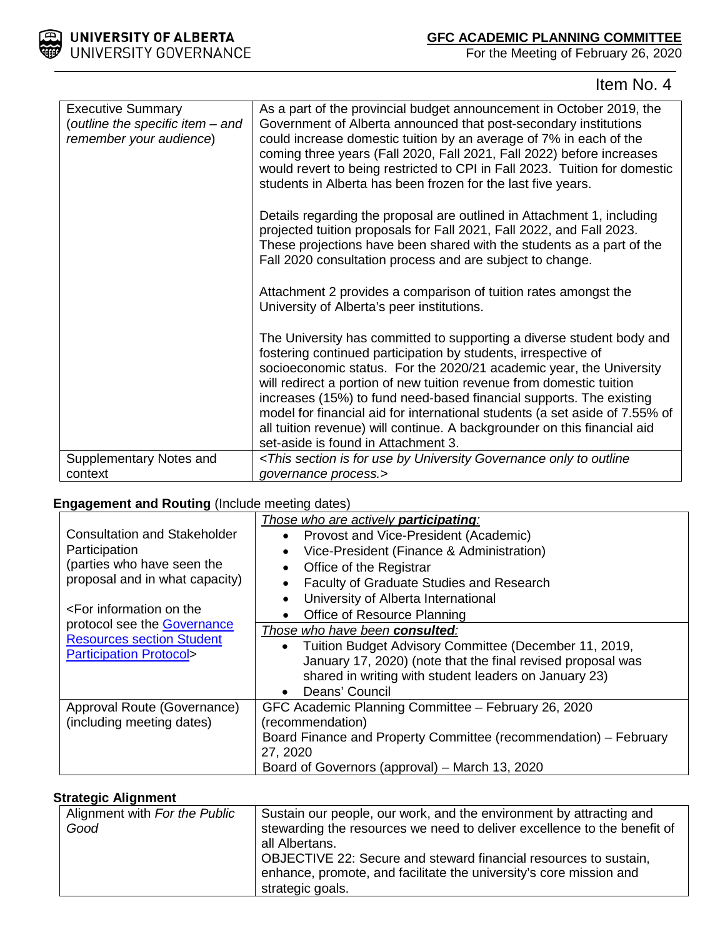



Item No. 4

| <b>Executive Summary</b><br>(outline the specific item - and<br>remember your audience) | As a part of the provincial budget announcement in October 2019, the<br>Government of Alberta announced that post-secondary institutions<br>could increase domestic tuition by an average of 7% in each of the<br>coming three years (Fall 2020, Fall 2021, Fall 2022) before increases<br>would revert to being restricted to CPI in Fall 2023. Tuition for domestic<br>students in Alberta has been frozen for the last five years.                                                                                                                           |
|-----------------------------------------------------------------------------------------|-----------------------------------------------------------------------------------------------------------------------------------------------------------------------------------------------------------------------------------------------------------------------------------------------------------------------------------------------------------------------------------------------------------------------------------------------------------------------------------------------------------------------------------------------------------------|
|                                                                                         | Details regarding the proposal are outlined in Attachment 1, including<br>projected tuition proposals for Fall 2021, Fall 2022, and Fall 2023.<br>These projections have been shared with the students as a part of the<br>Fall 2020 consultation process and are subject to change.                                                                                                                                                                                                                                                                            |
|                                                                                         | Attachment 2 provides a comparison of tuition rates amongst the<br>University of Alberta's peer institutions.                                                                                                                                                                                                                                                                                                                                                                                                                                                   |
|                                                                                         | The University has committed to supporting a diverse student body and<br>fostering continued participation by students, irrespective of<br>socioeconomic status. For the 2020/21 academic year, the University<br>will redirect a portion of new tuition revenue from domestic tuition<br>increases (15%) to fund need-based financial supports. The existing<br>model for financial aid for international students (a set aside of 7.55% of<br>all tuition revenue) will continue. A backgrounder on this financial aid<br>set-aside is found in Attachment 3. |
| Supplementary Notes and                                                                 | <this by="" for="" governance="" is="" only="" outline<="" section="" td="" to="" university="" use=""></this>                                                                                                                                                                                                                                                                                                                                                                                                                                                  |
| context                                                                                 | governance process.>                                                                                                                                                                                                                                                                                                                                                                                                                                                                                                                                            |

## **Engagement and Routing** (Include meeting dates)

| <b>Consultation and Stakeholder</b>                                                                                                                                     | Those who are actively <b>participating</b> :<br>Provost and Vice-President (Academic)                                                                                                                                            |
|-------------------------------------------------------------------------------------------------------------------------------------------------------------------------|-----------------------------------------------------------------------------------------------------------------------------------------------------------------------------------------------------------------------------------|
| Participation<br>(parties who have seen the<br>proposal and in what capacity)                                                                                           | Vice-President (Finance & Administration)<br>Office of the Registrar                                                                                                                                                              |
| <for information="" on="" td="" the<=""><td>Faculty of Graduate Studies and Research<br/>University of Alberta International<br/>Office of Resource Planning</td></for> | Faculty of Graduate Studies and Research<br>University of Alberta International<br>Office of Resource Planning                                                                                                                    |
| protocol see the <b>Governance</b><br><b>Resources section Student</b><br><b>Participation Protocol&gt;</b>                                                             | Those who have been consulted:<br>Tuition Budget Advisory Committee (December 11, 2019,<br>January 17, 2020) (note that the final revised proposal was<br>shared in writing with student leaders on January 23)<br>Deans' Council |
| Approval Route (Governance)<br>(including meeting dates)                                                                                                                | GFC Academic Planning Committee - February 26, 2020<br>(recommendation)<br>Board Finance and Property Committee (recommendation) – February<br>27, 2020                                                                           |
|                                                                                                                                                                         | Board of Governors (approval) – March 13, 2020                                                                                                                                                                                    |

## **Strategic Alignment**

| Alignment with For the Public<br>Good | Sustain our people, our work, and the environment by attracting and<br>stewarding the resources we need to deliver excellence to the benefit of<br>all Albertans.<br>OBJECTIVE 22: Secure and steward financial resources to sustain,<br>enhance, promote, and facilitate the university's core mission and<br>strategic goals. |
|---------------------------------------|---------------------------------------------------------------------------------------------------------------------------------------------------------------------------------------------------------------------------------------------------------------------------------------------------------------------------------|
|---------------------------------------|---------------------------------------------------------------------------------------------------------------------------------------------------------------------------------------------------------------------------------------------------------------------------------------------------------------------------------|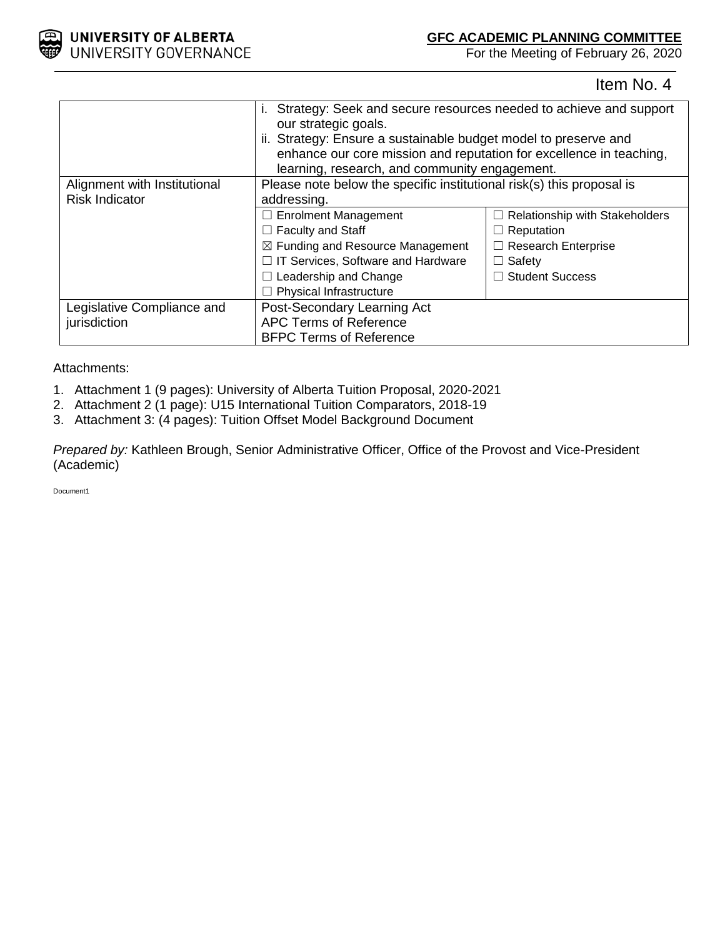

## **GFC ACADEMIC PLANNING COMMITTEE**

For the Meeting of February 26, 2020

Item No. 4

|                              | Strategy: Seek and secure resources needed to achieve and support<br>our strategic goals.<br>ii. Strategy: Ensure a sustainable budget model to preserve and<br>enhance our core mission and reputation for excellence in teaching, |                                       |  |  |  |
|------------------------------|-------------------------------------------------------------------------------------------------------------------------------------------------------------------------------------------------------------------------------------|---------------------------------------|--|--|--|
| Alignment with Institutional | learning, research, and community engagement.<br>Please note below the specific institutional risk(s) this proposal is                                                                                                              |                                       |  |  |  |
| <b>Risk Indicator</b>        | addressing.                                                                                                                                                                                                                         |                                       |  |  |  |
|                              | $\Box$ Enrolment Management                                                                                                                                                                                                         | $\Box$ Relationship with Stakeholders |  |  |  |
|                              | $\Box$ Faculty and Staff                                                                                                                                                                                                            | $\Box$ Reputation                     |  |  |  |
|                              | $\boxtimes$ Funding and Resource Management<br>$\Box$ Research Enterprise                                                                                                                                                           |                                       |  |  |  |
|                              | $\Box$ IT Services, Software and Hardware<br>$\Box$ Safety                                                                                                                                                                          |                                       |  |  |  |
|                              | Leadership and Change<br>$\Box$ Student Success                                                                                                                                                                                     |                                       |  |  |  |
|                              | <b>Physical Infrastructure</b>                                                                                                                                                                                                      |                                       |  |  |  |
| Legislative Compliance and   | Post-Secondary Learning Act                                                                                                                                                                                                         |                                       |  |  |  |
| jurisdiction                 | <b>APC Terms of Reference</b>                                                                                                                                                                                                       |                                       |  |  |  |
|                              | <b>BFPC Terms of Reference</b>                                                                                                                                                                                                      |                                       |  |  |  |

## Attachments:

- 1. Attachment 1 (9 pages): University of Alberta Tuition Proposal, 2020-2021
- 2. Attachment 2 (1 page): U15 International Tuition Comparators, 2018-19
- 3. Attachment 3: (4 pages): Tuition Offset Model Background Document

*Prepared by:* Kathleen Brough, Senior Administrative Officer, Office of the Provost and Vice-President (Academic)

Document1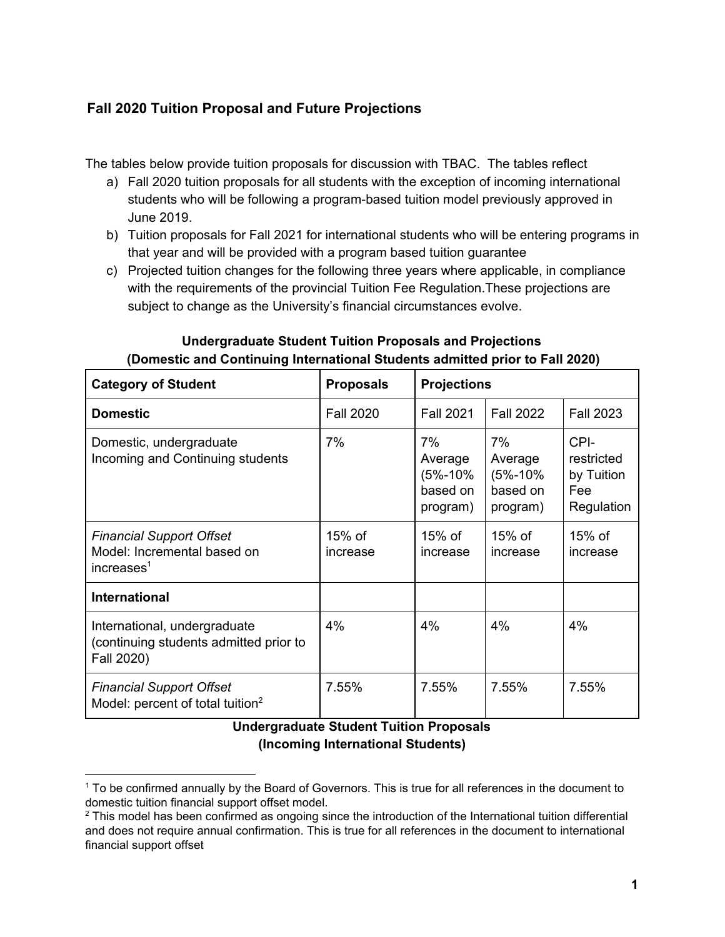# **Fall 2020 Tuition Proposal and Future Projections**

The tables below provide tuition proposals for discussion with TBAC. The tables reflect

- a) Fall 2020 tuition proposals for all students with the exception of incoming international students who will be following a program-based tuition model previously approved in June 2019.
- b) Tuition proposals for Fall 2021 for international students who will be entering programs in that year and will be provided with a program based tuition guarantee
- c) Projected tuition changes for the following three years where applicable, in compliance with the requirements of the provincial Tuition Fee Regulation.These projections are subject to change as the University's financial circumstances evolve.

| <b>Category of Student</b>                                                               | <b>Proposals</b>   | <b>Projections</b>                               |                                                      |                                                       |
|------------------------------------------------------------------------------------------|--------------------|--------------------------------------------------|------------------------------------------------------|-------------------------------------------------------|
| <b>Domestic</b>                                                                          | <b>Fall 2020</b>   | <b>Fall 2021</b>                                 | <b>Fall 2022</b>                                     | <b>Fall 2023</b>                                      |
| Domestic, undergraduate<br>Incoming and Continuing students                              | 7%                 | 7%<br>Average<br>(5%-10%<br>based on<br>program) | 7%<br>Average<br>$(5% - 10%$<br>based on<br>program) | CPI-<br>restricted<br>by Tuition<br>Fee<br>Regulation |
| <b>Financial Support Offset</b><br>Model: Incremental based on<br>increases <sup>1</sup> | 15% of<br>increase | 15% of<br>increase                               | $15\%$ of<br>increase                                | $15%$ of<br>increase                                  |
| <b>International</b>                                                                     |                    |                                                  |                                                      |                                                       |
| International, undergraduate<br>(continuing students admitted prior to<br>Fall 2020)     | 4%                 | 4%                                               | 4%                                                   | 4%                                                    |
| <b>Financial Support Offset</b><br>Model: percent of total tuition <sup>2</sup>          | 7.55%              | 7.55%                                            | 7.55%                                                | 7.55%                                                 |

# **Undergraduate Student Tuition Proposals and Projections (Domestic and Continuing International Students admitted prior to Fall 2020)**

# **Undergraduate Student Tuition Proposals (Incoming International Students)**

<sup>1</sup> To be confirmed annually by the Board of Governors. This is true for all references in the document to domestic tuition financial support offset model.

 $^2$  This model has been confirmed as ongoing since the introduction of the International tuition differential and does not require annual confirmation. This is true for all references in the document to international financial support offset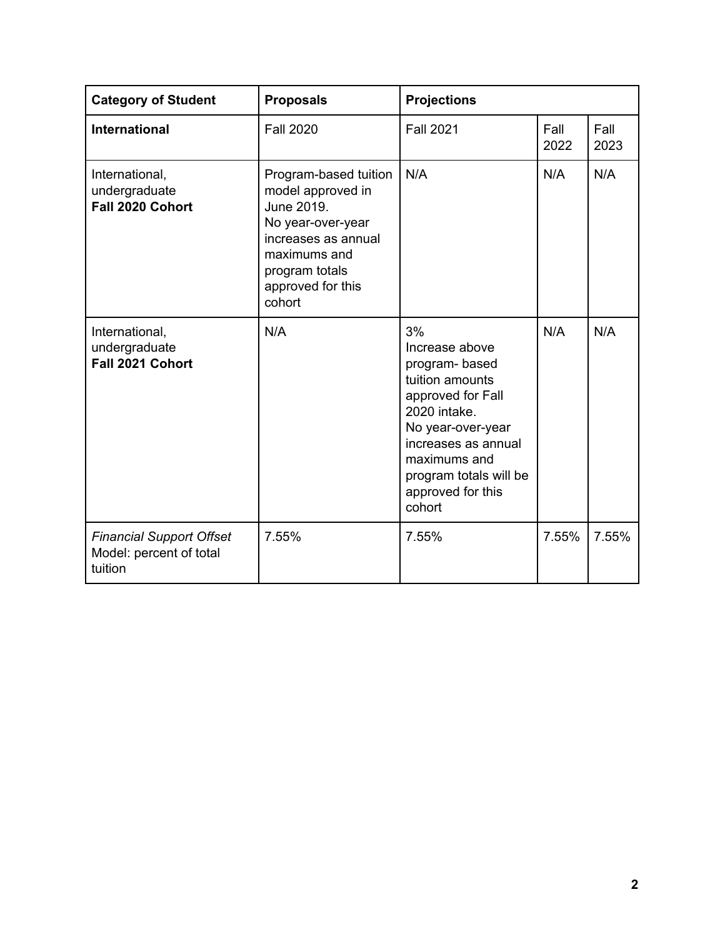| <b>Category of Student</b>                                            | <b>Proposals</b>                                                                                                                                                      | <b>Projections</b>                                                                                                                                                                                                 |              |              |  |
|-----------------------------------------------------------------------|-----------------------------------------------------------------------------------------------------------------------------------------------------------------------|--------------------------------------------------------------------------------------------------------------------------------------------------------------------------------------------------------------------|--------------|--------------|--|
| <b>International</b>                                                  | <b>Fall 2020</b>                                                                                                                                                      | <b>Fall 2021</b>                                                                                                                                                                                                   | Fall<br>2022 | Fall<br>2023 |  |
| International,<br>undergraduate<br>Fall 2020 Cohort                   | Program-based tuition<br>model approved in<br>June 2019.<br>No year-over-year<br>increases as annual<br>maximums and<br>program totals<br>approved for this<br>cohort | N/A                                                                                                                                                                                                                | N/A          | N/A          |  |
| International,<br>undergraduate<br>Fall 2021 Cohort                   | N/A                                                                                                                                                                   | 3%<br>Increase above<br>program-based<br>tuition amounts<br>approved for Fall<br>2020 intake.<br>No year-over-year<br>increases as annual<br>maximums and<br>program totals will be<br>approved for this<br>cohort | N/A          | N/A          |  |
| <b>Financial Support Offset</b><br>Model: percent of total<br>tuition | 7.55%                                                                                                                                                                 | 7.55%                                                                                                                                                                                                              | 7.55%        | 7.55%        |  |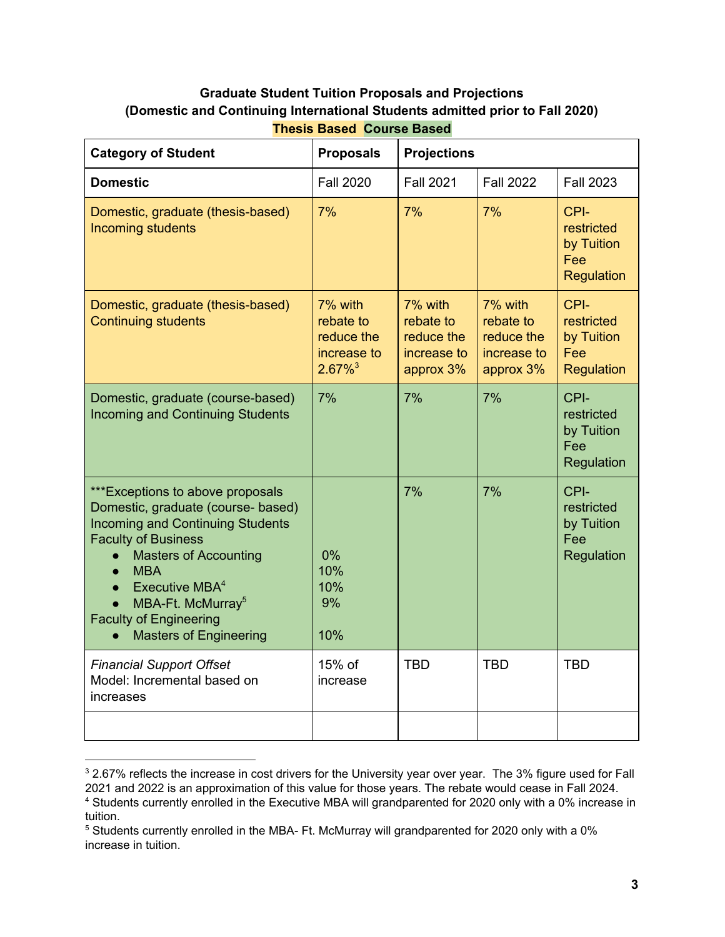# **Graduate Student Tuition Proposals and Projections (Domestic and Continuing International Students admitted prior to Fall 2020)**

| <b>Category of Student</b>                                                                                                                                                                                                                                                                                                                                                                      | <b>Proposals</b>                                                           | <b>Projections</b>                                             |                                                                |                                                       |  |  |
|-------------------------------------------------------------------------------------------------------------------------------------------------------------------------------------------------------------------------------------------------------------------------------------------------------------------------------------------------------------------------------------------------|----------------------------------------------------------------------------|----------------------------------------------------------------|----------------------------------------------------------------|-------------------------------------------------------|--|--|
| <b>Domestic</b>                                                                                                                                                                                                                                                                                                                                                                                 | <b>Fall 2020</b>                                                           | <b>Fall 2021</b>                                               | <b>Fall 2022</b>                                               | <b>Fall 2023</b>                                      |  |  |
| Domestic, graduate (thesis-based)<br>Incoming students                                                                                                                                                                                                                                                                                                                                          | 7%                                                                         | 7%                                                             | 7%                                                             | CPI-<br>restricted<br>by Tuition<br>Fee<br>Regulation |  |  |
| Domestic, graduate (thesis-based)<br><b>Continuing students</b>                                                                                                                                                                                                                                                                                                                                 | 7% with<br>rebate to<br>reduce the<br>increase to<br>$2.67\%$ <sup>3</sup> | 7% with<br>rebate to<br>reduce the<br>increase to<br>approx 3% | 7% with<br>rebate to<br>reduce the<br>increase to<br>approx 3% | CPI-<br>restricted<br>by Tuition<br>Fee<br>Regulation |  |  |
| Domestic, graduate (course-based)<br><b>Incoming and Continuing Students</b>                                                                                                                                                                                                                                                                                                                    | 7%                                                                         | 7%                                                             | 7%                                                             | CPI-<br>restricted<br>by Tuition<br>Fee<br>Regulation |  |  |
| ***Exceptions to above proposals<br>Domestic, graduate (course- based)<br><b>Incoming and Continuing Students</b><br><b>Faculty of Business</b><br><b>Masters of Accounting</b><br>$\bullet$<br><b>MBA</b><br>$\bullet$<br>Executive MBA <sup>4</sup><br>$\bullet$<br>MBA-Ft. McMurray <sup>5</sup><br>$\bullet$<br><b>Faculty of Engineering</b><br><b>Masters of Engineering</b><br>$\bullet$ | 0%<br>10%<br>10%<br>9%<br>10%                                              | 7%                                                             | 7%                                                             | CPI-<br>restricted<br>by Tuition<br>Fee<br>Regulation |  |  |
| <b>Financial Support Offset</b><br>Model: Incremental based on<br>increases                                                                                                                                                                                                                                                                                                                     | 15% of<br>increase                                                         | <b>TBD</b>                                                     | <b>TBD</b>                                                     | <b>TBD</b>                                            |  |  |
|                                                                                                                                                                                                                                                                                                                                                                                                 |                                                                            |                                                                |                                                                |                                                       |  |  |

**Thesis Based Course Based**

 $3$  2.67% reflects the increase in cost drivers for the University year over year. The 3% figure used for Fall 2021 and 2022 is an approximation of this value for those years. The rebate would cease in Fall 2024. 4 Students currently enrolled in the Executive MBA will grandparented for 2020 only with a 0% increase in

tuition.

 $5$  Students currently enrolled in the MBA- Ft. McMurray will grandparented for 2020 only with a 0% increase in tuition.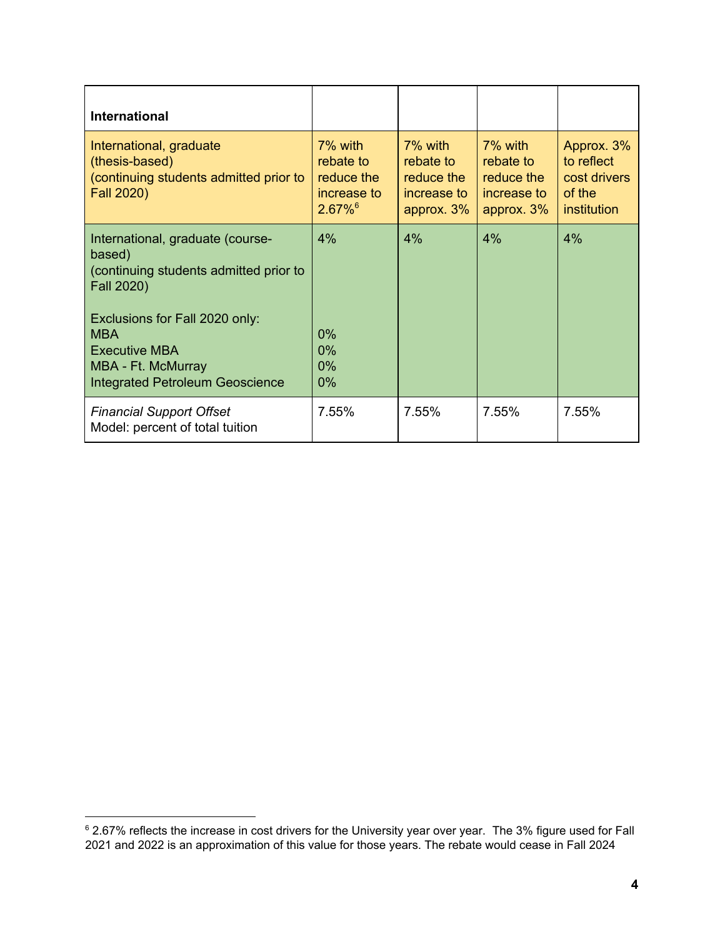| <b>International</b>                                                                                                                                                                                                                       |                                                                            |                                                                       |                                                                    |                                                                   |
|--------------------------------------------------------------------------------------------------------------------------------------------------------------------------------------------------------------------------------------------|----------------------------------------------------------------------------|-----------------------------------------------------------------------|--------------------------------------------------------------------|-------------------------------------------------------------------|
| International, graduate<br>(thesis-based)<br>(continuing students admitted prior to<br>Fall 2020)                                                                                                                                          | 7% with<br>rebate to<br>reduce the<br>increase to<br>$2.67\%$ <sup>6</sup> | $7\%$ with<br>rebate to<br>reduce the<br>increase to<br>approx. $3\%$ | 7% with<br>rebate to<br>reduce the<br>increase to<br>approx. $3\%$ | Approx. 3%<br>to reflect<br>cost drivers<br>of the<br>institution |
| International, graduate (course-<br>based)<br>(continuing students admitted prior to<br>Fall 2020)<br>Exclusions for Fall 2020 only:<br><b>MBA</b><br><b>Executive MBA</b><br>MBA - Ft. McMurray<br><b>Integrated Petroleum Geoscience</b> | 4%<br>$0\%$<br>$0\%$<br>$0\%$<br>$0\%$                                     | 4%                                                                    | 4%                                                                 | 4%                                                                |
| <b>Financial Support Offset</b><br>Model: percent of total tuition                                                                                                                                                                         | 7.55%                                                                      | 7.55%                                                                 | 7.55%                                                              | 7.55%                                                             |

<sup>6</sup> 2.67% reflects the increase in cost drivers for the University year over year. The 3% figure used for Fall 2021 and 2022 is an approximation of this value for those years. The rebate would cease in Fall 2024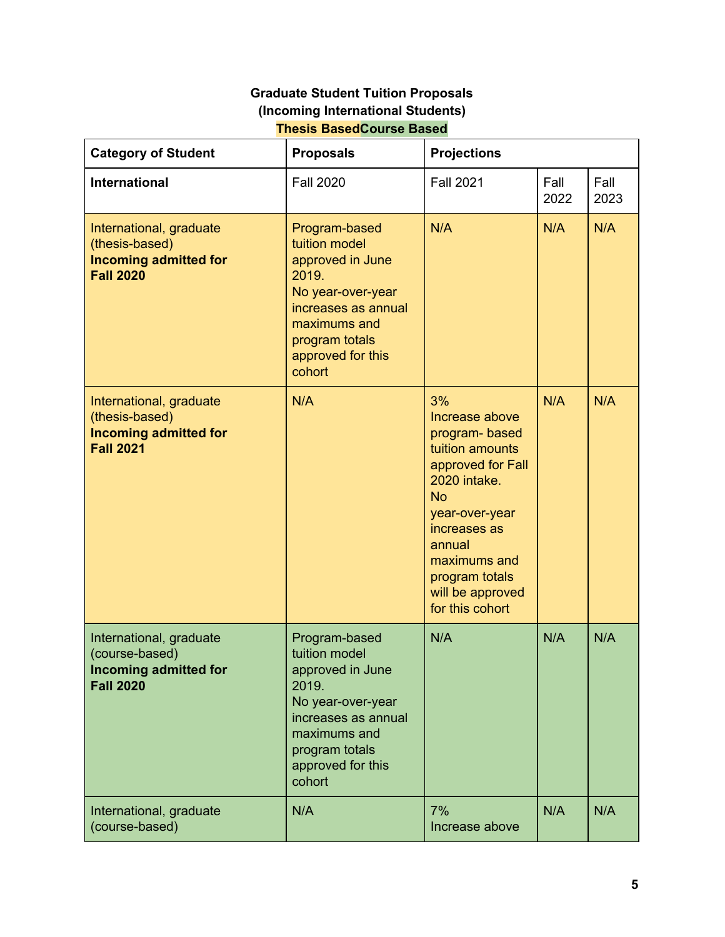# **Graduate Student Tuition Proposals (Incoming International Students) Thesis BasedCourse Based**

| <b>Category of Student</b>                                                                    | <b>Proposals</b>                                                                                                                                                         | <b>Projections</b>                                                                                                                                                                                                              |              |              |  |
|-----------------------------------------------------------------------------------------------|--------------------------------------------------------------------------------------------------------------------------------------------------------------------------|---------------------------------------------------------------------------------------------------------------------------------------------------------------------------------------------------------------------------------|--------------|--------------|--|
| <b>International</b>                                                                          | <b>Fall 2020</b>                                                                                                                                                         | <b>Fall 2021</b>                                                                                                                                                                                                                | Fall<br>2022 | Fall<br>2023 |  |
| International, graduate<br>(thesis-based)<br><b>Incoming admitted for</b><br><b>Fall 2020</b> | Program-based<br>tuition model<br>approved in June<br>2019.<br>No year-over-year<br>increases as annual<br>maximums and<br>program totals<br>approved for this<br>cohort | N/A                                                                                                                                                                                                                             | N/A          | N/A          |  |
| International, graduate<br>(thesis-based)<br><b>Incoming admitted for</b><br><b>Fall 2021</b> | N/A                                                                                                                                                                      | 3%<br>Increase above<br>program-based<br>tuition amounts<br>approved for Fall<br>2020 intake.<br><b>No</b><br>year-over-year<br>increases as<br>annual<br>maximums and<br>program totals<br>will be approved<br>for this cohort | N/A          | N/A          |  |
| International, graduate<br>(course-based)<br><b>Incoming admitted for</b><br><b>Fall 2020</b> | Program-based<br>tuition model<br>approved in June<br>2019.<br>No year-over-year<br>increases as annual<br>maximums and<br>program totals<br>approved for this<br>cohort | N/A                                                                                                                                                                                                                             | N/A          | N/A          |  |
| International, graduate<br>(course-based)                                                     | N/A                                                                                                                                                                      | 7%<br>Increase above                                                                                                                                                                                                            | N/A          | N/A          |  |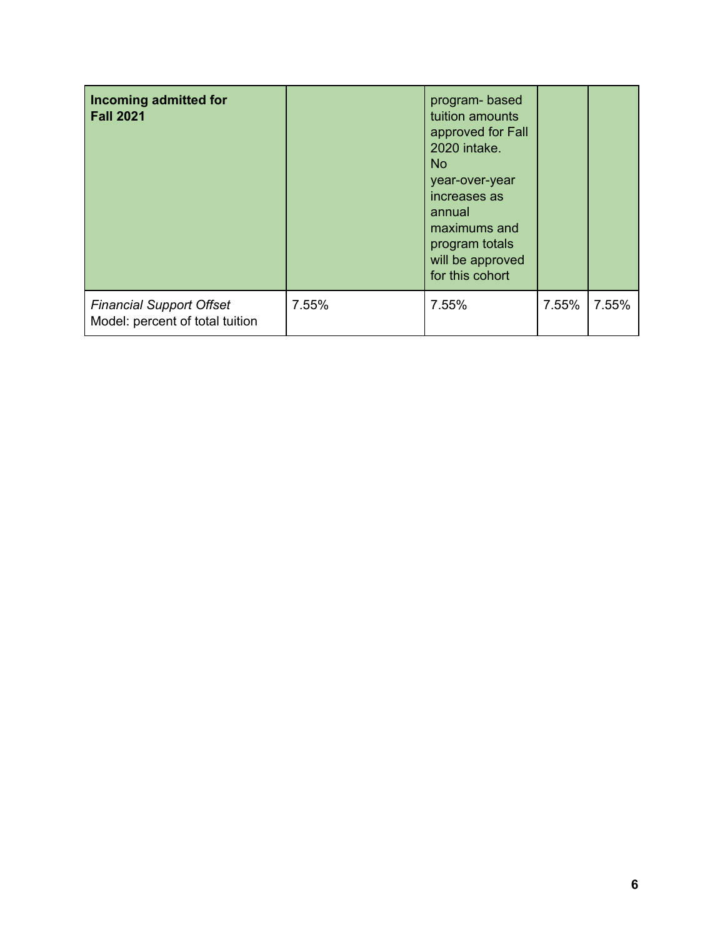| Incoming admitted for<br><b>Fall 2021</b>                          |       | program-based<br>tuition amounts<br>approved for Fall<br>2020 intake.<br>No.<br>year-over-year<br>increases as<br>annual<br>maximums and<br>program totals<br>will be approved<br>for this cohort |       |       |
|--------------------------------------------------------------------|-------|---------------------------------------------------------------------------------------------------------------------------------------------------------------------------------------------------|-------|-------|
| <b>Financial Support Offset</b><br>Model: percent of total tuition | 7.55% | 7.55%                                                                                                                                                                                             | 7.55% | 7.55% |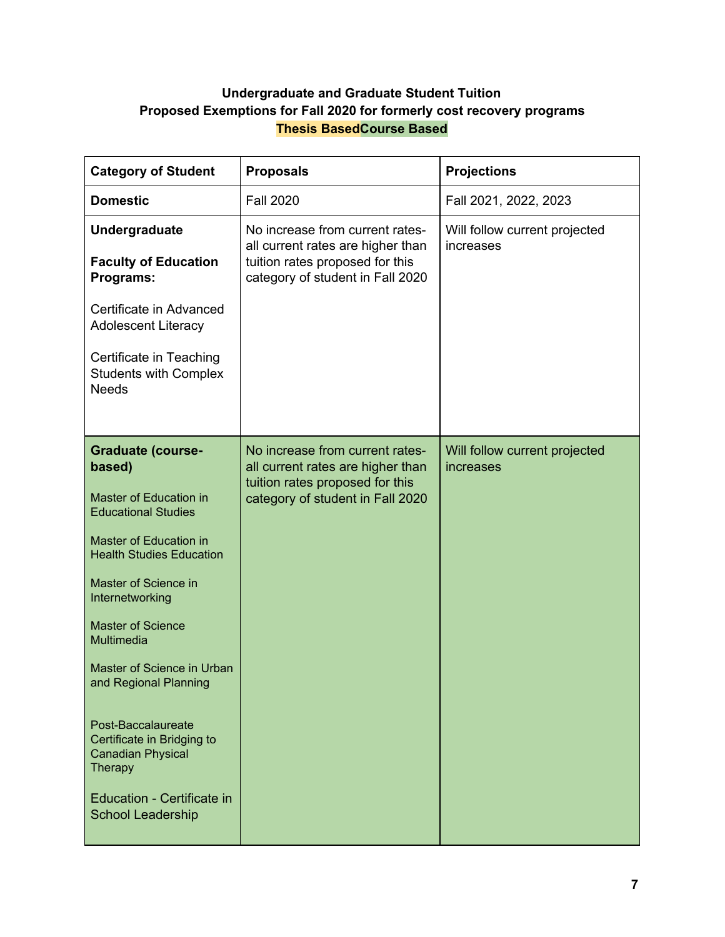# **Undergraduate and Graduate Student Tuition Proposed Exemptions for Fall 2020 for formerly cost recovery programs Thesis BasedCourse Based**

| <b>Category of Student</b>                                                                                                                                                                                                                                                                                                                                                                                                                               | <b>Proposals</b>                                                                                                                            | <b>Projections</b>                         |
|----------------------------------------------------------------------------------------------------------------------------------------------------------------------------------------------------------------------------------------------------------------------------------------------------------------------------------------------------------------------------------------------------------------------------------------------------------|---------------------------------------------------------------------------------------------------------------------------------------------|--------------------------------------------|
| <b>Domestic</b>                                                                                                                                                                                                                                                                                                                                                                                                                                          | <b>Fall 2020</b>                                                                                                                            | Fall 2021, 2022, 2023                      |
| <b>Undergraduate</b><br><b>Faculty of Education</b><br>Programs:                                                                                                                                                                                                                                                                                                                                                                                         | No increase from current rates-<br>all current rates are higher than<br>tuition rates proposed for this<br>category of student in Fall 2020 | Will follow current projected<br>increases |
| Certificate in Advanced<br><b>Adolescent Literacy</b><br>Certificate in Teaching<br><b>Students with Complex</b><br><b>Needs</b>                                                                                                                                                                                                                                                                                                                         |                                                                                                                                             |                                            |
| <b>Graduate (course-</b><br>based)<br>Master of Education in<br><b>Educational Studies</b><br>Master of Education in<br><b>Health Studies Education</b><br>Master of Science in<br>Internetworking<br><b>Master of Science</b><br>Multimedia<br>Master of Science in Urban<br>and Regional Planning<br>Post-Baccalaureate<br>Certificate in Bridging to<br><b>Canadian Physical</b><br>Therapy<br>Education - Certificate in<br><b>School Leadership</b> | No increase from current rates-<br>all current rates are higher than<br>tuition rates proposed for this<br>category of student in Fall 2020 | Will follow current projected<br>increases |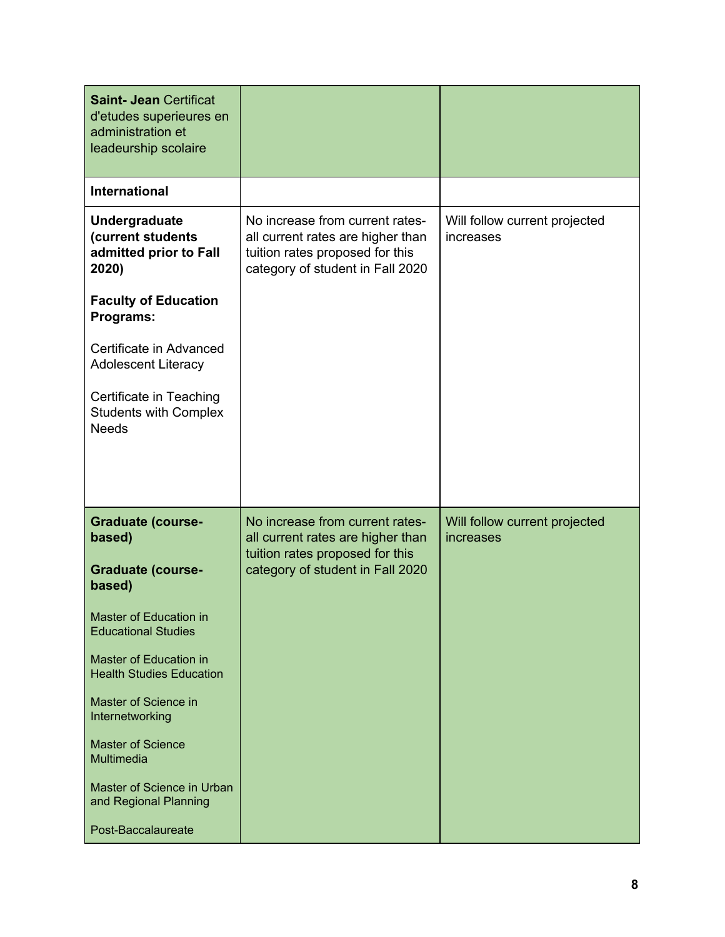| <b>Saint- Jean Certificat</b><br>d'etudes superieures en<br>administration et<br>leadeurship scolaire |                                                                                                                                             |                                            |
|-------------------------------------------------------------------------------------------------------|---------------------------------------------------------------------------------------------------------------------------------------------|--------------------------------------------|
| <b>International</b>                                                                                  |                                                                                                                                             |                                            |
| Undergraduate<br>(current students<br>admitted prior to Fall<br>2020)                                 | No increase from current rates-<br>all current rates are higher than<br>tuition rates proposed for this<br>category of student in Fall 2020 | Will follow current projected<br>increases |
| <b>Faculty of Education</b><br>Programs:                                                              |                                                                                                                                             |                                            |
| Certificate in Advanced<br><b>Adolescent Literacy</b>                                                 |                                                                                                                                             |                                            |
| Certificate in Teaching<br><b>Students with Complex</b><br><b>Needs</b>                               |                                                                                                                                             |                                            |
|                                                                                                       | No increase from current rates-                                                                                                             |                                            |
| <b>Graduate (course-</b><br>based)                                                                    | all current rates are higher than                                                                                                           | Will follow current projected<br>increases |
| <b>Graduate (course-</b><br>based)                                                                    | tuition rates proposed for this<br>category of student in Fall 2020                                                                         |                                            |
| Master of Education in<br><b>Educational Studies</b>                                                  |                                                                                                                                             |                                            |
| Master of Education in<br><b>Health Studies Education</b>                                             |                                                                                                                                             |                                            |
| Master of Science in<br>Internetworking                                                               |                                                                                                                                             |                                            |
| <b>Master of Science</b><br>Multimedia                                                                |                                                                                                                                             |                                            |
| Master of Science in Urban<br>and Regional Planning                                                   |                                                                                                                                             |                                            |
| Post-Baccalaureate                                                                                    |                                                                                                                                             |                                            |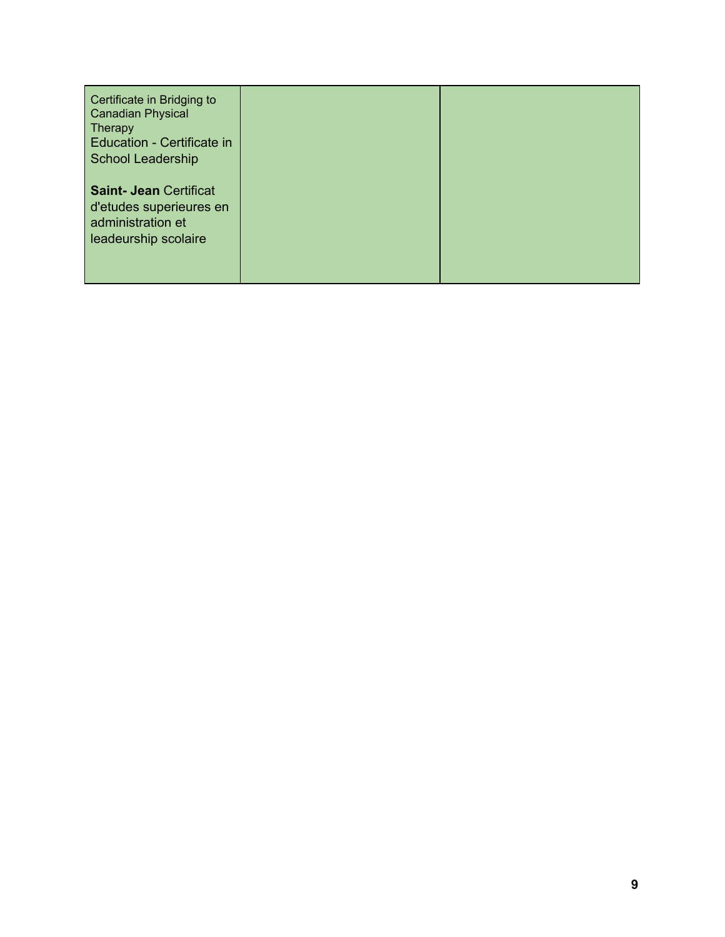| Certificate in Bridging to<br><b>Canadian Physical</b><br><b>Therapy</b><br>Education - Certificate in<br><b>School Leadership</b> |  |
|------------------------------------------------------------------------------------------------------------------------------------|--|
| <b>Saint- Jean Certificat</b><br>d'etudes superieures en<br>administration et<br>leadeurship scolaire                              |  |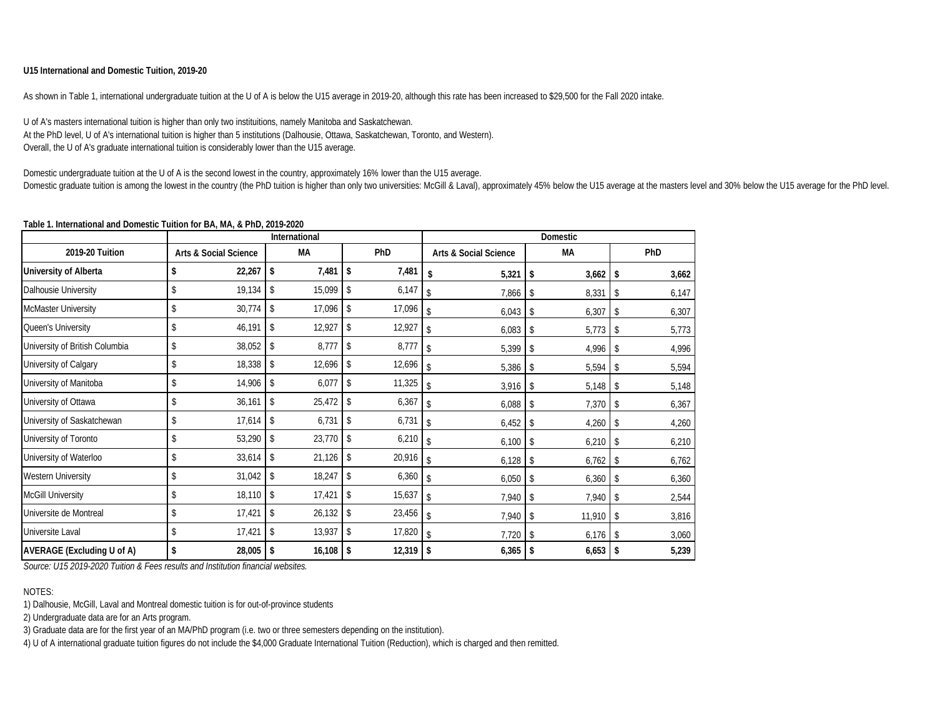#### **U15 International and Domestic Tuition, 2019-20**

As shown in Table 1, international undergraduate tuition at the U of A is below the U15 average in 2019-20, although this rate has been increased to \$29,500 for the Fall 2020 intake.

U of A's masters international tuition is higher than only two instituitions, namely Manitoba and Saskatchewan. At the PhD level, U of A's international tuition is higher than 5 institutions (Dalhousie, Ottawa, Saskatchewan, Toronto, and Western). Overall, the U of A's graduate international tuition is considerably lower than the U15 average.

Domestic undergraduate tuition at the U of A is the second lowest in the country, approximately 16% lower than the U15 average. Domestic graduate tuition is among the lowest in the country (the PhD tuition is higher than only two universities: McGill & Laval), approximately 45% below the U15 average at the masters level and 30% below the U15 averag

#### **Table 1. International and Domestic Tuition for BA, MA, & PhD, 2019-2020**

|                                | International                    |    |             |                |        |                                  | <b>Domestic</b> |           |        |     |       |
|--------------------------------|----------------------------------|----|-------------|----------------|--------|----------------------------------|-----------------|-----------|--------|-----|-------|
| 2019-20 Tuition                | <b>Arts &amp; Social Science</b> |    | <b>MA</b>   |                | PhD    | <b>Arts &amp; Social Science</b> |                 | <b>MA</b> |        | PhD |       |
| University of Alberta          | \$<br>22,267                     | \$ | 7,481       | -\$            | 7,481  | \$                               | 5,321           | \$        | 3,662  | \$  | 3,662 |
| Dalhousie University           | \$<br>19,134                     | \$ | 15,099      | \$             | 6,147  |                                  | 7,866           | \$        | 8,331  | \$  | 6,147 |
| McMaster University            | \$<br>30,774                     | \$ | 17,096      | \$             | 17,096 |                                  | 6,043           | \$        | 6,307  | \$  | 6,307 |
| Queen's University             | \$<br>46,191                     | \$ | 12,927      | $\mathsf{\$}$  | 12,927 |                                  | 6,083           | \$        | 5,773  | \$  | 5,773 |
| University of British Columbia | \$<br>38,052                     | \$ | 8,777       | $\mathsf{\$}$  | 8,777  |                                  | 5,399           | \$        | 4,996  | -\$ | 4,996 |
| University of Calgary          | \$<br>18,338                     | \$ | 12,696      | \$             | 12,696 | \$                               | 5,386           | \$        | 5,594  | \$  | 5,594 |
| University of Manitoba         | \$<br>14,906                     | \$ | 6,077       | \$             | 11,325 | $\mathcal{S}$                    | 3,916           | \$        | 5,148  | \$  | 5,148 |
| University of Ottawa           | \$<br>36,161                     | \$ | $25,472$ \$ |                | 6,367  | $\mathsf{\$}$                    | 6,088           | \$        | 7,370  | -\$ | 6,367 |
| University of Saskatchewan     | \$<br>17,614                     | \$ | 6,731       | \$             | 6,731  | \$                               | 6,452           | \$        | 4,260  | \$  | 4,260 |
| University of Toronto          | \$<br>53,290                     | \$ | $23,770$ \$ |                | 6,210  | \$                               | 6,100           | \$        | 6,210  | \$  | 6,210 |
| University of Waterloo         | \$<br>33,614                     | \$ | 21,126      | -\$            | 20,916 | \$                               | 6,128           | \$        | 6,762  | -\$ | 6,762 |
| <b>Western University</b>      | \$<br>31,042                     | \$ | 18,247      | \$             | 6,360  | \$                               | 6,050           | -S        | 6,360  | \$  | 6,360 |
| <b>McGill University</b>       | \$<br>18,110                     | \$ | 17,421      | $\mathsf{\$}$  | 15,637 | $\mathsf{\$}$                    | 7,940           | \$        | 7,940  | \$  | 2,544 |
| Universite de Montreal         | \$<br>17,421                     | s. | 26,132      | $\mathsf{\$}$  | 23,456 | $\mathsf{\$}$                    | 7,940           | \$        | 11,910 | \$  | 3,816 |
| Universite Laval               | 17,421                           | \$ | 13,937      | $\mathfrak{S}$ | 17,820 | \$                               | 7,720           | \$        | 6,176  | -\$ | 3,060 |
| AVERAGE (Excluding U of A)     | \$<br>$28,005$ \$                |    | $16,108$ \$ |                | 12,319 | \$                               | 6,365           | -\$       | 6,653  | \$  | 5,239 |

*Source: U15 2019-2020 Tuition & Fees results and Institution financial websites.* 

#### NOTES:

1) Dalhousie, McGill, Laval and Montreal domestic tuition is for out-of-province students

2) Undergraduate data are for an Arts program.

3) Graduate data are for the first year of an MA/PhD program (i.e. two or three semesters depending on the institution).

4) U of A international graduate tuition figures do not include the \$4,000 Graduate International Tuition (Reduction), which is charged and then remitted.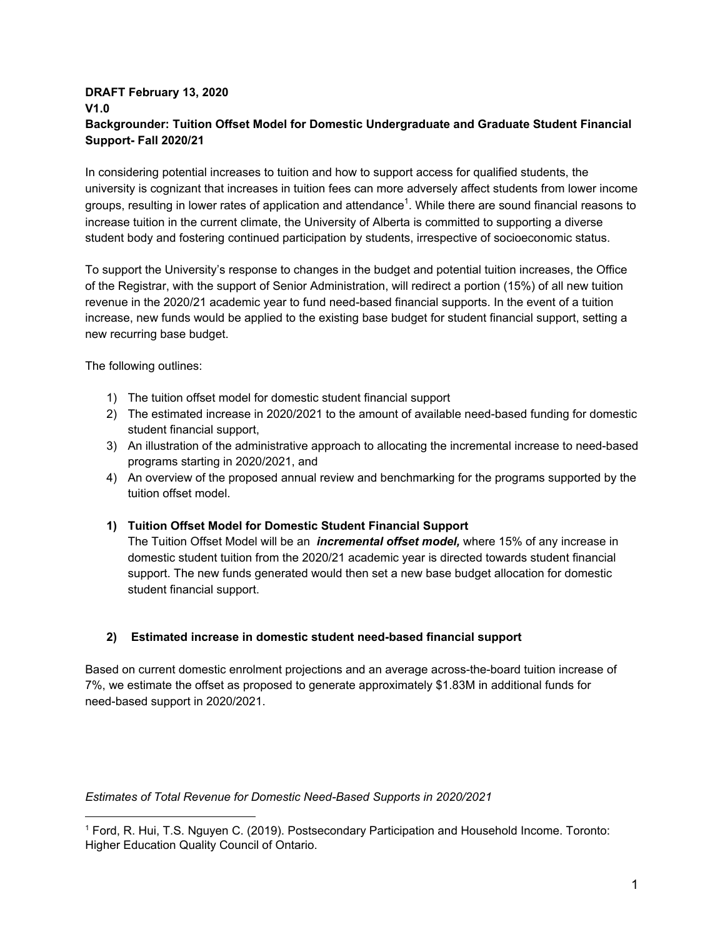## **DRAFT February 13, 2020 V1.0 Backgrounder: Tuition Offset Model for Domestic Undergraduate and Graduate Student Financial Support- Fall 2020/21**

In considering potential increases to tuition and how to support access for qualified students, the university is cognizant that increases in tuition fees can more adversely affect students from lower income groups, resulting in lower rates of application and attendance<sup>1</sup>. While there are sound financial reasons to increase tuition in the current climate, the University of Alberta is committed to supporting a diverse student body and fostering continued participation by students, irrespective of socioeconomic status.

To support the University's response to changes in the budget and potential tuition increases, the Office of the Registrar, with the support of Senior Administration, will redirect a portion (15%) of all new tuition revenue in the 2020/21 academic year to fund need-based financial supports. In the event of a tuition increase, new funds would be applied to the existing base budget for student financial support, setting a new recurring base budget.

The following outlines:

- 1) The tuition offset model for domestic student financial support
- 2) The estimated increase in 2020/2021 to the amount of available need-based funding for domestic student financial support,
- 3) An illustration of the administrative approach to allocating the incremental increase to need-based programs starting in 2020/2021, and
- 4) An overview of the proposed annual review and benchmarking for the programs supported by the tuition offset model.

## **1) Tuition Offset Model for Domestic Student Financial Support**

The Tuition Offset Model will be an *incremental offset model,* where 15% of any increase in domestic student tuition from the 2020/21 academic year is directed towards student financial support. The new funds generated would then set a new base budget allocation for domestic student financial support.

## **2) Estimated increase in domestic student need-based financial support**

Based on current domestic enrolment projections and an average across-the-board tuition increase of 7%, we estimate the offset as proposed to generate approximately \$1.83M in additional funds for need-based support in 2020/2021.

*Estimates of Total Revenue for Domestic Need-Based Supports in 2020/2021*

<sup>1</sup> Ford, R. Hui, T.S. Nguyen C. (2019). Postsecondary Participation and Household Income. Toronto: Higher Education Quality Council of Ontario.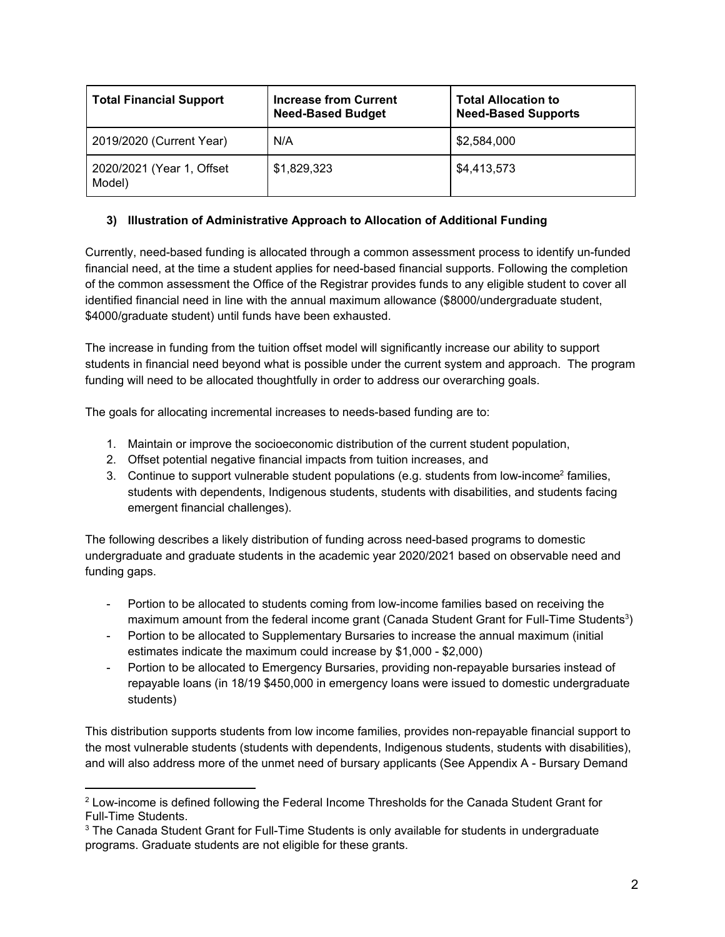| <b>Total Financial Support</b>      | <b>Increase from Current</b><br><b>Need-Based Budget</b> | <b>Total Allocation to</b><br><b>Need-Based Supports</b> |
|-------------------------------------|----------------------------------------------------------|----------------------------------------------------------|
| 2019/2020 (Current Year)            | N/A                                                      | \$2,584,000                                              |
| 2020/2021 (Year 1, Offset<br>Model) | \$1,829,323                                              | \$4,413,573                                              |

## **3) Illustration of Administrative Approach to Allocation of Additional Funding**

Currently, need-based funding is allocated through a common assessment process to identify un-funded financial need, at the time a student applies for need-based financial supports. Following the completion of the common assessment the Office of the Registrar provides funds to any eligible student to cover all identified financial need in line with the annual maximum allowance (\$8000/undergraduate student, \$4000/graduate student) until funds have been exhausted.

The increase in funding from the tuition offset model will significantly increase our ability to support students in financial need beyond what is possible under the current system and approach. The program funding will need to be allocated thoughtfully in order to address our overarching goals.

The goals for allocating incremental increases to needs-based funding are to:

- 1. Maintain or improve the socioeconomic distribution of the current student population,
- 2. Offset potential negative financial impacts from tuition increases, and
- 3. Continue to support vulnerable student populations (e.g. students from low-income<sup>2</sup> families, students with dependents, Indigenous students, students with disabilities, and students facing emergent financial challenges).

The following describes a likely distribution of funding across need-based programs to domestic undergraduate and graduate students in the academic year 2020/2021 based on observable need and funding gaps.

- Portion to be allocated to students coming from low-income families based on receiving the maximum amount from the federal income grant (Canada Student Grant for Full-Time Students<sup>3</sup>)
- Portion to be allocated to Supplementary Bursaries to increase the annual maximum (initial estimates indicate the maximum could increase by \$1,000 - \$2,000)
- Portion to be allocated to Emergency Bursaries, providing non-repayable bursaries instead of repayable loans (in 18/19 \$450,000 in emergency loans were issued to domestic undergraduate students)

This distribution supports students from low income families, provides non-repayable financial support to the most vulnerable students (students with dependents, Indigenous students, students with disabilities), and will also address more of the unmet need of bursary applicants (See Appendix A - Bursary Demand

 $^2$  Low-income is defined following the Federal Income Thresholds for the Canada Student Grant for Full-Time Students.

 $3$  The Canada Student Grant for Full-Time Students is only available for students in undergraduate programs. Graduate students are not eligible for these grants.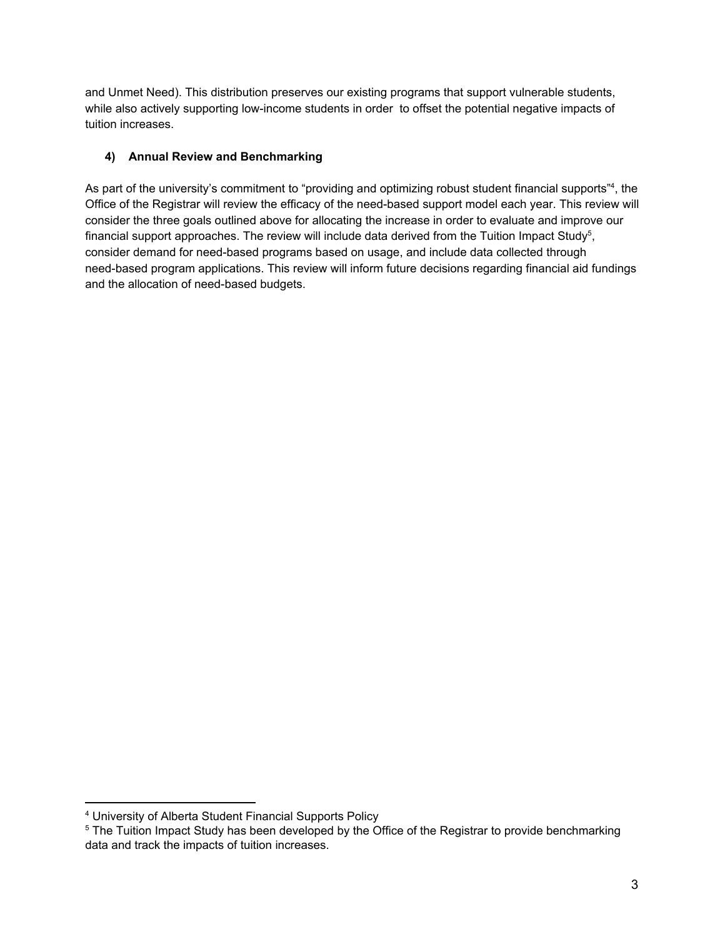and Unmet Need). This distribution preserves our existing programs that support vulnerable students, while also actively supporting low-income students in order to offset the potential negative impacts of tuition increases.

# **4) Annual Review and Benchmarking**

As part of the university's commitment to "providing and optimizing robust student financial supports"<sup>4</sup>, the Office of the Registrar will review the efficacy of the need-based support model each year. This review will consider the three goals outlined above for allocating the increase in order to evaluate and improve our financial support approaches. The review will include data derived from the Tuition Impact Study<sup>5</sup>, consider demand for need-based programs based on usage, and include data collected through need-based program applications. This review will inform future decisions regarding financial aid fundings and the allocation of need-based budgets.

<sup>4</sup> University of Alberta Student Financial Supports Policy

 $5$  The Tuition Impact Study has been developed by the Office of the Registrar to provide benchmarking data and track the impacts of tuition increases.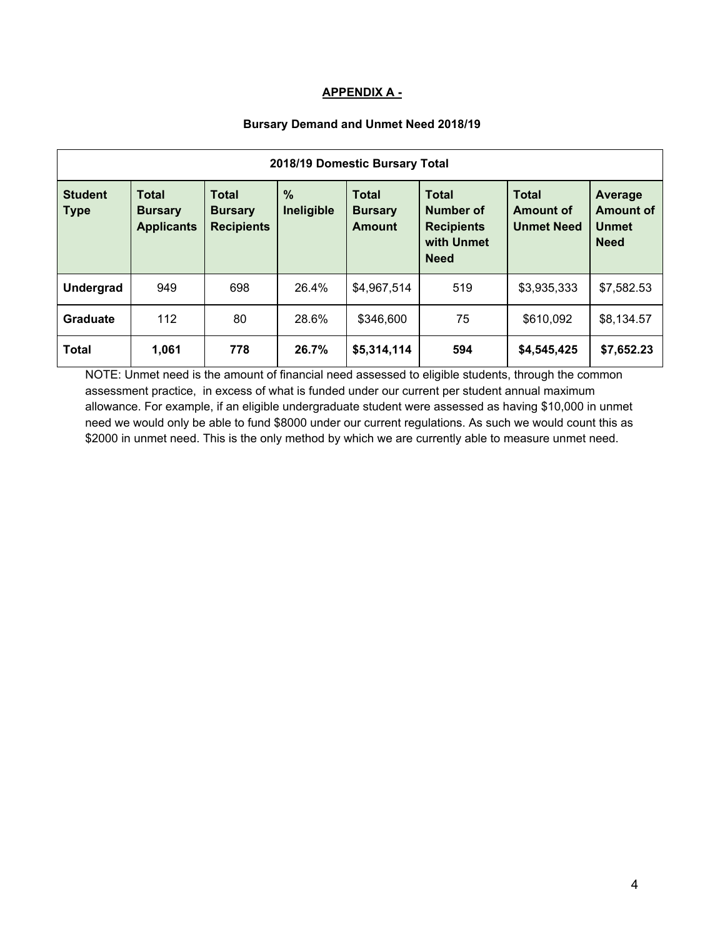## **APPENDIX A -**

## **Bursary Demand and Unmet Need 2018/19**

| 2018/19 Domestic Bursary Total |                                                     |                                                     |                             |                                                 |                                                                             |                                                       |                                                            |  |  |
|--------------------------------|-----------------------------------------------------|-----------------------------------------------------|-----------------------------|-------------------------------------------------|-----------------------------------------------------------------------------|-------------------------------------------------------|------------------------------------------------------------|--|--|
| <b>Student</b><br><b>Type</b>  | <b>Total</b><br><b>Bursary</b><br><b>Applicants</b> | <b>Total</b><br><b>Bursary</b><br><b>Recipients</b> | $\frac{0}{0}$<br>Ineligible | <b>Total</b><br><b>Bursary</b><br><b>Amount</b> | <b>Total</b><br>Number of<br><b>Recipients</b><br>with Unmet<br><b>Need</b> | <b>Total</b><br><b>Amount of</b><br><b>Unmet Need</b> | Average<br><b>Amount of</b><br><b>Unmet</b><br><b>Need</b> |  |  |
| <b>Undergrad</b>               | 949                                                 | 698                                                 | 26.4%                       | \$4,967,514                                     | 519                                                                         | \$3,935,333                                           | \$7,582.53                                                 |  |  |
| <b>Graduate</b>                | 112                                                 | 80                                                  | 28.6%                       | \$346,600                                       | 75                                                                          | \$610,092                                             | \$8,134.57                                                 |  |  |
| <b>Total</b>                   | 1,061                                               | 778                                                 | 26.7%                       | \$5,314,114                                     | 594                                                                         | \$4,545,425                                           | \$7,652.23                                                 |  |  |

NOTE: Unmet need is the amount of financial need assessed to eligible students, through the common assessment practice, in excess of what is funded under our current per student annual maximum allowance. For example, if an eligible undergraduate student were assessed as having \$10,000 in unmet need we would only be able to fund \$8000 under our current regulations. As such we would count this as \$2000 in unmet need. This is the only method by which we are currently able to measure unmet need.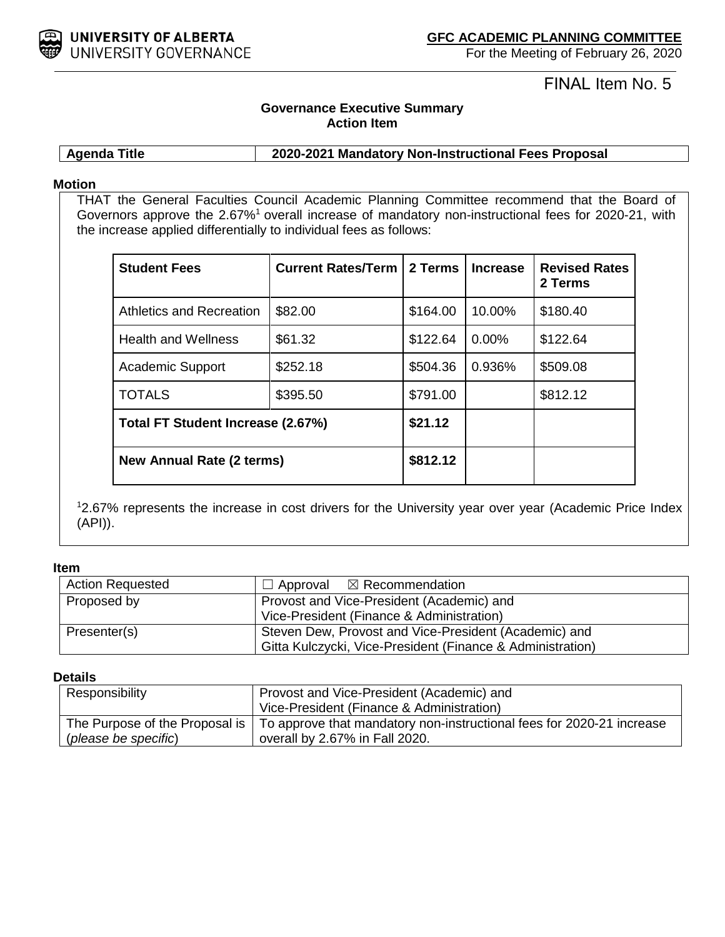

# FINAL Item No. 5

# **Governance Executive Summary Action Item**

**Agenda Title 2020-2021 Mandatory Non-Instructional Fees Proposal**

## **Motion**

THAT the General Faculties Council Academic Planning Committee recommend that the Board of Governors approve the 2.67%<sup>1</sup> overall increase of mandatory non-instructional fees for 2020-21, with the increase applied differentially to individual fees as follows:

| <b>Student Fees</b>               | <b>Current Rates/Term I</b> | 2 Terms  | <b>Increase</b> | <b>Revised Rates</b><br>2 Terms |
|-----------------------------------|-----------------------------|----------|-----------------|---------------------------------|
| Athletics and Recreation          | \$82.00                     | \$164.00 | 10.00%          | \$180.40                        |
| <b>Health and Wellness</b>        | \$61.32                     | \$122.64 | $0.00\%$        | \$122.64                        |
| <b>Academic Support</b>           | \$252.18                    | \$504.36 | 0.936%          | \$509.08                        |
| <b>TOTALS</b>                     | \$395.50                    | \$791.00 |                 | \$812.12                        |
| Total FT Student Increase (2.67%) |                             | \$21.12  |                 |                                 |
| <b>New Annual Rate (2 terms)</b>  |                             | \$812.12 |                 |                                 |

1 2.67% represents the increase in cost drivers for the University year over year (Academic Price Index (API)).

#### **Item**

| <b>Action Requested</b> | $\Box$ Approval $\boxtimes$ Recommendation                                                                          |
|-------------------------|---------------------------------------------------------------------------------------------------------------------|
| Proposed by             | Provost and Vice-President (Academic) and<br>Vice-President (Finance & Administration)                              |
| Presenter(s)            | Steven Dew, Provost and Vice-President (Academic) and<br>Gitta Kulczycki, Vice-President (Finance & Administration) |

## **Details**

| Responsibility                 | Provost and Vice-President (Academic) and                             |  |
|--------------------------------|-----------------------------------------------------------------------|--|
|                                | Vice-President (Finance & Administration)                             |  |
| The Purpose of the Proposal is | To approve that mandatory non-instructional fees for 2020-21 increase |  |
| (please be specific)           | overall by 2.67% in Fall 2020.                                        |  |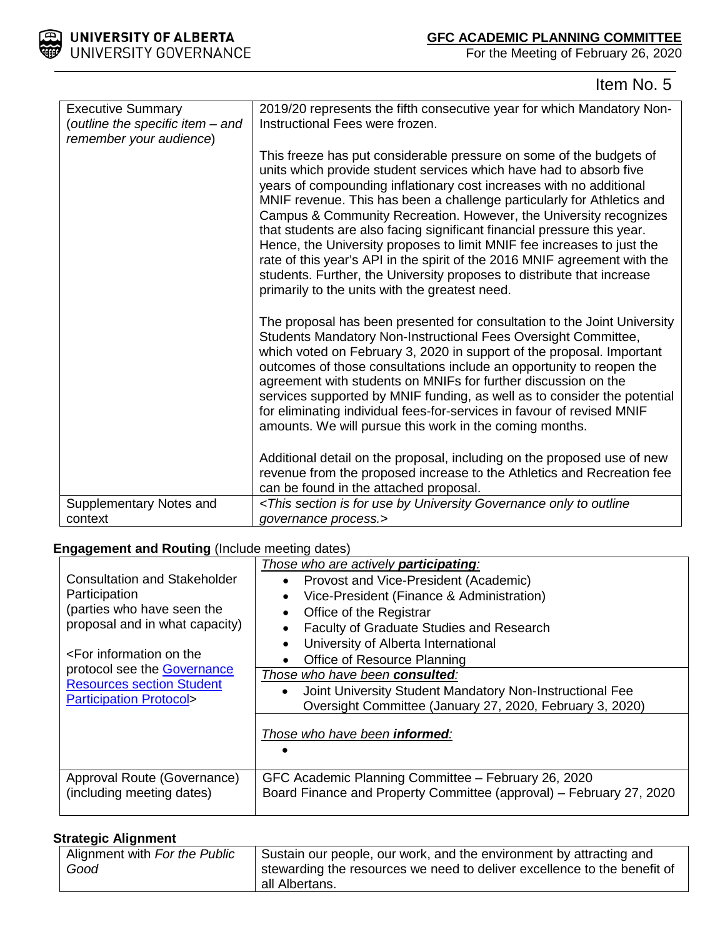

# Item No. 5

| <b>Executive Summary</b><br>(outline the specific item - and<br>remember your audience) | 2019/20 represents the fifth consecutive year for which Mandatory Non-<br>Instructional Fees were frozen.                                                                                                                                                                                                                                                                                                                                                                                                                                                                                                                                                                                                                     |
|-----------------------------------------------------------------------------------------|-------------------------------------------------------------------------------------------------------------------------------------------------------------------------------------------------------------------------------------------------------------------------------------------------------------------------------------------------------------------------------------------------------------------------------------------------------------------------------------------------------------------------------------------------------------------------------------------------------------------------------------------------------------------------------------------------------------------------------|
|                                                                                         | This freeze has put considerable pressure on some of the budgets of<br>units which provide student services which have had to absorb five<br>years of compounding inflationary cost increases with no additional<br>MNIF revenue. This has been a challenge particularly for Athletics and<br>Campus & Community Recreation. However, the University recognizes<br>that students are also facing significant financial pressure this year.<br>Hence, the University proposes to limit MNIF fee increases to just the<br>rate of this year's API in the spirit of the 2016 MNIF agreement with the<br>students. Further, the University proposes to distribute that increase<br>primarily to the units with the greatest need. |
|                                                                                         | The proposal has been presented for consultation to the Joint University<br>Students Mandatory Non-Instructional Fees Oversight Committee,<br>which voted on February 3, 2020 in support of the proposal. Important<br>outcomes of those consultations include an opportunity to reopen the<br>agreement with students on MNIFs for further discussion on the<br>services supported by MNIF funding, as well as to consider the potential<br>for eliminating individual fees-for-services in favour of revised MNIF<br>amounts. We will pursue this work in the coming months.                                                                                                                                                |
|                                                                                         | Additional detail on the proposal, including on the proposed use of new<br>revenue from the proposed increase to the Athletics and Recreation fee<br>can be found in the attached proposal.                                                                                                                                                                                                                                                                                                                                                                                                                                                                                                                                   |
| Supplementary Notes and<br>context                                                      | <this by="" for="" governance="" is="" only="" outline<br="" section="" to="" university="" use="">governance process.&gt;</this>                                                                                                                                                                                                                                                                                                                                                                                                                                                                                                                                                                                             |

# **Engagement and Routing** (Include meeting dates)

|                                                                       | Those who are actively <b>participating</b> :                                                                              |
|-----------------------------------------------------------------------|----------------------------------------------------------------------------------------------------------------------------|
| Consultation and Stakeholder                                          | Provost and Vice-President (Academic)                                                                                      |
| Participation                                                         | Vice-President (Finance & Administration)                                                                                  |
| (parties who have seen the                                            | Office of the Registrar                                                                                                    |
| proposal and in what capacity)                                        | Faculty of Graduate Studies and Research                                                                                   |
|                                                                       | University of Alberta International                                                                                        |
| $\epsilon$ For information on the                                     | Office of Resource Planning                                                                                                |
| protocol see the <b>Governance</b>                                    | Those who have been consulted:                                                                                             |
| <b>Resources section Student</b><br><b>Participation Protocol&gt;</b> | Joint University Student Mandatory Non-Instructional Fee                                                                   |
|                                                                       | Oversight Committee (January 27, 2020, February 3, 2020)                                                                   |
|                                                                       | Those who have been <b>informed</b> :                                                                                      |
| Approval Route (Governance)<br>(including meeting dates)              | GFC Academic Planning Committee - February 26, 2020<br>Board Finance and Property Committee (approval) - February 27, 2020 |

## **Strategic Alignment**

| Alignment with For the Public | Sustain our people, our work, and the environment by attracting and      |
|-------------------------------|--------------------------------------------------------------------------|
| Good                          | stewarding the resources we need to deliver excellence to the benefit of |
|                               | all Albertans.                                                           |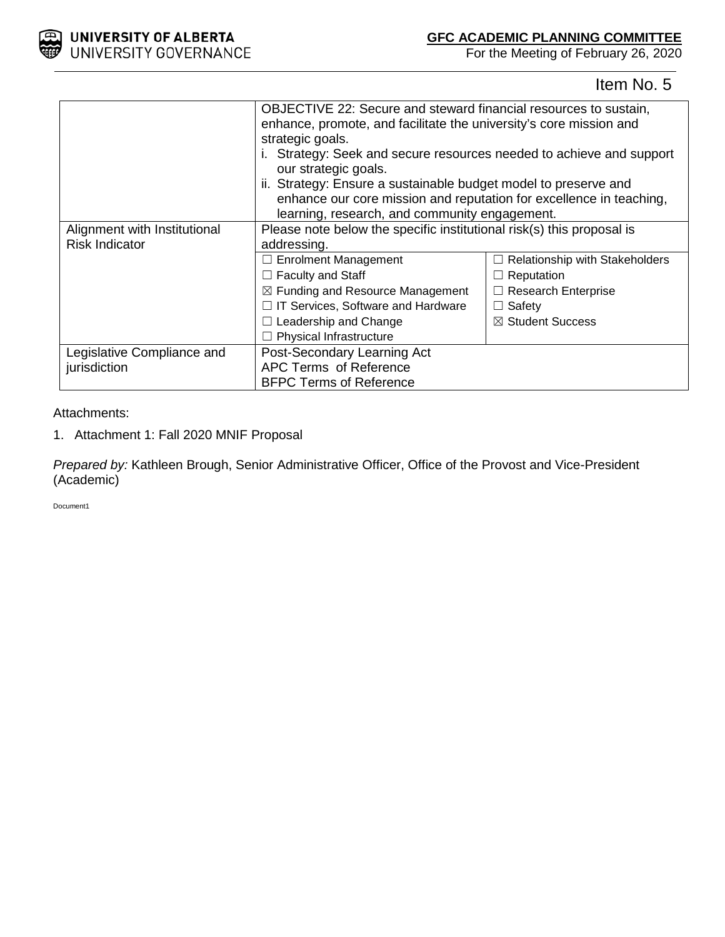

Item No. 5

|                              | OBJECTIVE 22: Secure and steward financial resources to sustain,      |                                       |  |
|------------------------------|-----------------------------------------------------------------------|---------------------------------------|--|
|                              | enhance, promote, and facilitate the university's core mission and    |                                       |  |
|                              | strategic goals.                                                      |                                       |  |
|                              | i. Strategy: Seek and secure resources needed to achieve and support  |                                       |  |
|                              | our strategic goals.                                                  |                                       |  |
|                              | ii. Strategy: Ensure a sustainable budget model to preserve and       |                                       |  |
|                              | enhance our core mission and reputation for excellence in teaching,   |                                       |  |
|                              | learning, research, and community engagement.                         |                                       |  |
| Alignment with Institutional | Please note below the specific institutional risk(s) this proposal is |                                       |  |
| <b>Risk Indicator</b>        | addressing.                                                           |                                       |  |
|                              | □ Enrolment Management                                                | $\Box$ Relationship with Stakeholders |  |
|                              | $\Box$ Faculty and Staff                                              | $\Box$ Reputation                     |  |
|                              | $\boxtimes$ Funding and Resource Management                           | $\Box$ Research Enterprise            |  |
|                              | $\Box$ IT Services, Software and Hardware                             | $\Box$ Safety                         |  |
|                              | $\Box$ Leadership and Change                                          | $\boxtimes$ Student Success           |  |
|                              | Physical Infrastructure                                               |                                       |  |
| Legislative Compliance and   | Post-Secondary Learning Act                                           |                                       |  |
| jurisdiction                 | APC Terms of Reference                                                |                                       |  |
|                              | <b>BFPC Terms of Reference</b>                                        |                                       |  |

## Attachments:

1. Attachment 1: Fall 2020 MNIF Proposal

*Prepared by:* Kathleen Brough, Senior Administrative Officer, Office of the Provost and Vice-President (Academic)

Document1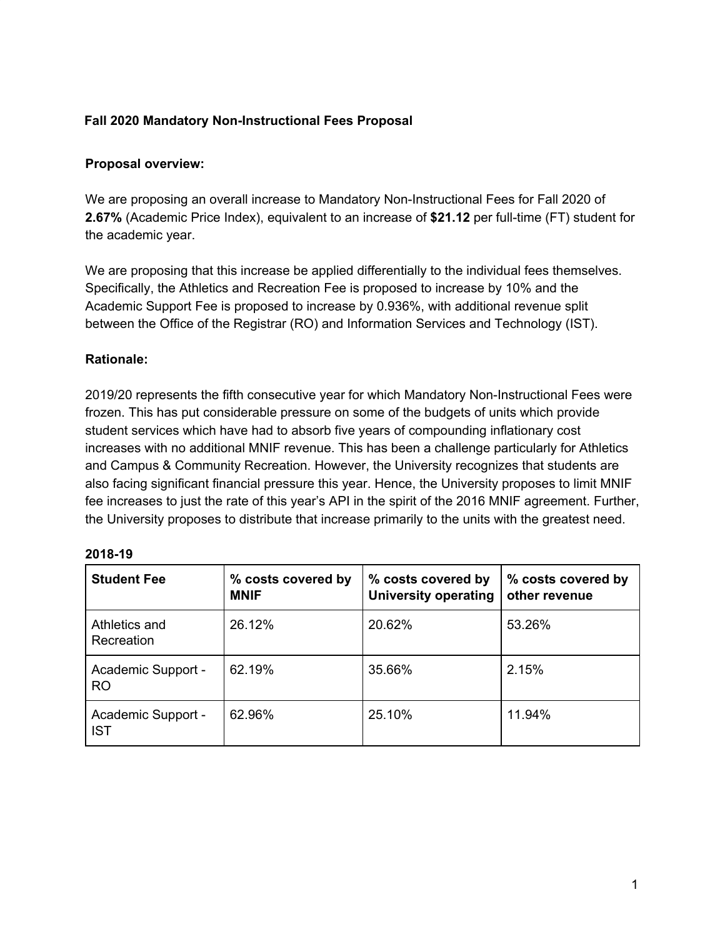# **Fall 2020 Mandatory Non-Instructional Fees Proposal**

# **Proposal overview:**

We are proposing an overall increase to Mandatory Non-Instructional Fees for Fall 2020 of **2.67%** (Academic Price Index), equivalent to an increase of **\$21.12** per full-time (FT) student for the academic year.

We are proposing that this increase be applied differentially to the individual fees themselves. Specifically, the Athletics and Recreation Fee is proposed to increase by 10% and the Academic Support Fee is proposed to increase by 0.936%, with additional revenue split between the Office of the Registrar (RO) and Information Services and Technology (IST).

# **Rationale:**

2019/20 represents the fifth consecutive year for which Mandatory Non-Instructional Fees were frozen. This has put considerable pressure on some of the budgets of units which provide student services which have had to absorb five years of compounding inflationary cost increases with no additional MNIF revenue. This has been a challenge particularly for Athletics and Campus & Community Recreation. However, the University recognizes that students are also facing significant financial pressure this year. Hence, the University proposes to limit MNIF fee increases to just the rate of this year's API in the spirit of the 2016 MNIF agreement. Further, the University proposes to distribute that increase primarily to the units with the greatest need.

| <b>Student Fee</b>               | % costs covered by<br><b>MNIF</b> | % costs covered by<br><b>University operating</b> | % costs covered by<br>other revenue |
|----------------------------------|-----------------------------------|---------------------------------------------------|-------------------------------------|
| Athletics and<br>Recreation      | 26.12%                            | 20.62%                                            | 53.26%                              |
| Academic Support -<br><b>RO</b>  | 62.19%                            | 35.66%                                            | 2.15%                               |
| Academic Support -<br><b>IST</b> | 62.96%                            | 25.10%                                            | 11.94%                              |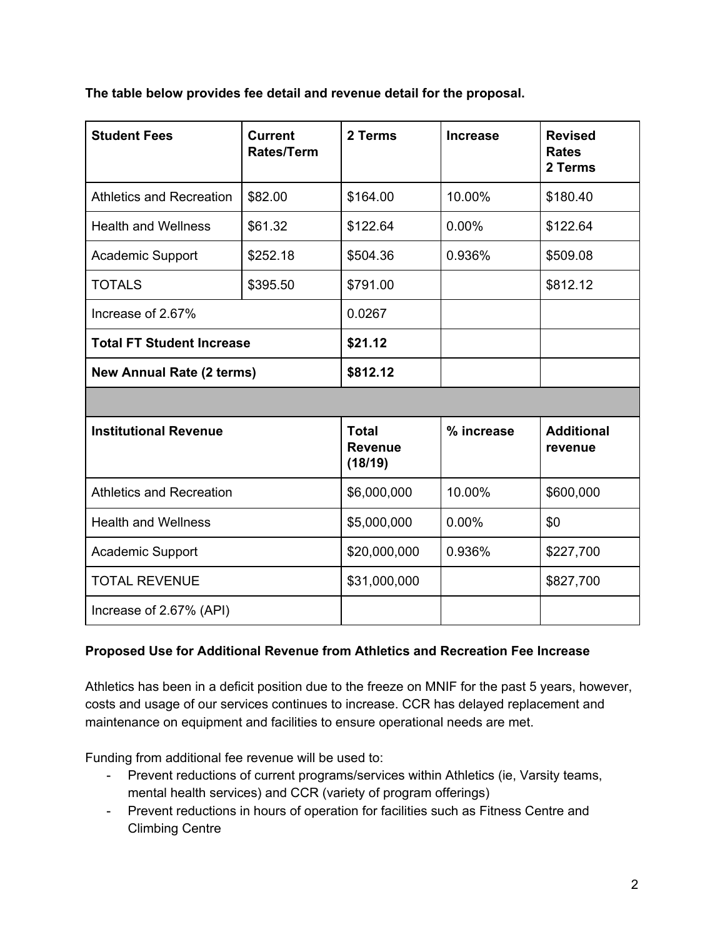**The table below provides fee detail and revenue detail for the proposal.**

| <b>Student Fees</b>              | <b>Current</b><br><b>Rates/Term</b> | 2 Terms                                   | <b>Increase</b> | <b>Revised</b><br><b>Rates</b><br>2 Terms |
|----------------------------------|-------------------------------------|-------------------------------------------|-----------------|-------------------------------------------|
| Athletics and Recreation         | \$82.00                             | \$164.00                                  | 10.00%          | \$180.40                                  |
| <b>Health and Wellness</b>       | \$61.32                             | \$122.64                                  | $0.00\%$        | \$122.64                                  |
| <b>Academic Support</b>          | \$252.18                            | \$504.36                                  | 0.936%          | \$509.08                                  |
| <b>TOTALS</b>                    | \$395.50                            | \$791.00                                  |                 | \$812.12                                  |
| Increase of 2.67%                |                                     | 0.0267                                    |                 |                                           |
| <b>Total FT Student Increase</b> |                                     | \$21.12                                   |                 |                                           |
| <b>New Annual Rate (2 terms)</b> |                                     | \$812.12                                  |                 |                                           |
|                                  |                                     |                                           |                 |                                           |
| <b>Institutional Revenue</b>     |                                     | <b>Total</b><br><b>Revenue</b><br>(18/19) | % increase      | <b>Additional</b><br>revenue              |
| <b>Athletics and Recreation</b>  |                                     | \$6,000,000                               | 10.00%          | \$600,000                                 |
| <b>Health and Wellness</b>       |                                     | \$5,000,000                               | $0.00\%$        | \$0                                       |

# **Proposed Use for Additional Revenue from Athletics and Recreation Fee Increase**

Academic Support  $\vert$  \$20,000,000  $\vert$  0.936%  $\vert$  \$227,700

TOTAL REVENUE \$31,000,000 | \$827,700

Athletics has been in a deficit position due to the freeze on MNIF for the past 5 years, however, costs and usage of our services continues to increase. CCR has delayed replacement and maintenance on equipment and facilities to ensure operational needs are met.

Funding from additional fee revenue will be used to:

Increase of 2.67% (API)

- Prevent reductions of current programs/services within Athletics (ie, Varsity teams, mental health services) and CCR (variety of program offerings)
- Prevent reductions in hours of operation for facilities such as Fitness Centre and Climbing Centre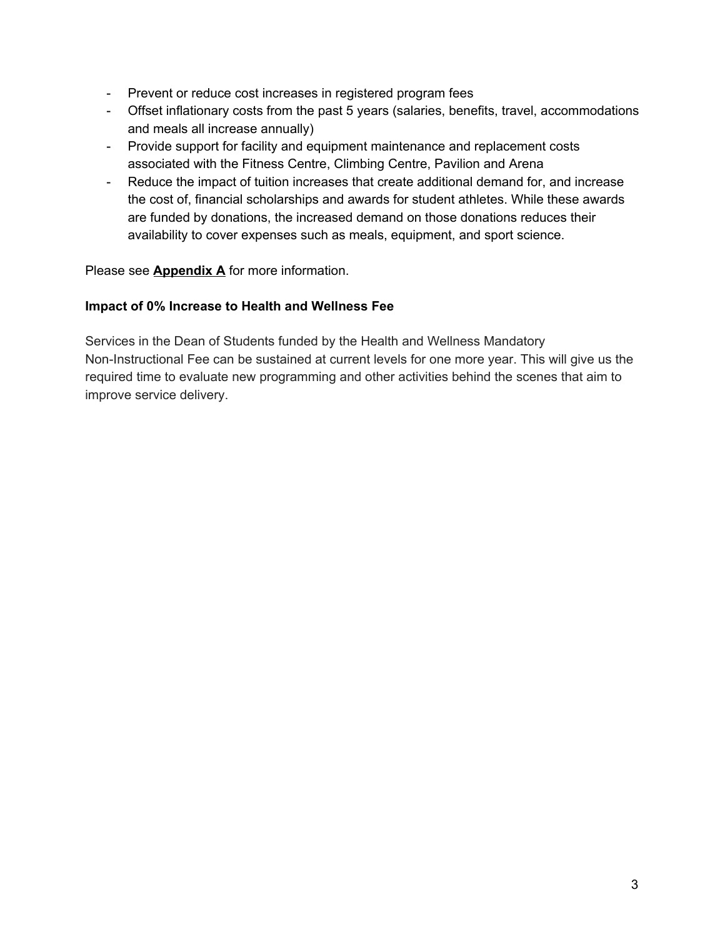- Prevent or reduce cost increases in registered program fees
- Offset inflationary costs from the past 5 years (salaries, benefits, travel, accommodations and meals all increase annually)
- Provide support for facility and equipment maintenance and replacement costs associated with the Fitness Centre, Climbing Centre, Pavilion and Arena
- Reduce the impact of tuition increases that create additional demand for, and increase the cost of, financial scholarships and awards for student athletes. While these awards are funded by donations, the increased demand on those donations reduces their availability to cover expenses such as meals, equipment, and sport science.

Please see **Appendix A** for more information.

# **Impact of 0% Increase to Health and Wellness Fee**

Services in the Dean of Students funded by the Health and Wellness Mandatory Non-Instructional Fee can be sustained at current levels for one more year. This will give us the required time to evaluate new programming and other activities behind the scenes that aim to improve service delivery.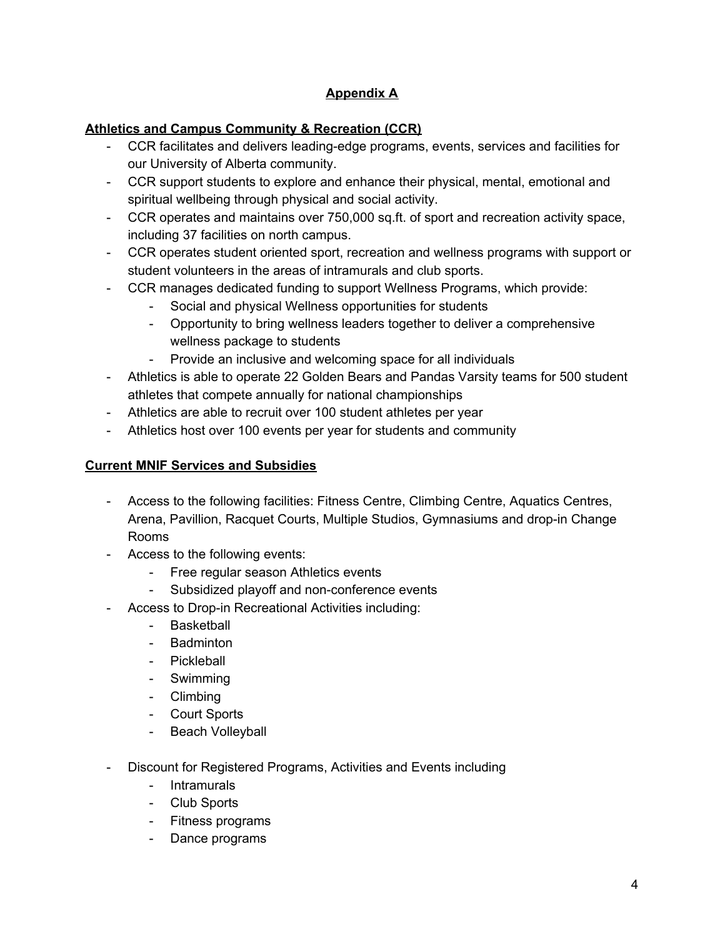# **Appendix A**

# **Athletics and Campus Community & Recreation (CCR)**

- CCR facilitates and delivers leading-edge programs, events, services and facilities for our University of Alberta community.
- CCR support students to explore and enhance their physical, mental, emotional and spiritual wellbeing through physical and social activity.
- CCR operates and maintains over 750,000 sq.ft. of sport and recreation activity space, including 37 facilities on north campus.
- CCR operates student oriented sport, recreation and wellness programs with support or student volunteers in the areas of intramurals and club sports.
- CCR manages dedicated funding to support Wellness Programs, which provide:
	- Social and physical Wellness opportunities for students
	- Opportunity to bring wellness leaders together to deliver a comprehensive wellness package to students
	- Provide an inclusive and welcoming space for all individuals
- Athletics is able to operate 22 Golden Bears and Pandas Varsity teams for 500 student athletes that compete annually for national championships
- Athletics are able to recruit over 100 student athletes per year
- Athletics host over 100 events per year for students and community

# **Current MNIF Services and Subsidies**

- Access to the following facilities: Fitness Centre, Climbing Centre, Aquatics Centres, Arena, Pavillion, Racquet Courts, Multiple Studios, Gymnasiums and drop-in Change Rooms
- Access to the following events:
	- Free regular season Athletics events
	- Subsidized playoff and non-conference events
- Access to Drop-in Recreational Activities including:
	- **Basketball**
	- Badminton
	- Pickleball
	- Swimming
	- Climbing
	- Court Sports
	- Beach Volleyball
- Discount for Registered Programs, Activities and Events including
	- Intramurals
	- Club Sports
	- Fitness programs
	- Dance programs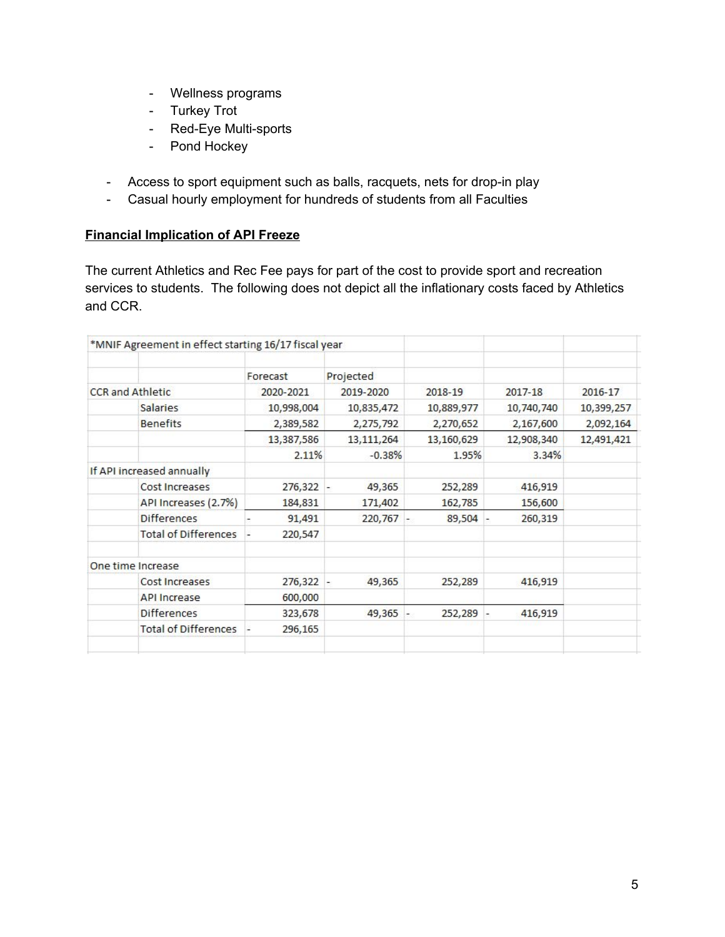- Wellness programs
- Turkey Trot
- Red-Eye Multi-sports
- Pond Hockey
- Access to sport equipment such as balls, racquets, nets for drop-in play
- Casual hourly employment for hundreds of students from all Faculties

## **Financial Implication of API Freeze**

The current Athletics and Rec Fee pays for part of the cost to provide sport and recreation services to students. The following does not depict all the inflationary costs faced by Athletics and CCR.

| *MNIF Agreement in effect starting 16/17 fiscal year |             |              |                                         |            |            |
|------------------------------------------------------|-------------|--------------|-----------------------------------------|------------|------------|
|                                                      | Forecast    | Projected    |                                         |            |            |
| <b>CCR</b> and Athletic                              | 2020-2021   | 2019-2020    | 2018-19                                 | 2017-18    | 2016-17    |
| <b>Salaries</b>                                      | 10,998,004  | 10,835,472   | 10,889,977                              | 10,740,740 | 10,399,257 |
| <b>Benefits</b>                                      | 2,389,582   | 2,275,792    | 2,270,652                               | 2,167,600  | 2,092,164  |
|                                                      | 13,387,586  | 13, 111, 264 | 13,160,629                              | 12,908,340 | 12,491,421 |
|                                                      | 2.11%       | $-0.38%$     | 1.95%                                   | 3.34%      |            |
| If API increased annually                            |             |              |                                         |            |            |
| Cost Increases                                       | 276,322 -   | 49,365       | 252,289                                 | 416,919    |            |
| API Increases (2.7%)                                 | 184,831     | 171,402      | 162,785                                 | 156,600    |            |
| <b>Differences</b>                                   | 91,491      | 220,767      | 89,504                                  | 260,319    |            |
| <b>Total of Differences</b>                          | 220,547     |              |                                         |            |            |
| One time Increase                                    |             |              |                                         |            |            |
| Cost Increases                                       | $276,322 -$ | 49,365       | 252,289                                 | 416,919    |            |
| <b>API Increase</b>                                  | 600,000     |              |                                         |            |            |
| <b>Differences</b>                                   | 323,678     | 49,365       | $252,289 -$<br>$\overline{\phantom{a}}$ | 416,919    |            |
| <b>Total of Differences</b>                          | 296,165     |              |                                         |            |            |
|                                                      |             |              |                                         |            |            |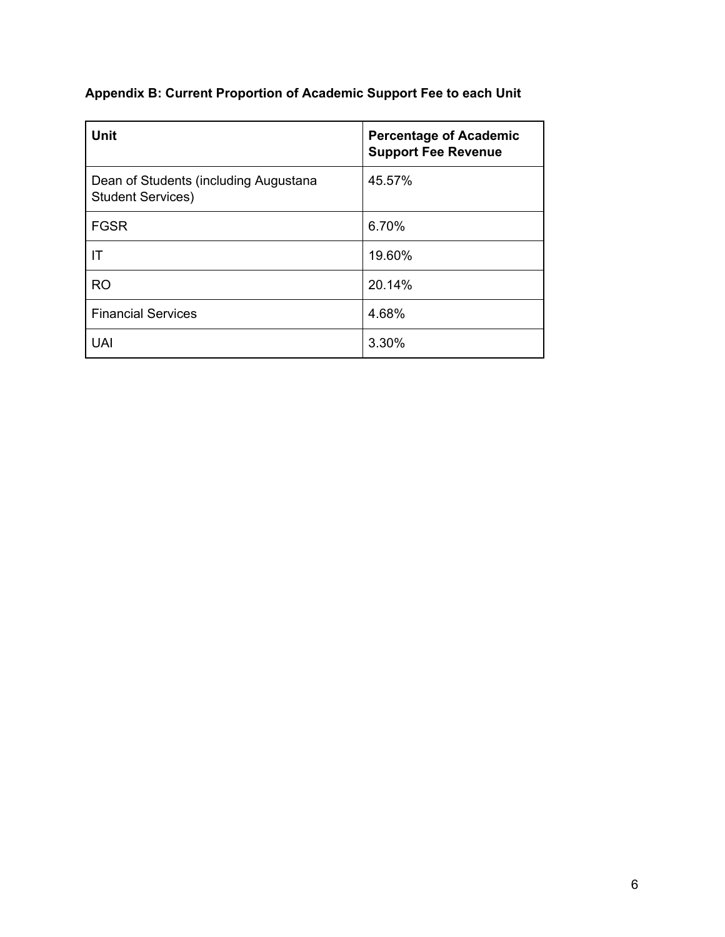# **Appendix B: Current Proportion of Academic Support Fee to each Unit**

| <b>Unit</b>                                                       | <b>Percentage of Academic</b><br><b>Support Fee Revenue</b> |
|-------------------------------------------------------------------|-------------------------------------------------------------|
| Dean of Students (including Augustana<br><b>Student Services)</b> | 45.57%                                                      |
| <b>FGSR</b>                                                       | 6.70%                                                       |
| IT                                                                | 19.60%                                                      |
| <b>RO</b>                                                         | 20.14%                                                      |
| <b>Financial Services</b>                                         | 4.68%                                                       |
| <b>UAI</b>                                                        | 3.30%                                                       |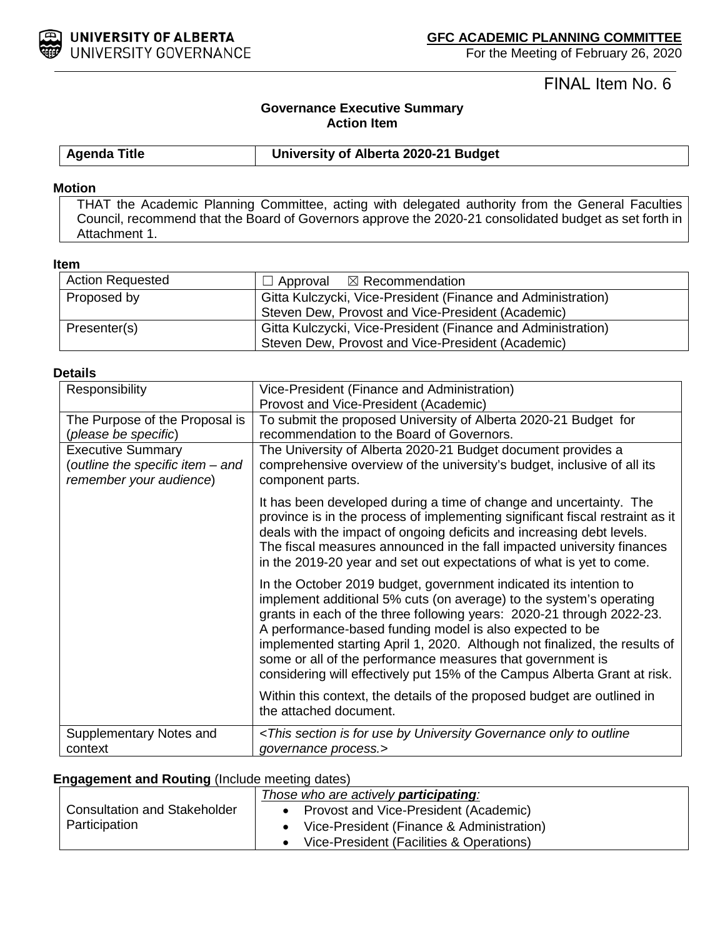

# FINAL Item No. 6

# **Governance Executive Summary Action Item**

**Agenda Title University of Alberta 2020-21 Budget**

## **Motion**

THAT the Academic Planning Committee, acting with delegated authority from the General Faculties Council, recommend that the Board of Governors approve the 2020-21 consolidated budget as set forth in Attachment 1.

## **Item**

| <b>Action Requested</b> | $\Box$ Approval $\boxtimes$ Recommendation                                                                        |
|-------------------------|-------------------------------------------------------------------------------------------------------------------|
| Proposed by             | Gitta Kulczycki, Vice-President (Finance and Administration)<br>Steven Dew, Provost and Vice-President (Academic) |
| Presenter(s)            | Gitta Kulczycki, Vice-President (Finance and Administration)<br>Steven Dew, Provost and Vice-President (Academic) |

#### **Details**

| Responsibility                                              | Vice-President (Finance and Administration)                                                                                                                                                                                                                                                                                                                                                                                                                                                            |
|-------------------------------------------------------------|--------------------------------------------------------------------------------------------------------------------------------------------------------------------------------------------------------------------------------------------------------------------------------------------------------------------------------------------------------------------------------------------------------------------------------------------------------------------------------------------------------|
|                                                             | Provost and Vice-President (Academic)                                                                                                                                                                                                                                                                                                                                                                                                                                                                  |
| The Purpose of the Proposal is                              | To submit the proposed University of Alberta 2020-21 Budget for                                                                                                                                                                                                                                                                                                                                                                                                                                        |
| (please be specific)                                        | recommendation to the Board of Governors.                                                                                                                                                                                                                                                                                                                                                                                                                                                              |
| <b>Executive Summary</b>                                    | The University of Alberta 2020-21 Budget document provides a                                                                                                                                                                                                                                                                                                                                                                                                                                           |
| (outline the specific item – and<br>remember your audience) | comprehensive overview of the university's budget, inclusive of all its<br>component parts.                                                                                                                                                                                                                                                                                                                                                                                                            |
|                                                             | It has been developed during a time of change and uncertainty. The<br>province is in the process of implementing significant fiscal restraint as it<br>deals with the impact of ongoing deficits and increasing debt levels.<br>The fiscal measures announced in the fall impacted university finances<br>in the 2019-20 year and set out expectations of what is yet to come.                                                                                                                         |
|                                                             | In the October 2019 budget, government indicated its intention to<br>implement additional 5% cuts (on average) to the system's operating<br>grants in each of the three following years: 2020-21 through 2022-23.<br>A performance-based funding model is also expected to be<br>implemented starting April 1, 2020. Although not finalized, the results of<br>some or all of the performance measures that government is<br>considering will effectively put 15% of the Campus Alberta Grant at risk. |
|                                                             | Within this context, the details of the proposed budget are outlined in<br>the attached document.                                                                                                                                                                                                                                                                                                                                                                                                      |
| Supplementary Notes and<br>context                          | <this by="" for="" governance="" is="" only="" outline<br="" section="" to="" university="" use="">governance process.&gt;</this>                                                                                                                                                                                                                                                                                                                                                                      |

## **Engagement and Routing** (Include meeting dates)

|                                     | Those who are actively <b>participating</b> : |
|-------------------------------------|-----------------------------------------------|
| <b>Consultation and Stakeholder</b> | Provost and Vice-President (Academic)         |
| Participation                       | Vice-President (Finance & Administration)     |
|                                     | Vice-President (Facilities & Operations)      |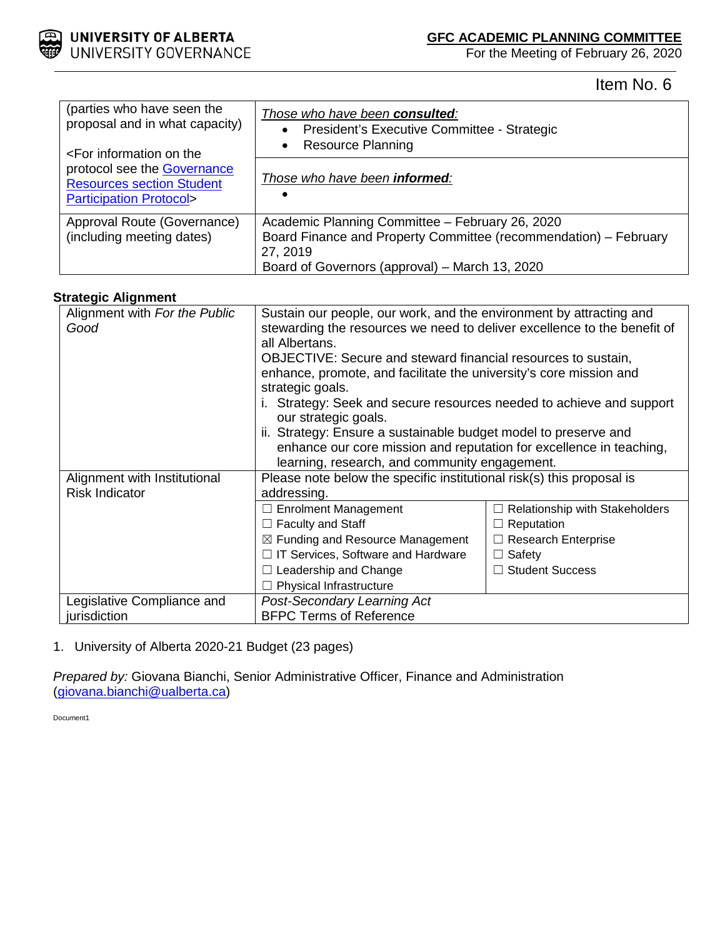

Item No. 6

| (parties who have seen the<br>proposal and in what capacity)<br><for information="" on="" th="" the<=""><th>Those who have been consulted:<br/>President's Executive Committee - Strategic<br/><math>\bullet</math><br/><b>Resource Planning</b></th></for> | Those who have been consulted:<br>President's Executive Committee - Strategic<br>$\bullet$<br><b>Resource Planning</b>                                                            |
|-------------------------------------------------------------------------------------------------------------------------------------------------------------------------------------------------------------------------------------------------------------|-----------------------------------------------------------------------------------------------------------------------------------------------------------------------------------|
| protocol see the Governance<br><b>Resources section Student</b><br><b>Participation Protocol&gt;</b>                                                                                                                                                        | Those who have been <b>informed</b> :<br>$\bullet$                                                                                                                                |
| Approval Route (Governance)<br>(including meeting dates)                                                                                                                                                                                                    | Academic Planning Committee - February 26, 2020<br>Board Finance and Property Committee (recommendation) - February<br>27, 2019<br>Board of Governors (approval) - March 13, 2020 |

## **Strategic Alignment**

| Alignment with For the Public<br>Good                 | Sustain our people, our work, and the environment by attracting and<br>stewarding the resources we need to deliver excellence to the benefit of<br>all Albertans.<br>OBJECTIVE: Secure and steward financial resources to sustain,<br>enhance, promote, and facilitate the university's core mission and<br>strategic goals.<br>i. Strategy: Seek and secure resources needed to achieve and support<br>our strategic goals.<br>ii. Strategy: Ensure a sustainable budget model to preserve and<br>enhance our core mission and reputation for excellence in teaching,<br>learning, research, and community engagement. |                                       |  |  |
|-------------------------------------------------------|-------------------------------------------------------------------------------------------------------------------------------------------------------------------------------------------------------------------------------------------------------------------------------------------------------------------------------------------------------------------------------------------------------------------------------------------------------------------------------------------------------------------------------------------------------------------------------------------------------------------------|---------------------------------------|--|--|
| Alignment with Institutional<br><b>Risk Indicator</b> | Please note below the specific institutional risk(s) this proposal is<br>addressing.                                                                                                                                                                                                                                                                                                                                                                                                                                                                                                                                    |                                       |  |  |
|                                                       | $\Box$ Enrolment Management                                                                                                                                                                                                                                                                                                                                                                                                                                                                                                                                                                                             | $\Box$ Relationship with Stakeholders |  |  |
|                                                       | $\Box$ Faculty and Staff                                                                                                                                                                                                                                                                                                                                                                                                                                                                                                                                                                                                | $\Box$ Reputation                     |  |  |
|                                                       | $\boxtimes$ Funding and Resource Management                                                                                                                                                                                                                                                                                                                                                                                                                                                                                                                                                                             | $\Box$ Research Enterprise            |  |  |
|                                                       | IT Services, Software and Hardware                                                                                                                                                                                                                                                                                                                                                                                                                                                                                                                                                                                      | $\Box$ Safety                         |  |  |
|                                                       | Leadership and Change                                                                                                                                                                                                                                                                                                                                                                                                                                                                                                                                                                                                   | $\Box$ Student Success                |  |  |
|                                                       |                                                                                                                                                                                                                                                                                                                                                                                                                                                                                                                                                                                                                         |                                       |  |  |
|                                                       | Physical Infrastructure                                                                                                                                                                                                                                                                                                                                                                                                                                                                                                                                                                                                 |                                       |  |  |
| Legislative Compliance and                            | Post-Secondary Learning Act                                                                                                                                                                                                                                                                                                                                                                                                                                                                                                                                                                                             |                                       |  |  |
| jurisdiction                                          | <b>BFPC Terms of Reference</b>                                                                                                                                                                                                                                                                                                                                                                                                                                                                                                                                                                                          |                                       |  |  |

# 1. University of Alberta 2020-21 Budget (23 pages)

*Prepared by:* Giovana Bianchi, Senior Administrative Officer, Finance and Administration [\(giovana.bianchi@ualberta.ca\)](mailto:giovana.bianchi@ualberta.ca)

Document1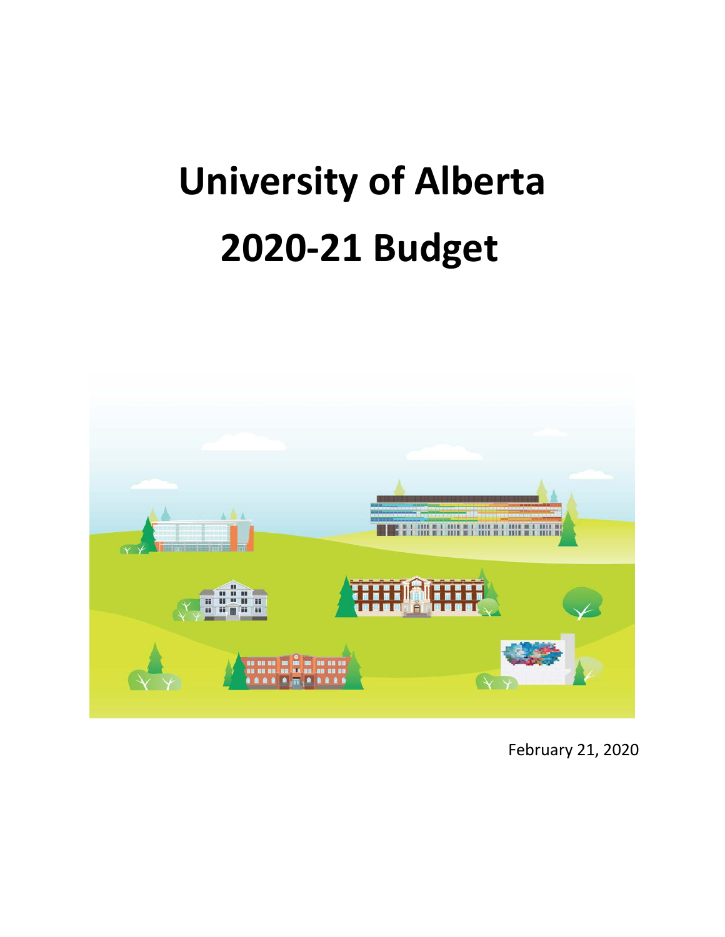# **University of Alberta 2020-21 Budget**



February 21, 2020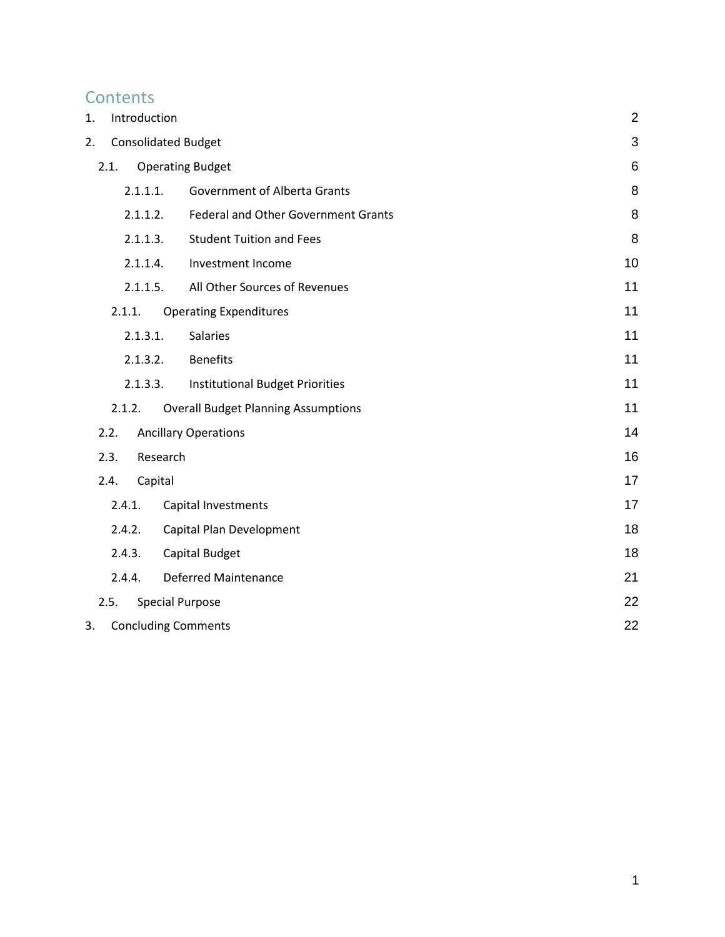# **Contents**

<span id="page-33-0"></span>

| 1.   | Introduction               |                                            | $\overline{2}$ |
|------|----------------------------|--------------------------------------------|----------------|
| 2.   | <b>Consolidated Budget</b> |                                            | 3              |
| 2.1. |                            | <b>Operating Budget</b>                    | $\,6$          |
|      | 2.1.1.1.                   | <b>Government of Alberta Grants</b>        | 8              |
|      | 2.1.1.2.                   | Federal and Other Government Grants        | 8              |
|      | 2.1.1.3.                   | <b>Student Tuition and Fees</b>            | 8              |
|      | 2.1.1.4.                   | Investment Income                          | 10             |
|      | 2.1.1.5.                   | All Other Sources of Revenues              | 11             |
|      | 2.1.1.                     | <b>Operating Expenditures</b>              | 11             |
|      | 2.1.3.1.                   | <b>Salaries</b>                            | 11             |
|      | 2.1.3.2.                   | <b>Benefits</b>                            | 11             |
|      | 2.1.3.3.                   | <b>Institutional Budget Priorities</b>     | 11             |
|      | 2.1.2.                     | <b>Overall Budget Planning Assumptions</b> | 11             |
| 2.2. |                            | <b>Ancillary Operations</b>                | 14             |
| 2.3. | Research                   |                                            | 16             |
| 2.4. | Capital                    |                                            | 17             |
|      | 2.4.1.                     | Capital Investments                        | 17             |
|      | 2.4.2.                     | Capital Plan Development                   | 18             |
|      | 2.4.3.                     | Capital Budget                             | 18             |
|      | 2.4.4.                     | <b>Deferred Maintenance</b>                | 21             |
| 2.5. |                            | <b>Special Purpose</b>                     | 22             |
| 3.   | <b>Concluding Comments</b> |                                            | 22             |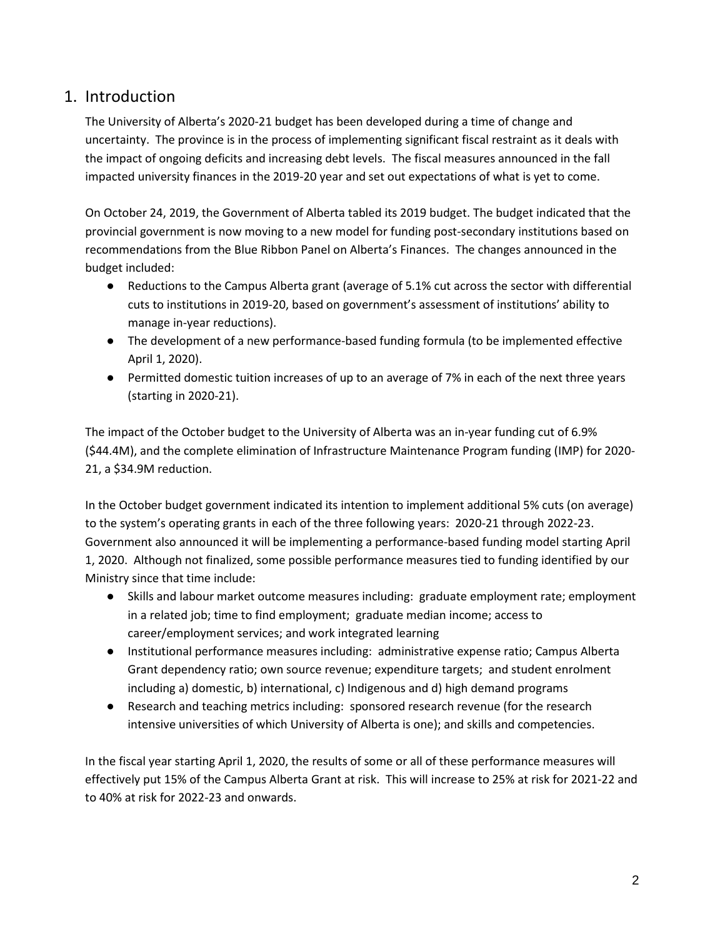# 1. Introduction

The University of Alberta's 2020-21 budget has been developed during a time of change and uncertainty. The province is in the process of implementing significant fiscal restraint as it deals with the impact of ongoing deficits and increasing debt levels. The fiscal measures announced in the fall impacted university finances in the 2019-20 year and set out expectations of what is yet to come.

On October 24, 2019, the Government of Alberta tabled its 2019 budget. The budget indicated that the provincial government is now moving to a new model for funding post-secondary institutions based on recommendations from the Blue Ribbon Panel on Alberta's Finances. The changes announced in the budget included:

- Reductions to the Campus Alberta grant (average of 5.1% cut across the sector with differential cuts to institutions in 2019-20, based on government's assessment of institutions' ability to manage in-year reductions).
- The development of a new performance-based funding formula (to be implemented effective April 1, 2020).
- Permitted domestic tuition increases of up to an average of 7% in each of the next three years (starting in 2020-21).

The impact of the October budget to the University of Alberta was an in-year funding cut of 6.9% (\$44.4M), and the complete elimination of Infrastructure Maintenance Program funding (IMP) for 2020- 21, a \$34.9M reduction.

In the October budget government indicated its intention to implement additional 5% cuts (on average) to the system's operating grants in each of the three following years: 2020-21 through 2022-23. Government also announced it will be implementing a performance-based funding model starting April 1, 2020. Although not finalized, some possible performance measures tied to funding identified by our Ministry since that time include:

- Skills and labour market outcome measures including: graduate employment rate; employment in a related job; time to find employment; graduate median income; access to career/employment services; and work integrated learning
- Institutional performance measures including: administrative expense ratio; Campus Alberta Grant dependency ratio; own source revenue; expenditure targets; and student enrolment including a) domestic, b) international, c) Indigenous and d) high demand programs
- Research and teaching metrics including: sponsored research revenue (for the research intensive universities of which University of Alberta is one); and skills and competencies.

In the fiscal year starting April 1, 2020, the results of some or all of these performance measures will effectively put 15% of the Campus Alberta Grant at risk. This will increase to 25% at risk for 2021-22 and to 40% at risk for 2022-23 and onwards.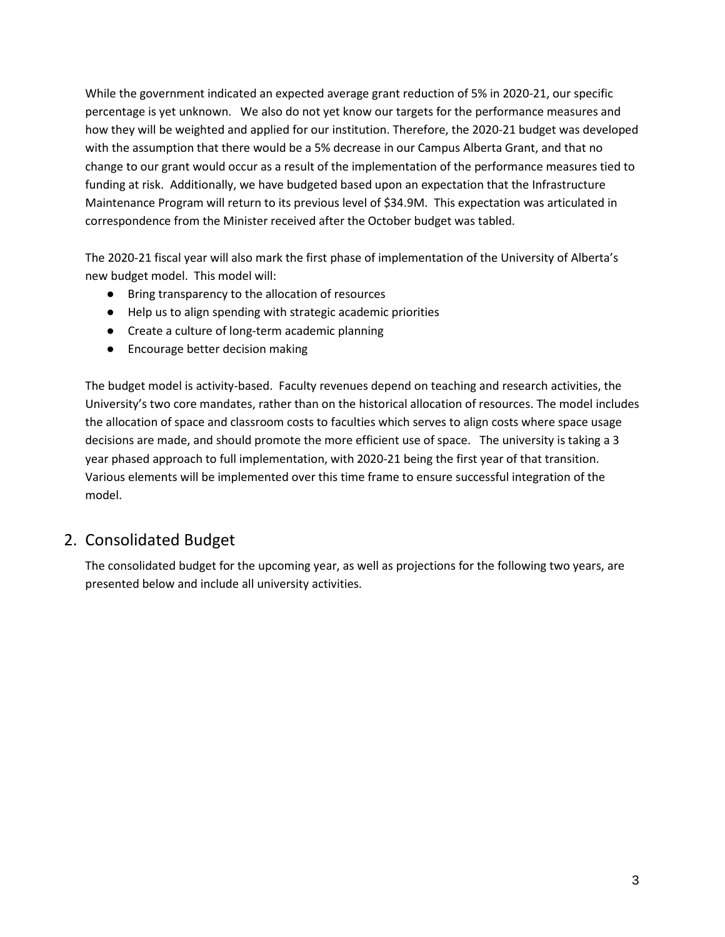While the government indicated an expected average grant reduction of 5% in 2020-21, our specific percentage is yet unknown. We also do not yet know our targets for the performance measures and how they will be weighted and applied for our institution. Therefore, the 2020-21 budget was developed with the assumption that there would be a 5% decrease in our Campus Alberta Grant, and that no change to our grant would occur as a result of the implementation of the performance measures tied to funding at risk. Additionally, we have budgeted based upon an expectation that the Infrastructure Maintenance Program will return to its previous level of \$34.9M. This expectation was articulated in correspondence from the Minister received after the October budget was tabled.

The 2020-21 fiscal year will also mark the first phase of implementation of the University of Alberta's new budget model. This model will:

- Bring transparency to the allocation of resources
- Help us to align spending with strategic academic priorities
- Create a culture of long-term academic planning
- Encourage better decision making

The budget model is activity-based. Faculty revenues depend on teaching and research activities, the University's two core mandates, rather than on the historical allocation of resources. The model includes the allocation of space and classroom costs to faculties which serves to align costs where space usage decisions are made, and should promote the more efficient use of space. The university is taking a 3 year phased approach to full implementation, with 2020-21 being the first year of that transition. Various elements will be implemented over this time frame to ensure successful integration of the model.

# <span id="page-35-0"></span>2. Consolidated Budget

The consolidated budget for the upcoming year, as well as projections for the following two years, are presented below and include all university activities.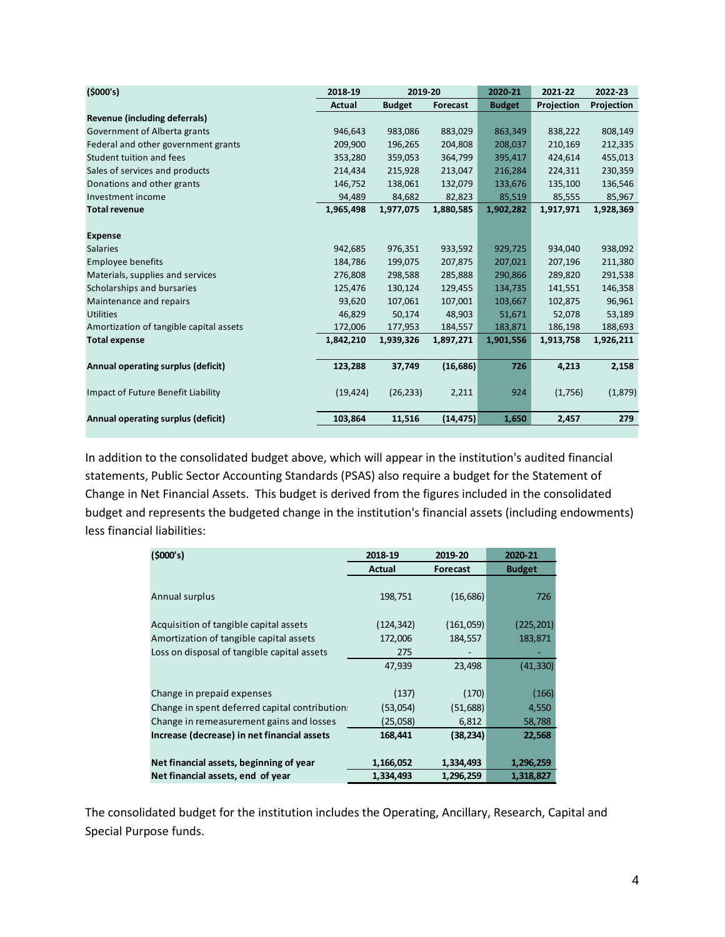| (5000's)                                | 2018-19   | 2019-20       |           | 2020-21       | 2021-22    | 2022-23    |
|-----------------------------------------|-----------|---------------|-----------|---------------|------------|------------|
|                                         | Actual    | <b>Budget</b> | Forecast  | <b>Budget</b> | Projection | Projection |
| Revenue (including deferrals)           |           |               |           |               |            |            |
| Government of Alberta grants            | 946,643   | 983,086       | 883,029   | 863,349       | 838,222    | 808,149    |
| Federal and other government grants     | 209,900   | 196,265       | 204,808   | 208,037       | 210,169    | 212,335    |
| Student tuition and fees                | 353,280   | 359,053       | 364,799   | 395,417       | 424,614    | 455,013    |
| Sales of services and products          | 214,434   | 215,928       | 213,047   | 216,284       | 224,311    | 230,359    |
| Donations and other grants              | 146,752   | 138,061       | 132,079   | 133,676       | 135,100    | 136,546    |
| Investment income                       | 94,489    | 84,682        | 82,823    | 85,519        | 85,555     | 85,967     |
| <b>Total revenue</b>                    | 1,965,498 | 1,977,075     | 1,880,585 | 1,902,282     | 1,917,971  | 1,928,369  |
|                                         |           |               |           |               |            |            |
| <b>Expense</b>                          |           |               |           |               |            |            |
| <b>Salaries</b>                         | 942,685   | 976,351       | 933,592   | 929,725       | 934,040    | 938,092    |
| <b>Employee benefits</b>                | 184,786   | 199,075       | 207,875   | 207,021       | 207,196    | 211,380    |
| Materials, supplies and services        | 276,808   | 298,588       | 285,888   | 290,866       | 289,820    | 291,538    |
| Scholarships and bursaries              | 125,476   | 130,124       | 129,455   | 134,735       | 141,551    | 146,358    |
| Maintenance and repairs                 | 93,620    | 107,061       | 107,001   | 103,667       | 102,875    | 96,961     |
| <b>Utilities</b>                        | 46,829    | 50,174        | 48,903    | 51,671        | 52,078     | 53,189     |
| Amortization of tangible capital assets | 172,006   | 177,953       | 184,557   | 183,871       | 186,198    | 188,693    |
| <b>Total expense</b>                    | 1,842,210 | 1,939,326     | 1,897,271 | 1,901,556     | 1,913,758  | 1,926,211  |
| Annual operating surplus (deficit)      | 123,288   | 37,749        | (16, 686) | 726           | 4,213      | 2,158      |
| Impact of Future Benefit Liability      | (19, 424) | (26, 233)     | 2,211     | 924           | (1,756)    | (1,879)    |
| Annual operating surplus (deficit)      | 103,864   | 11,516        | (14, 475) | 1,650         | 2,457      | 279        |

In addition to the consolidated budget above, which will appear in the institution's audited financial statements, Public Sector Accounting Standards (PSAS) also require a budget for the Statement of Change in Net Financial Assets. This budget is derived from the figures included in the consolidated budget and represents the budgeted change in the institution's financial assets (including endowments) less financial liabilities:

| (5000's)                                       | 2018-19    | 2019-20         | 2020-21       |
|------------------------------------------------|------------|-----------------|---------------|
|                                                | Actual     | <b>Forecast</b> | <b>Budget</b> |
|                                                |            |                 |               |
| Annual surplus                                 | 198,751    | (16, 686)       | 726           |
|                                                |            |                 |               |
| Acquisition of tangible capital assets         | (124, 342) | (161,059)       | (225, 201)    |
| Amortization of tangible capital assets        | 172,006    | 184,557         | 183,871       |
| Loss on disposal of tangible capital assets    | 275        |                 |               |
|                                                | 47,939     | 23,498          | (41, 330)     |
|                                                |            |                 |               |
| Change in prepaid expenses                     | (137)      | (170)           | (166)         |
| Change in spent deferred capital contribution. | (53,054)   | (51, 688)       | 4,550         |
| Change in remeasurement gains and losses       | (25,058)   | 6,812           | 58,788        |
| Increase (decrease) in net financial assets    | 168,441    | (38, 234)       | 22,568        |
|                                                |            |                 |               |
| Net financial assets, beginning of year        | 1,166,052  | 1,334,493       | 1,296,259     |
| Net financial assets, end of year              | 1,334,493  | 1,296,259       | 1,318,827     |

The consolidated budget for the institution includes the Operating, Ancillary, Research, Capital and Special Purpose funds.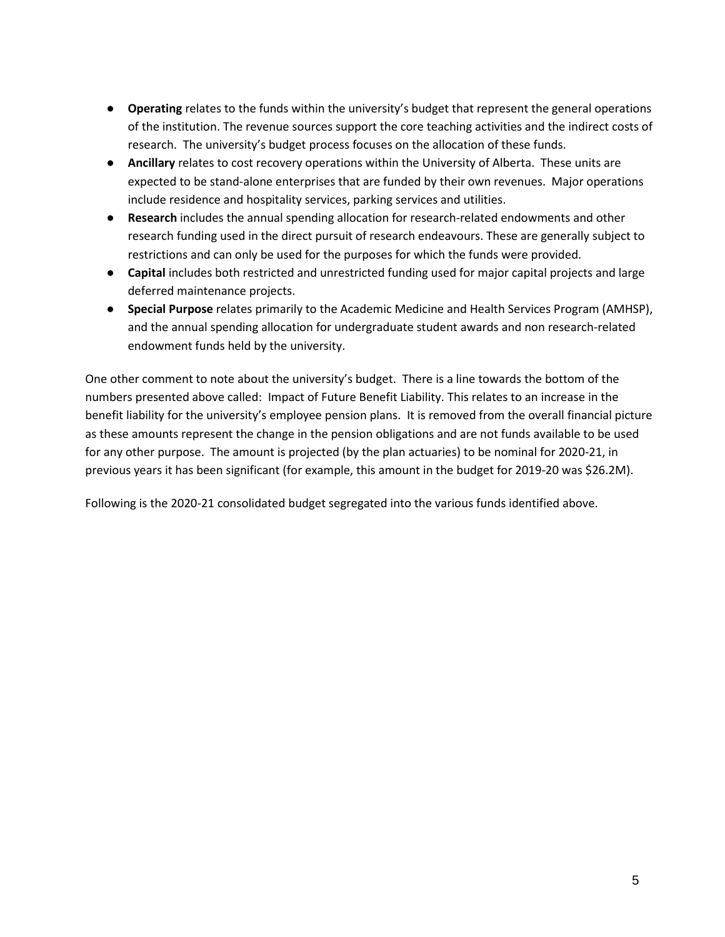- **Operating** relates to the funds within the university's budget that represent the general operations of the institution. The revenue sources support the core teaching activities and the indirect costs of research. The university's budget process focuses on the allocation of these funds.
- **Ancillary** relates to cost recovery operations within the University of Alberta. These units are expected to be stand-alone enterprises that are funded by their own revenues. Major operations include residence and hospitality services, parking services and utilities.
- **Research** includes the annual spending allocation for research-related endowments and other research funding used in the direct pursuit of research endeavours. These are generally subject to restrictions and can only be used for the purposes for which the funds were provided.
- **Capital** includes both restricted and unrestricted funding used for major capital projects and large deferred maintenance projects.
- **Special Purpose** relates primarily to the Academic Medicine and Health Services Program (AMHSP), and the annual spending allocation for undergraduate student awards and non research-related endowment funds held by the university.

One other comment to note about the university's budget. There is a line towards the bottom of the numbers presented above called: Impact of Future Benefit Liability. This relates to an increase in the benefit liability for the university's employee pension plans. It is removed from the overall financial picture as these amounts represent the change in the pension obligations and are not funds available to be used for any other purpose. The amount is projected (by the plan actuaries) to be nominal for 2020-21, in previous years it has been significant (for example, this amount in the budget for 2019-20 was \$26.2M).

Following is the 2020-21 consolidated budget segregated into the various funds identified above.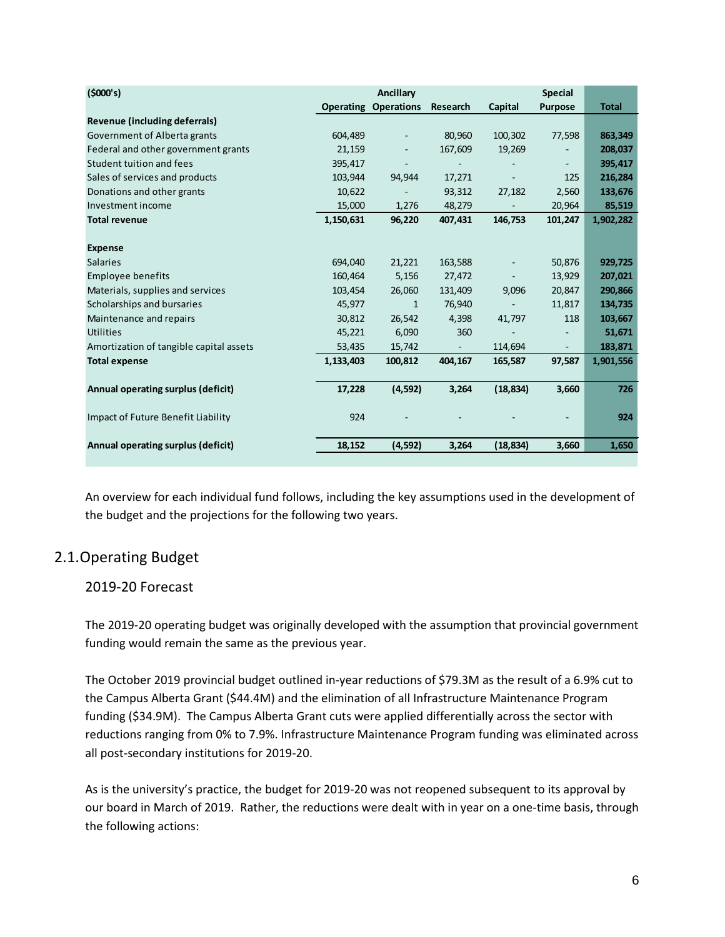| (5000's)                                |                  | Ancillary                |                     |           | <b>Special</b>           |              |
|-----------------------------------------|------------------|--------------------------|---------------------|-----------|--------------------------|--------------|
|                                         | <b>Operating</b> | <b>Operations</b>        | Research            | Capital   | <b>Purpose</b>           | <b>Total</b> |
| Revenue (including deferrals)           |                  |                          |                     |           |                          |              |
| Government of Alberta grants            | 604,489          | $\overline{\phantom{a}}$ | 80,960              | 100,302   | 77,598                   | 863,349      |
| Federal and other government grants     | 21,159           |                          | 167,609             | 19,269    |                          | 208,037      |
| Student tuition and fees                | 395,417          |                          |                     |           |                          | 395,417      |
| Sales of services and products          | 103,944          | 94,944                   | 17,271              |           | 125                      | 216,284      |
| Donations and other grants              | 10,622           |                          | 93,312              | 27,182    | 2,560                    | 133,676      |
| Investment income                       | 15,000           | 1,276                    | 48,279              |           | 20,964                   | 85,519       |
| <b>Total revenue</b>                    | 1,150,631        | 96,220                   | 407,431             | 146,753   | 101,247                  | 1,902,282    |
|                                         |                  |                          |                     |           |                          |              |
| <b>Expense</b>                          |                  |                          |                     |           |                          |              |
| <b>Salaries</b>                         | 694,040          | 21,221                   | 163,588             |           | 50,876                   | 929,725      |
| <b>Employee benefits</b>                | 160,464          | 5,156                    | 27,472              |           | 13,929                   | 207,021      |
| Materials, supplies and services        | 103,454          | 26,060                   | 131,409             | 9,096     | 20,847                   | 290,866      |
| Scholarships and bursaries              | 45,977           | 1                        | 76,940              |           | 11,817                   | 134,735      |
| Maintenance and repairs                 | 30,812           | 26,542                   | 4,398               | 41,797    | 118                      | 103,667      |
| <b>Utilities</b>                        | 45,221           | 6,090                    | 360                 |           |                          | 51,671       |
| Amortization of tangible capital assets | 53,435           | 15,742                   | $\omega_{\rm{eff}}$ | 114,694   | $\overline{\phantom{a}}$ | 183,871      |
| <b>Total expense</b>                    | 1,133,403        | 100,812                  | 404,167             | 165,587   | 97,587                   | 1,901,556    |
|                                         |                  |                          |                     |           |                          |              |
| Annual operating surplus (deficit)      | 17,228           | (4, 592)                 | 3,264               | (18, 834) | 3,660                    | 726          |
|                                         |                  |                          |                     |           |                          |              |
| Impact of Future Benefit Liability      | 924              |                          |                     |           |                          | 924          |
|                                         |                  |                          |                     |           |                          |              |
| Annual operating surplus (deficit)      | 18,152           | (4,592)                  | 3,264               | (18, 834) | 3,660                    | 1,650        |

An overview for each individual fund follows, including the key assumptions used in the development of the budget and the projections for the following two years.

# <span id="page-38-0"></span>2.1.Operating Budget

# 2019-20 Forecast

The 2019-20 operating budget was originally developed with the assumption that provincial government funding would remain the same as the previous year.

The October 2019 provincial budget outlined in-year reductions of \$79.3M as the result of a 6.9% cut to the Campus Alberta Grant (\$44.4M) and the elimination of all Infrastructure Maintenance Program funding (\$34.9M). The Campus Alberta Grant cuts were applied differentially across the sector with reductions ranging from 0% to 7.9%. Infrastructure Maintenance Program funding was eliminated across all post-secondary institutions for 2019-20.

As is the university's practice, the budget for 2019-20 was not reopened subsequent to its approval by our board in March of 2019. Rather, the reductions were dealt with in year on a one-time basis, through the following actions: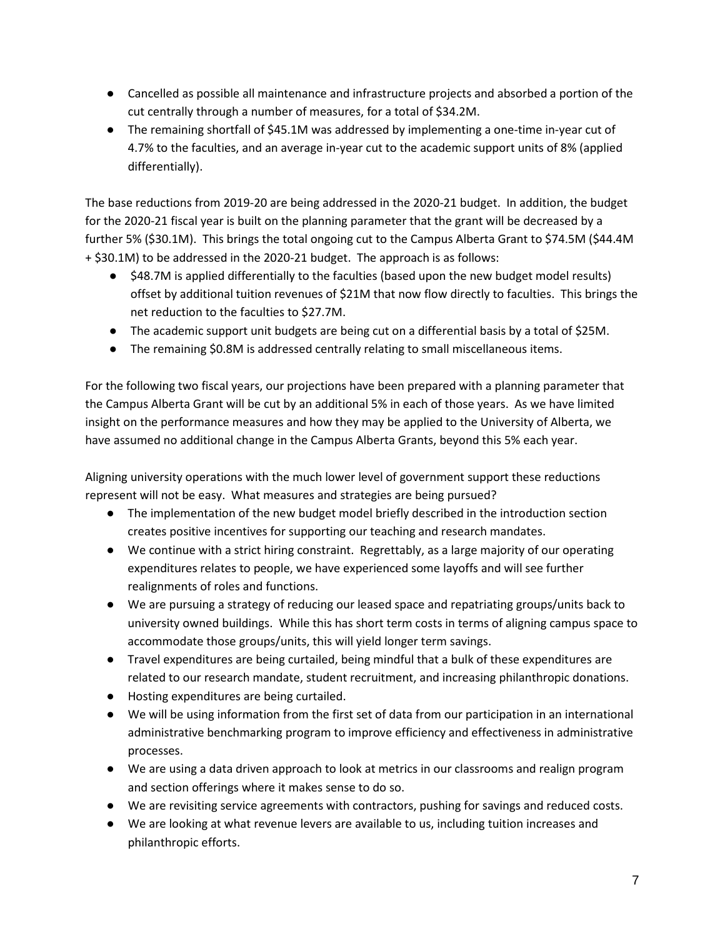- Cancelled as possible all maintenance and infrastructure projects and absorbed a portion of the cut centrally through a number of measures, for a total of \$34.2M.
- The remaining shortfall of \$45.1M was addressed by implementing a one-time in-year cut of 4.7% to the faculties, and an average in-year cut to the academic support units of 8% (applied differentially).

The base reductions from 2019-20 are being addressed in the 2020-21 budget. In addition, the budget for the 2020-21 fiscal year is built on the planning parameter that the grant will be decreased by a further 5% (\$30.1M). This brings the total ongoing cut to the Campus Alberta Grant to \$74.5M (\$44.4M + \$30.1M) to be addressed in the 2020-21 budget. The approach is as follows:

- \$48.7M is applied differentially to the faculties (based upon the new budget model results) offset by additional tuition revenues of \$21M that now flow directly to faculties. This brings the net reduction to the faculties to \$27.7M.
- The academic support unit budgets are being cut on a differential basis by a total of \$25M.
- The remaining \$0.8M is addressed centrally relating to small miscellaneous items.

For the following two fiscal years, our projections have been prepared with a planning parameter that the Campus Alberta Grant will be cut by an additional 5% in each of those years. As we have limited insight on the performance measures and how they may be applied to the University of Alberta, we have assumed no additional change in the Campus Alberta Grants, beyond this 5% each year.

Aligning university operations with the much lower level of government support these reductions represent will not be easy. What measures and strategies are being pursued?

- The implementation of the new budget model briefly described in the introduction section creates positive incentives for supporting our teaching and research mandates.
- We continue with a strict hiring constraint. Regrettably, as a large majority of our operating expenditures relates to people, we have experienced some layoffs and will see further realignments of roles and functions.
- We are pursuing a strategy of reducing our leased space and repatriating groups/units back to university owned buildings. While this has short term costs in terms of aligning campus space to accommodate those groups/units, this will yield longer term savings.
- Travel expenditures are being curtailed, being mindful that a bulk of these expenditures are related to our research mandate, student recruitment, and increasing philanthropic donations.
- Hosting expenditures are being curtailed.
- We will be using information from the first set of data from our participation in an international administrative benchmarking program to improve efficiency and effectiveness in administrative processes.
- We are using a data driven approach to look at metrics in our classrooms and realign program and section offerings where it makes sense to do so.
- We are revisiting service agreements with contractors, pushing for savings and reduced costs.
- We are looking at what revenue levers are available to us, including tuition increases and philanthropic efforts.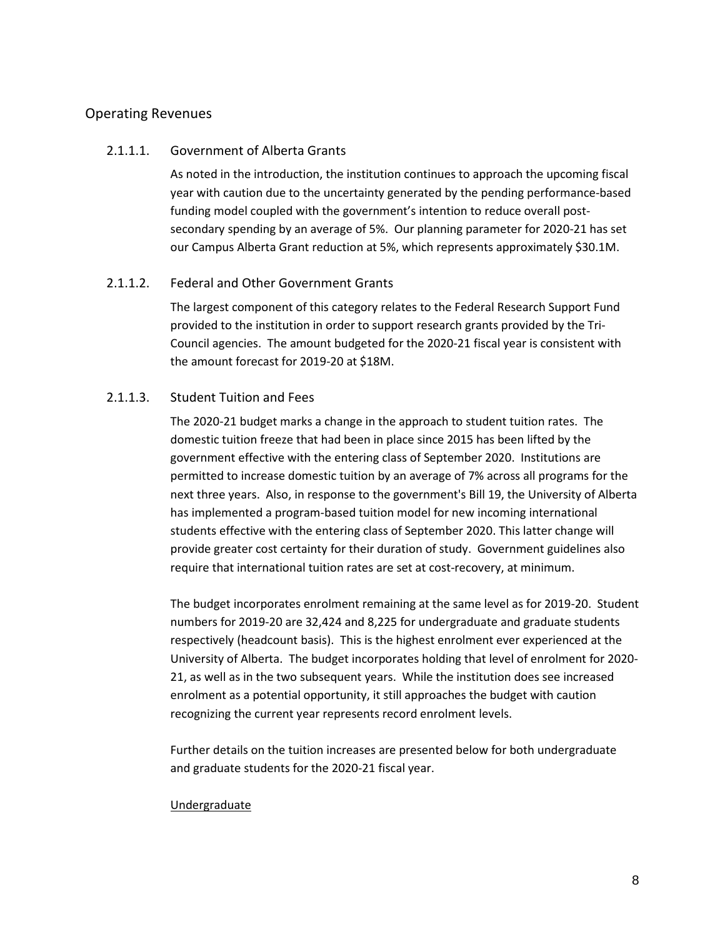## <span id="page-40-0"></span>Operating Revenues

## 2.1.1.1. Government of Alberta Grants

As noted in the introduction, the institution continues to approach the upcoming fiscal year with caution due to the uncertainty generated by the pending performance-based funding model coupled with the government's intention to reduce overall postsecondary spending by an average of 5%. Our planning parameter for 2020-21 has set our Campus Alberta Grant reduction at 5%, which represents approximately \$30.1M.

## <span id="page-40-1"></span>2.1.1.2. Federal and Other Government Grants

The largest component of this category relates to the Federal Research Support Fund provided to the institution in order to support research grants provided by the Tri-Council agencies. The amount budgeted for the 2020-21 fiscal year is consistent with the amount forecast for 2019-20 at \$18M.

## <span id="page-40-2"></span>2.1.1.3. Student Tuition and Fees

The 2020-21 budget marks a change in the approach to student tuition rates. The domestic tuition freeze that had been in place since 2015 has been lifted by the government effective with the entering class of September 2020. Institutions are permitted to increase domestic tuition by an average of 7% across all programs for the next three years. Also, in response to the government's Bill 19, the University of Alberta has implemented a program-based tuition model for new incoming international students effective with the entering class of September 2020. This latter change will provide greater cost certainty for their duration of study. Government guidelines also require that international tuition rates are set at cost-recovery, at minimum.

The budget incorporates enrolment remaining at the same level as for 2019-20. Student numbers for 2019-20 are 32,424 and 8,225 for undergraduate and graduate students respectively (headcount basis). This is the highest enrolment ever experienced at the University of Alberta. The budget incorporates holding that level of enrolment for 2020- 21, as well as in the two subsequent years. While the institution does see increased enrolment as a potential opportunity, it still approaches the budget with caution recognizing the current year represents record enrolment levels.

Further details on the tuition increases are presented below for both undergraduate and graduate students for the 2020-21 fiscal year.

#### Undergraduate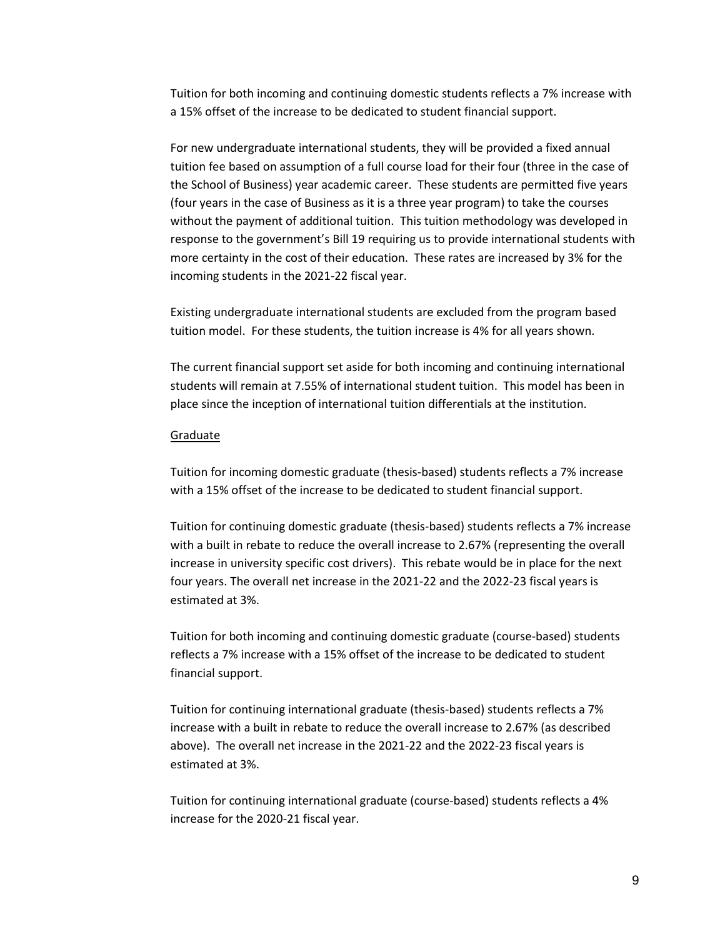Tuition for both incoming and continuing domestic students reflects a 7% increase with a 15% offset of the increase to be dedicated to student financial support.

For new undergraduate international students, they will be provided a fixed annual tuition fee based on assumption of a full course load for their four (three in the case of the School of Business) year academic career. These students are permitted five years (four years in the case of Business as it is a three year program) to take the courses without the payment of additional tuition. This tuition methodology was developed in response to the government's Bill 19 requiring us to provide international students with more certainty in the cost of their education. These rates are increased by 3% for the incoming students in the 2021-22 fiscal year.

Existing undergraduate international students are excluded from the program based tuition model. For these students, the tuition increase is 4% for all years shown.

The current financial support set aside for both incoming and continuing international students will remain at 7.55% of international student tuition. This model has been in place since the inception of international tuition differentials at the institution.

#### **Graduate**

Tuition for incoming domestic graduate (thesis-based) students reflects a 7% increase with a 15% offset of the increase to be dedicated to student financial support.

Tuition for continuing domestic graduate (thesis-based) students reflects a 7% increase with a built in rebate to reduce the overall increase to 2.67% (representing the overall increase in university specific cost drivers). This rebate would be in place for the next four years. The overall net increase in the 2021-22 and the 2022-23 fiscal years is estimated at 3%.

Tuition for both incoming and continuing domestic graduate (course-based) students reflects a 7% increase with a 15% offset of the increase to be dedicated to student financial support.

Tuition for continuing international graduate (thesis-based) students reflects a 7% increase with a built in rebate to reduce the overall increase to 2.67% (as described above). The overall net increase in the 2021-22 and the 2022-23 fiscal years is estimated at 3%.

Tuition for continuing international graduate (course-based) students reflects a 4% increase for the 2020-21 fiscal year.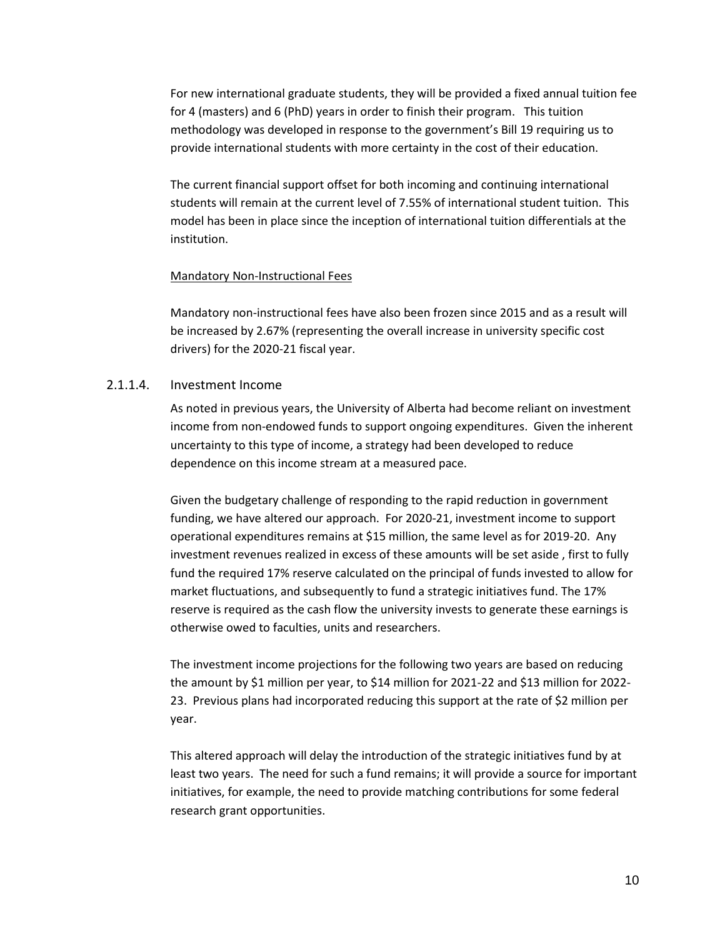For new international graduate students, they will be provided a fixed annual tuition fee for 4 (masters) and 6 (PhD) years in order to finish their program. This tuition methodology was developed in response to the government's Bill 19 requiring us to provide international students with more certainty in the cost of their education.

The current financial support offset for both incoming and continuing international students will remain at the current level of 7.55% of international student tuition. This model has been in place since the inception of international tuition differentials at the institution.

#### Mandatory Non-Instructional Fees

Mandatory non-instructional fees have also been frozen since 2015 and as a result will be increased by 2.67% (representing the overall increase in university specific cost drivers) for the 2020-21 fiscal year.

## <span id="page-42-0"></span>2.1.1.4. Investment Income

As noted in previous years, the University of Alberta had become reliant on investment income from non-endowed funds to support ongoing expenditures. Given the inherent uncertainty to this type of income, a strategy had been developed to reduce dependence on this income stream at a measured pace.

Given the budgetary challenge of responding to the rapid reduction in government funding, we have altered our approach. For 2020-21, investment income to support operational expenditures remains at \$15 million, the same level as for 2019-20. Any investment revenues realized in excess of these amounts will be set aside , first to fully fund the required 17% reserve calculated on the principal of funds invested to allow for market fluctuations, and subsequently to fund a strategic initiatives fund. The 17% reserve is required as the cash flow the university invests to generate these earnings is otherwise owed to faculties, units and researchers.

The investment income projections for the following two years are based on reducing the amount by \$1 million per year, to \$14 million for 2021-22 and \$13 million for 2022- 23. Previous plans had incorporated reducing this support at the rate of \$2 million per year.

This altered approach will delay the introduction of the strategic initiatives fund by at least two years. The need for such a fund remains; it will provide a source for important initiatives, for example, the need to provide matching contributions for some federal research grant opportunities.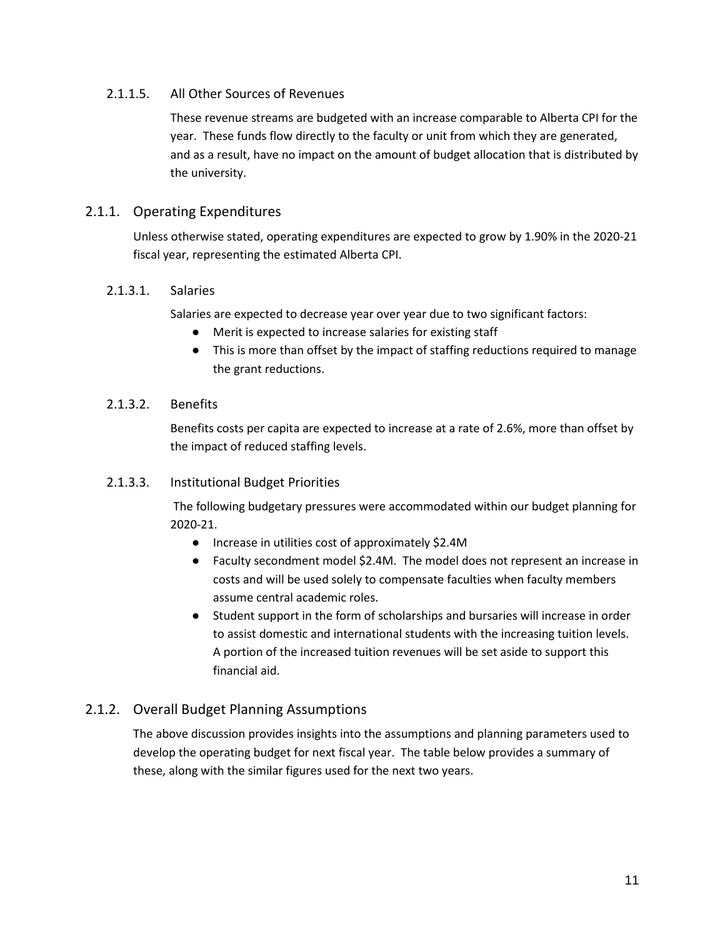# <span id="page-43-0"></span>2.1.1.5. All Other Sources of Revenues

These revenue streams are budgeted with an increase comparable to Alberta CPI for the year. These funds flow directly to the faculty or unit from which they are generated, and as a result, have no impact on the amount of budget allocation that is distributed by the university.

# <span id="page-43-1"></span>2.1.1. Operating Expenditures

Unless otherwise stated, operating expenditures are expected to grow by 1.90% in the 2020-21 fiscal year, representing the estimated Alberta CPI.

## <span id="page-43-2"></span>2.1.3.1. Salaries

Salaries are expected to decrease year over year due to two significant factors:

- Merit is expected to increase salaries for existing staff
- This is more than offset by the impact of staffing reductions required to manage the grant reductions.

## <span id="page-43-3"></span>2.1.3.2. Benefits

Benefits costs per capita are expected to increase at a rate of 2.6%, more than offset by the impact of reduced staffing levels.

## <span id="page-43-4"></span>2.1.3.3. Institutional Budget Priorities

The following budgetary pressures were accommodated within our budget planning for 2020-21.

- Increase in utilities cost of approximately \$2.4M
- Faculty secondment model \$2.4M. The model does not represent an increase in costs and will be used solely to compensate faculties when faculty members assume central academic roles.
- Student support in the form of scholarships and bursaries will increase in order to assist domestic and international students with the increasing tuition levels. A portion of the increased tuition revenues will be set aside to support this financial aid.

# <span id="page-43-5"></span>2.1.2. Overall Budget Planning Assumptions

The above discussion provides insights into the assumptions and planning parameters used to develop the operating budget for next fiscal year. The table below provides a summary of these, along with the similar figures used for the next two years.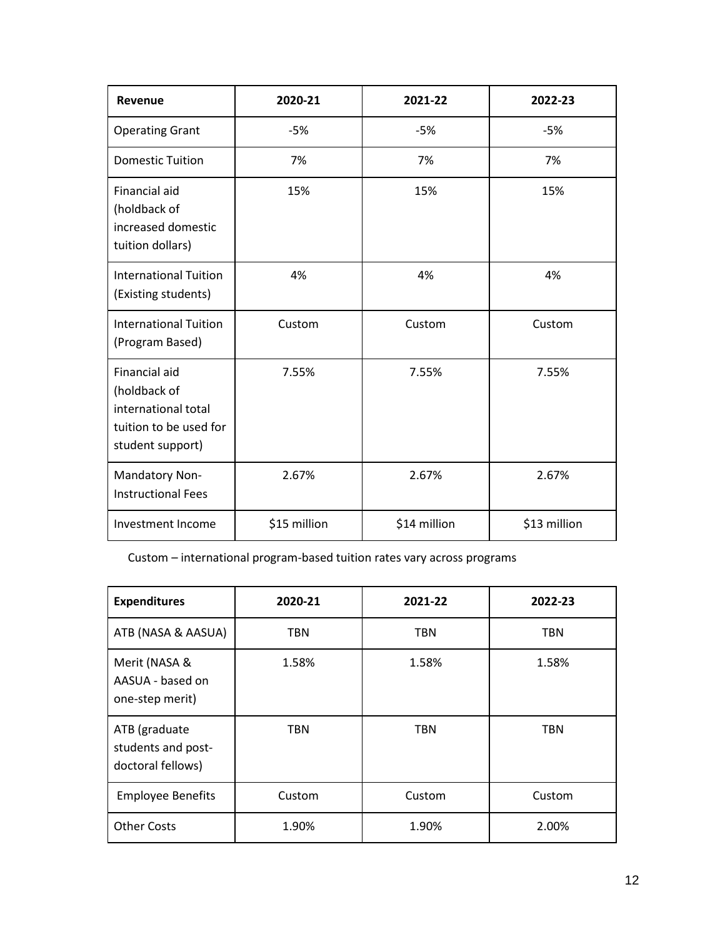| <b>Revenue</b>                                                                                     | 2020-21      | 2021-22      | 2022-23      |
|----------------------------------------------------------------------------------------------------|--------------|--------------|--------------|
| <b>Operating Grant</b>                                                                             | $-5%$        | $-5%$        | $-5%$        |
| <b>Domestic Tuition</b>                                                                            | 7%           | 7%           | 7%           |
| Financial aid<br>(holdback of<br>increased domestic<br>tuition dollars)                            | 15%          | 15%          | 15%          |
| <b>International Tuition</b><br>(Existing students)                                                | 4%           | 4%           | 4%           |
| <b>International Tuition</b><br>(Program Based)                                                    | Custom       | Custom       | Custom       |
| Financial aid<br>(holdback of<br>international total<br>tuition to be used for<br>student support) | 7.55%        | 7.55%        | 7.55%        |
| Mandatory Non-<br><b>Instructional Fees</b>                                                        | 2.67%        | 2.67%        | 2.67%        |
| Investment Income                                                                                  | \$15 million | \$14 million | \$13 million |

Custom – international program-based tuition rates vary across programs

| <b>Expenditures</b>                                      | 2020-21    | 2021-22    | 2022-23    |
|----------------------------------------------------------|------------|------------|------------|
| ATB (NASA & AASUA)                                       | TBN        | <b>TBN</b> | <b>TBN</b> |
| Merit (NASA &<br>AASUA - based on<br>one-step merit)     | 1.58%      | 1.58%      | 1.58%      |
| ATB (graduate<br>students and post-<br>doctoral fellows) | <b>TBN</b> | <b>TBN</b> | <b>TBN</b> |
| <b>Employee Benefits</b>                                 | Custom     | Custom     | Custom     |
| <b>Other Costs</b>                                       | 1.90%      | 1.90%      | 2.00%      |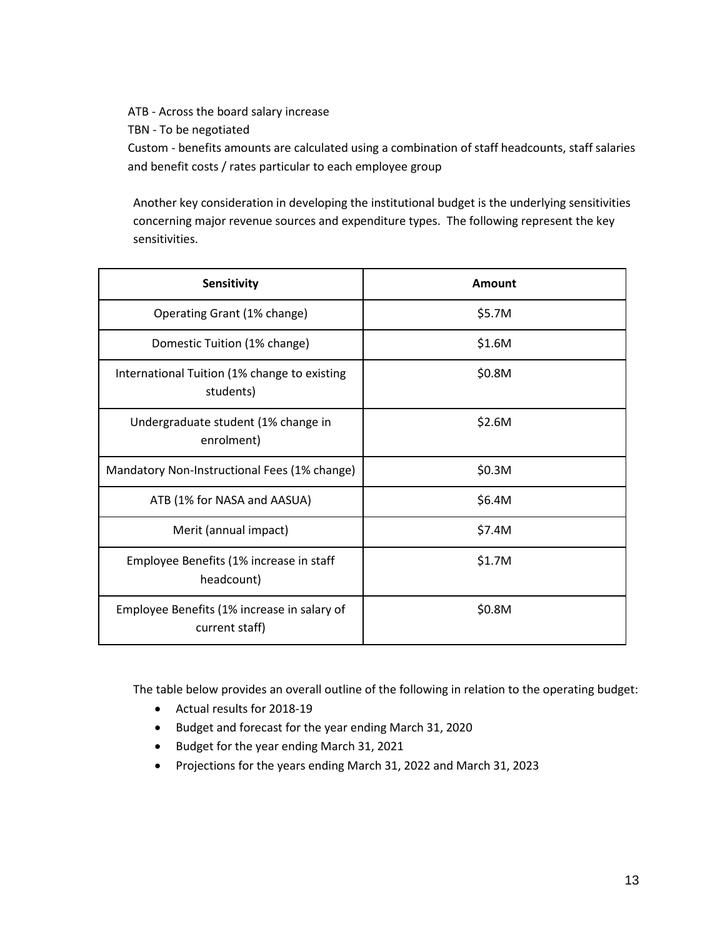ATB - Across the board salary increase

TBN - To be negotiated

Custom - benefits amounts are calculated using a combination of staff headcounts, staff salaries and benefit costs / rates particular to each employee group

Another key consideration in developing the institutional budget is the underlying sensitivities concerning major revenue sources and expenditure types. The following represent the key sensitivities.

| Sensitivity                                                   | Amount |
|---------------------------------------------------------------|--------|
| Operating Grant (1% change)                                   | \$5.7M |
| Domestic Tuition (1% change)                                  | \$1.6M |
| International Tuition (1% change to existing<br>students)     | \$0.8M |
| Undergraduate student (1% change in<br>enrolment)             | \$2.6M |
| Mandatory Non-Instructional Fees (1% change)                  | \$0.3M |
| ATB (1% for NASA and AASUA)                                   | \$6.4M |
| Merit (annual impact)                                         | \$7.4M |
| Employee Benefits (1% increase in staff<br>headcount)         | \$1.7M |
| Employee Benefits (1% increase in salary of<br>current staff) | \$0.8M |

The table below provides an overall outline of the following in relation to the operating budget:

- Actual results for 2018-19
- Budget and forecast for the year ending March 31, 2020
- Budget for the year ending March 31, 2021
- Projections for the years ending March 31, 2022 and March 31, 2023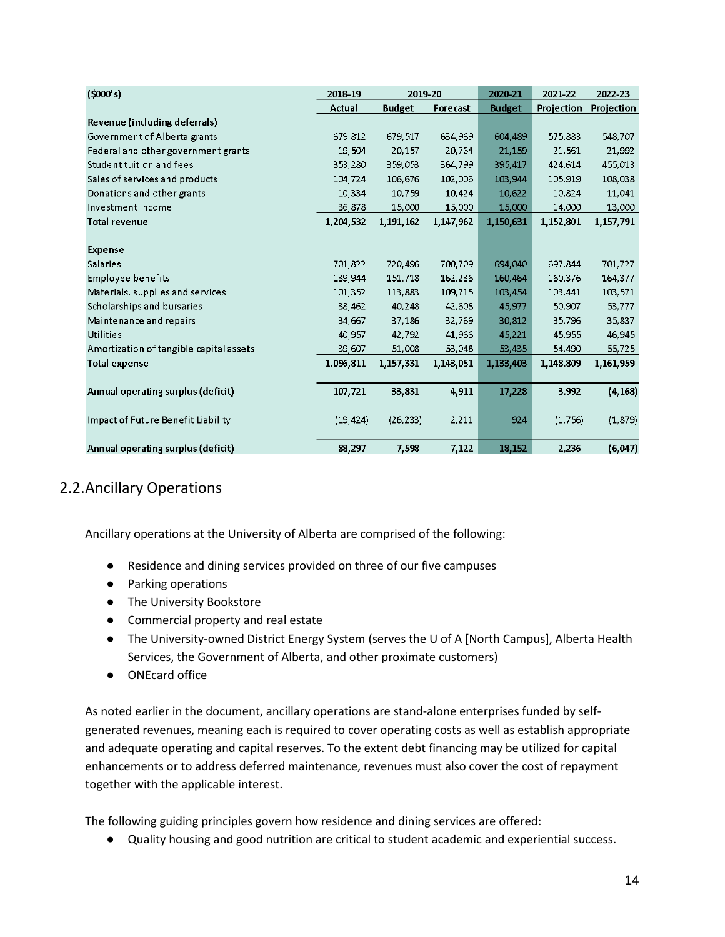| (5000's)                                | 2018-19   | 2019-20       |           | 2020-21       | 2021-22    | 2022-23    |
|-----------------------------------------|-----------|---------------|-----------|---------------|------------|------------|
|                                         | Actual    | <b>Budget</b> | Forecast  | <b>Budget</b> | Projection | Projection |
| Revenue (including deferrals)           |           |               |           |               |            |            |
| Government of Alberta grants            | 679,812   | 679,517       | 634,969   | 604,489       | 575,883    | 548,707    |
| Federal and other government grants     | 19,504    | 20,157        | 20,764    | 21,159        | 21,561     | 21,992     |
| Student tuition and fees                | 353,280   | 359,053       | 364,799   | 395,417       | 424,614    | 455,013    |
| Sales of services and products          | 104,724   | 106,676       | 102,006   | 103,944       | 105,919    | 108,038    |
| Donations and other grants              | 10.334    | 10.759        | 10,424    | 10,622        | 10.824     | 11,041     |
| Investment income                       | 36,878    | 15,000        | 15,000    | 15,000        | 14,000     | 13,000     |
| <b>Total revenue</b>                    | 1,204,532 | 1,191,162     | 1,147,962 | 1,150,631     | 1,152,801  | 1,157,791  |
|                                         |           |               |           |               |            |            |
| <b>Expense</b>                          |           |               |           |               |            |            |
| <b>Salaries</b>                         | 701,822   | 720,496       | 700,709   | 694.040       | 697.844    | 701,727    |
| Employee benefits                       | 139,944   | 151,718       | 162,236   | 160,464       | 160,376    | 164,377    |
| Materials, supplies and services        | 101,352   | 113,883       | 109,715   | 103,454       | 103,441    | 103,571    |
| Scholarships and bursaries              | 38, 462   | 40,248        | 42,608    | 45,977        | 50,907     | 53,777     |
| Maintenance and repairs                 | 34,667    | 37,186        | 32,769    | 30,812        | 35,796     | 35,837     |
| <b>Utilities</b>                        | 40.957    | 42,792        | 41,966    | 45,221        | 45,955     | 46,945     |
| Amortization of tangible capital assets | 39,607    | 51,008        | 53,048    | 53,435        | 54,490     | 55,725     |
| <b>Total expense</b>                    | 1,096.811 | 1,157,331     | 1,143,051 | 1,133,403     | 1,148,809  | 1,161,959  |
|                                         |           |               |           |               |            |            |
| Annual operating surplus (deficit)      | 107,721   | 33,831        | 4,911     | 17,228        | 3,992      | (4, 168)   |
|                                         |           |               |           |               |            |            |
| Impact of Future Benefit Liability      | (19, 424) | (26, 233)     | 2,211     | 924           | (1,756)    | (1,879)    |
|                                         |           |               |           |               |            |            |
| Annual operating surplus (deficit)      | 88,297    | 7,598         | 7,122     | 18,152        | 2,236      | (6,047)    |

# <span id="page-46-0"></span>2.2.Ancillary Operations

Ancillary operations at the University of Alberta are comprised of the following:

- Residence and dining services provided on three of our five campuses
- Parking operations
- The University Bookstore
- Commercial property and real estate
- The University-owned District Energy System (serves the U of A [North Campus], Alberta Health Services, the Government of Alberta, and other proximate customers)
- ONEcard office

As noted earlier in the document, ancillary operations are stand-alone enterprises funded by selfgenerated revenues, meaning each is required to cover operating costs as well as establish appropriate and adequate operating and capital reserves. To the extent debt financing may be utilized for capital enhancements or to address deferred maintenance, revenues must also cover the cost of repayment together with the applicable interest.

The following guiding principles govern how residence and dining services are offered:

● Quality housing and good nutrition are critical to student academic and experiential success.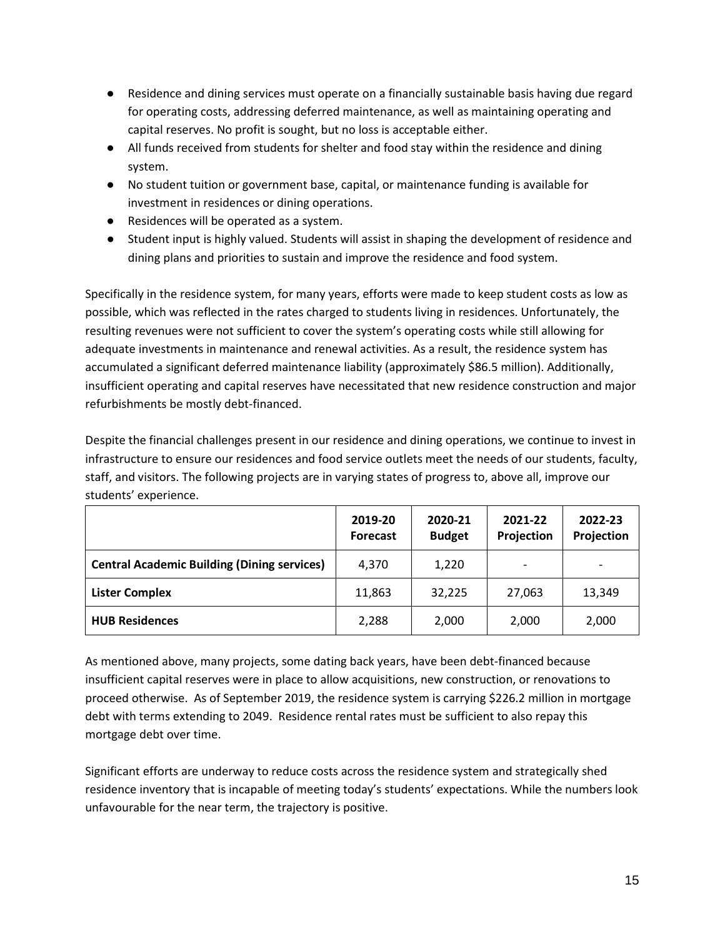- Residence and dining services must operate on a financially sustainable basis having due regard for operating costs, addressing deferred maintenance, as well as maintaining operating and capital reserves. No profit is sought, but no loss is acceptable either.
- All funds received from students for shelter and food stay within the residence and dining system.
- No student tuition or government base, capital, or maintenance funding is available for investment in residences or dining operations.
- Residences will be operated as a system.
- Student input is highly valued. Students will assist in shaping the development of residence and dining plans and priorities to sustain and improve the residence and food system.

Specifically in the residence system, for many years, efforts were made to keep student costs as low as possible, which was reflected in the rates charged to students living in residences. Unfortunately, the resulting revenues were not sufficient to cover the system's operating costs while still allowing for adequate investments in maintenance and renewal activities. As a result, the residence system has accumulated a significant deferred maintenance liability (approximately \$86.5 million). Additionally, insufficient operating and capital reserves have necessitated that new residence construction and major refurbishments be mostly debt-financed.

Despite the financial challenges present in our residence and dining operations, we continue to invest in infrastructure to ensure our residences and food service outlets meet the needs of our students, faculty, staff, and visitors. The following projects are in varying states of progress to, above all, improve our students' experience.

|                                                    | 2019-20<br><b>Forecast</b> | 2020-21<br><b>Budget</b> | 2021-22<br>Projection | 2022-23<br>Projection |
|----------------------------------------------------|----------------------------|--------------------------|-----------------------|-----------------------|
| <b>Central Academic Building (Dining services)</b> | 4,370                      | 1,220                    | -                     |                       |
| <b>Lister Complex</b>                              | 11,863                     | 32,225                   | 27,063                | 13,349                |
| <b>HUB Residences</b>                              | 2,288                      | 2,000                    | 2,000                 | 2,000                 |

As mentioned above, many projects, some dating back years, have been debt-financed because insufficient capital reserves were in place to allow acquisitions, new construction, or renovations to proceed otherwise. As of September 2019, the residence system is carrying \$226.2 million in mortgage debt with terms extending to 2049. Residence rental rates must be sufficient to also repay this mortgage debt over time.

Significant efforts are underway to reduce costs across the residence system and strategically shed residence inventory that is incapable of meeting today's students' expectations. While the numbers look unfavourable for the near term, the trajectory is positive.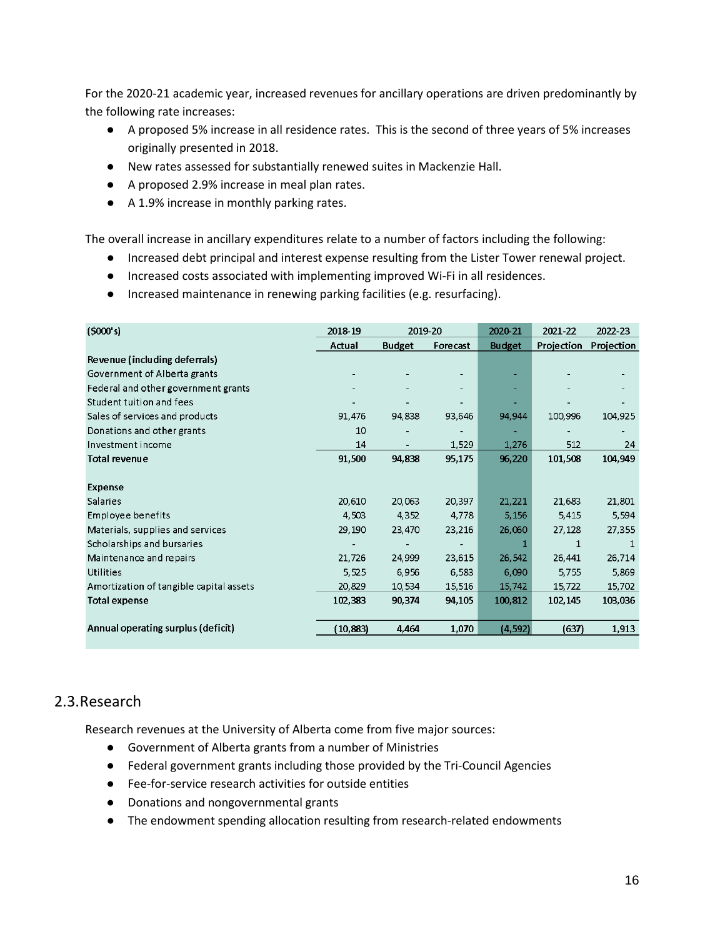For the 2020-21 academic year, increased revenues for ancillary operations are driven predominantly by the following rate increases:

- A proposed 5% increase in all residence rates. This is the second of three years of 5% increases originally presented in 2018.
- New rates assessed for substantially renewed suites in Mackenzie Hall.
- A proposed 2.9% increase in meal plan rates.
- A 1.9% increase in monthly parking rates.

The overall increase in ancillary expenditures relate to a number of factors including the following:

- Increased debt principal and interest expense resulting from the Lister Tower renewal project.
- Increased costs associated with implementing improved Wi-Fi in all residences.
- Increased maintenance in renewing parking facilities (e.g. resurfacing).

| (5000's)                                | 2018-19   | 2019-20       |          | 2020-21       | 2021-22    | 2022-23    |
|-----------------------------------------|-----------|---------------|----------|---------------|------------|------------|
|                                         | Actual    | <b>Budget</b> | Forecast | <b>Budget</b> | Projection | Projection |
| Revenue (including deferrals)           |           |               |          |               |            |            |
| Government of Alberta grants            |           |               |          |               |            |            |
| Federal and other government grants     |           |               |          |               |            |            |
| Student tuition and fees                |           |               |          |               |            |            |
| Sales of services and products          | 91,476    | 94,838        | 93,646   | 94,944        | 100,996    | 104,925    |
| Donations and other grants              | 10        |               |          |               |            |            |
| Investment income                       | 14        |               | 1,529    | 1,276         | 512        | 24         |
| <b>Total revenue</b>                    | 91,500    | 94,838        | 95,175   | 96,220        | 101,508    | 104,949    |
| Expense                                 |           |               |          |               |            |            |
| Salaries                                | 20,610    | 20,063        | 20,397   | 21,221        | 21,683     | 21,801     |
| Employee benefits                       | 4,503     | 4,352         | 4,778    | 5,156         | 5,415      | 5,594      |
| Materials, supplies and services        | 29,190    | 23,470        | 23,216   | 26,060        | 27,128     | 27,355     |
| Scholarships and bursaries              |           |               |          | 1             | 1          |            |
| Maintenance and repairs                 | 21,726    | 24,999        | 23,615   | 26,542        | 26,441     | 26,714     |
| Utilities                               | 5,525     | 6,956         | 6,583    | 6,090         | 5.755      | 5,869      |
| Amortization of tangible capital assets | 20,829    | 10,534        | 15,516   | 15,742        | 15,722     | 15,702     |
| <b>Total expense</b>                    | 102,383   | 90,374        | 94,105   | 100,812       | 102,145    | 103,036    |
| Annual operating surplus (deficit)      | (10, 883) | 4,464         | 1,070    | (4, 592)      | (637)      | 1,913      |

# <span id="page-48-0"></span>2.3.Research

Research revenues at the University of Alberta come from five major sources:

- Government of Alberta grants from a number of Ministries
- Federal government grants including those provided by the Tri-Council Agencies
- Fee-for-service research activities for outside entities
- Donations and nongovernmental grants
- The endowment spending allocation resulting from research-related endowments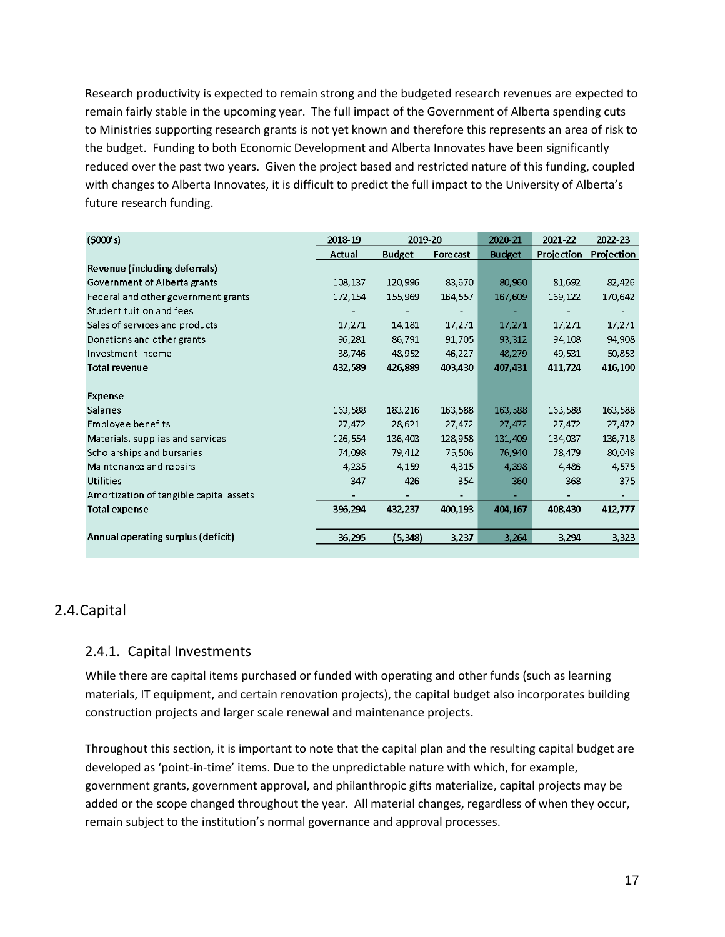Research productivity is expected to remain strong and the budgeted research revenues are expected to remain fairly stable in the upcoming year. The full impact of the Government of Alberta spending cuts to Ministries supporting research grants is not yet known and therefore this represents an area of risk to the budget. Funding to both Economic Development and Alberta Innovates have been significantly reduced over the past two years. Given the project based and restricted nature of this funding, coupled with changes to Alberta Innovates, it is difficult to predict the full impact to the University of Alberta's future research funding.

| (5000's)                                | 2018-19 | 2019-20       |          | 2020-21       | 2021-22    | 2022-23    |
|-----------------------------------------|---------|---------------|----------|---------------|------------|------------|
|                                         | Actual  | <b>Budget</b> | Forecast | <b>Budget</b> | Projection | Projection |
| Revenue (including deferrals)           |         |               |          |               |            |            |
| Government of Alberta grants            | 108,137 | 120,996       | 83,670   | 80,960        | 81,692     | 82,426     |
| Federal and other government grants     | 172,154 | 155,969       | 164,557  | 167,609       | 169,122    | 170,642    |
| Student tuition and fees                |         |               |          |               |            |            |
| Sales of services and products          | 17,271  | 14,181        | 17,271   | 17,271        | 17,271     | 17,271     |
| Donations and other grants              | 96,281  | 86,791        | 91,705   | 93,312        | 94,108     | 94.908     |
| Investment income                       | 38,746  | 48,952        | 46,227   | 48,279        | 49,531     | 50,853     |
| <b>Total revenue</b>                    | 432,589 | 426,889       | 403,430  | 407,431       | 411,724    | 416,100    |
|                                         |         |               |          |               |            |            |
| Expense                                 |         |               |          |               |            |            |
| Salaries                                | 163,588 | 183,216       | 163,588  | 163,588       | 163,588    | 163,588    |
| Employee benefits                       | 27,472  | 28,621        | 27,472   | 27,472        | 27,472     | 27,472     |
| Materials, supplies and services        | 126,554 | 136,403       | 128,958  | 131,409       | 134,037    | 136,718    |
| Scholarships and bursaries              | 74,098  | 79,412        | 75,506   | 76,940        | 78,479     | 80,049     |
| Maintenance and repairs                 | 4,235   | 4,159         | 4,315    | 4,398         | 4,486      | 4,575      |
| Utilities                               | 347     | 426           | 354      | 360           | 368        | 375        |
| Amortization of tangible capital assets | Ξ.      |               |          |               |            |            |
| <b>Total expense</b>                    | 396,294 | 432,237       | 400,193  | 404,167       | 408,430    | 412,777    |
|                                         |         |               |          |               |            |            |
| Annual operating surplus (deficit)      | 36,295  | (5, 348)      | 3,237    | 3,264         | 3,294      | 3,323      |

# <span id="page-49-0"></span>2.4.Capital

## <span id="page-49-1"></span>2.4.1. Capital Investments

While there are capital items purchased or funded with operating and other funds (such as learning materials, IT equipment, and certain renovation projects), the capital budget also incorporates building construction projects and larger scale renewal and maintenance projects.

Throughout this section, it is important to note that the capital plan and the resulting capital budget are developed as 'point-in-time' items. Due to the unpredictable nature with which, for example, government grants, government approval, and philanthropic gifts materialize, capital projects may be added or the scope changed throughout the year. All material changes, regardless of when they occur, remain subject to the institution's normal governance and approval processes.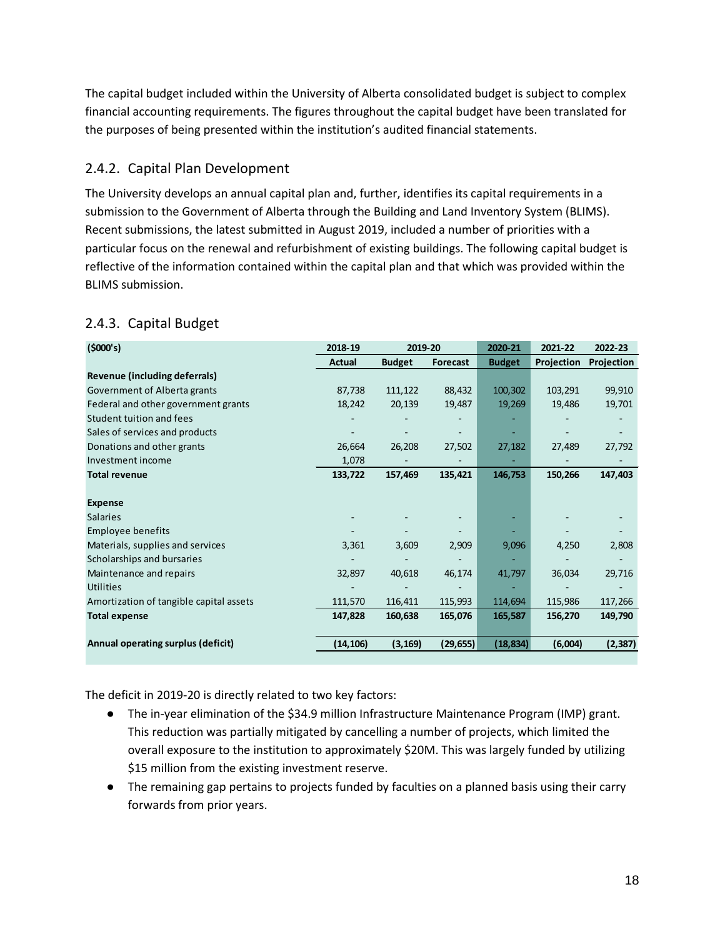The capital budget included within the University of Alberta consolidated budget is subject to complex financial accounting requirements. The figures throughout the capital budget have been translated for the purposes of being presented within the institution's audited financial statements.

# <span id="page-50-0"></span>2.4.2. Capital Plan Development

The University develops an annual capital plan and, further, identifies its capital requirements in a submission to the Government of Alberta through the Building and Land Inventory System (BLIMS). Recent submissions, the latest submitted in August 2019, included a number of priorities with a particular focus on the renewal and refurbishment of existing buildings. The following capital budget is reflective of the information contained within the capital plan and that which was provided within the BLIMS submission.

| (5000's)                                | 2018-19       | 2019-20                  |           | 2020-21       | 2021-22    | 2022-23    |
|-----------------------------------------|---------------|--------------------------|-----------|---------------|------------|------------|
|                                         | <b>Actual</b> | <b>Budget</b>            | Forecast  | <b>Budget</b> | Projection | Projection |
| Revenue (including deferrals)           |               |                          |           |               |            |            |
| Government of Alberta grants            | 87,738        | 111,122                  | 88,432    | 100,302       | 103,291    | 99,910     |
| Federal and other government grants     | 18,242        | 20,139                   | 19,487    | 19,269        | 19,486     | 19,701     |
| Student tuition and fees                |               |                          |           |               |            |            |
| Sales of services and products          |               |                          |           |               |            |            |
| Donations and other grants              | 26,664        | 26,208                   | 27,502    | 27,182        | 27,489     | 27,792     |
| Investment income                       | 1,078         | $\overline{\phantom{a}}$ |           |               |            |            |
| <b>Total revenue</b>                    | 133,722       | 157,469                  | 135,421   | 146,753       | 150,266    | 147,403    |
|                                         |               |                          |           |               |            |            |
| <b>Expense</b>                          |               |                          |           |               |            |            |
| <b>Salaries</b>                         |               |                          |           |               |            |            |
| Employee benefits                       |               |                          |           |               |            |            |
| Materials, supplies and services        | 3,361         | 3,609                    | 2,909     | 9,096         | 4,250      | 2,808      |
| Scholarships and bursaries              |               |                          |           |               |            |            |
| Maintenance and repairs                 | 32,897        | 40,618                   | 46,174    | 41,797        | 36,034     | 29,716     |
| <b>Utilities</b>                        |               |                          |           |               |            |            |
| Amortization of tangible capital assets | 111,570       | 116,411                  | 115,993   | 114,694       | 115,986    | 117,266    |
| <b>Total expense</b>                    | 147,828       | 160,638                  | 165,076   | 165,587       | 156,270    | 149,790    |
|                                         |               |                          |           |               |            |            |
| Annual operating surplus (deficit)      | (14, 106)     | (3, 169)                 | (29, 655) | (18, 834)     | (6,004)    | (2, 387)   |
|                                         |               |                          |           |               |            |            |

# <span id="page-50-1"></span>2.4.3. Capital Budget

The deficit in 2019-20 is directly related to two key factors:

- The in-year elimination of the \$34.9 million Infrastructure Maintenance Program (IMP) grant. This reduction was partially mitigated by cancelling a number of projects, which limited the overall exposure to the institution to approximately \$20M. This was largely funded by utilizing \$15 million from the existing investment reserve.
- The remaining gap pertains to projects funded by faculties on a planned basis using their carry forwards from prior years.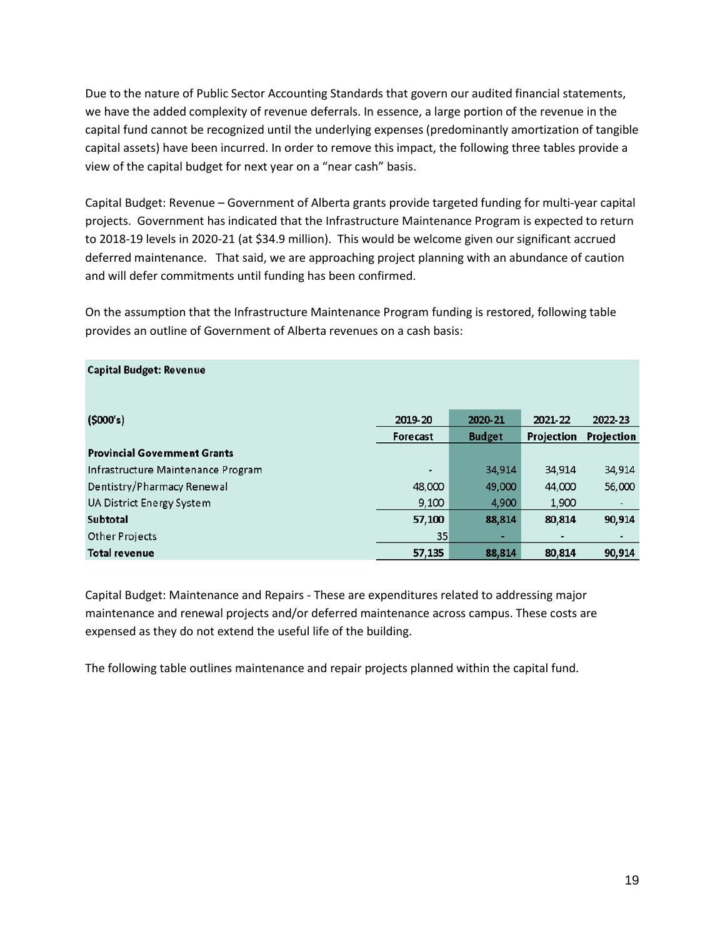Due to the nature of Public Sector Accounting Standards that govern our audited financial statements, we have the added complexity of revenue deferrals. In essence, a large portion of the revenue in the capital fund cannot be recognized until the underlying expenses (predominantly amortization of tangible capital assets) have been incurred. In order to remove this impact, the following three tables provide a view of the capital budget for next year on a "near cash" basis.

Capital Budget: Revenue – Government of Alberta grants provide targeted funding for multi-year capital projects. Government has indicated that the Infrastructure Maintenance Program is expected to return to 2018-19 levels in 2020-21 (at \$34.9 million). This would be welcome given our significant accrued deferred maintenance. That said, we are approaching project planning with an abundance of caution and will defer commitments until funding has been confirmed.

On the assumption that the Infrastructure Maintenance Program funding is restored, following table provides an outline of Government of Alberta revenues on a cash basis:

| <b>Capital Budget: Revenue</b>      |                 |               |            |                          |
|-------------------------------------|-----------------|---------------|------------|--------------------------|
| (5000's)                            | 2019-20         | 2020-21       | 2021-22    | 2022-23                  |
|                                     | <b>Forecast</b> | <b>Budget</b> | Projection | Projection               |
| <b>Provincial Government Grants</b> |                 |               |            |                          |
| Infrastructure Maintenance Program  | ٠               | 34,914        | 34,914     | 34,914                   |
| Dentistry/Pharmacy Renewal          | 48,000          | 49,000        | 44,000     | 56,000                   |
| <b>UA District Energy System</b>    | 9,100           | 4,900         | 1,900      | $\overline{\phantom{a}}$ |
| <b>Subtotal</b>                     | 57,100          | 88,814        | 80,814     | 90,914                   |
| Other Projects                      | 35              | Е             | ۰          | ٠                        |
| <b>Total revenue</b>                | 57,135          | 88,814        | 80,814     | 90,914                   |

Capital Budget: Maintenance and Repairs - These are expenditures related to addressing major maintenance and renewal projects and/or deferred maintenance across campus. These costs are expensed as they do not extend the useful life of the building.

The following table outlines maintenance and repair projects planned within the capital fund.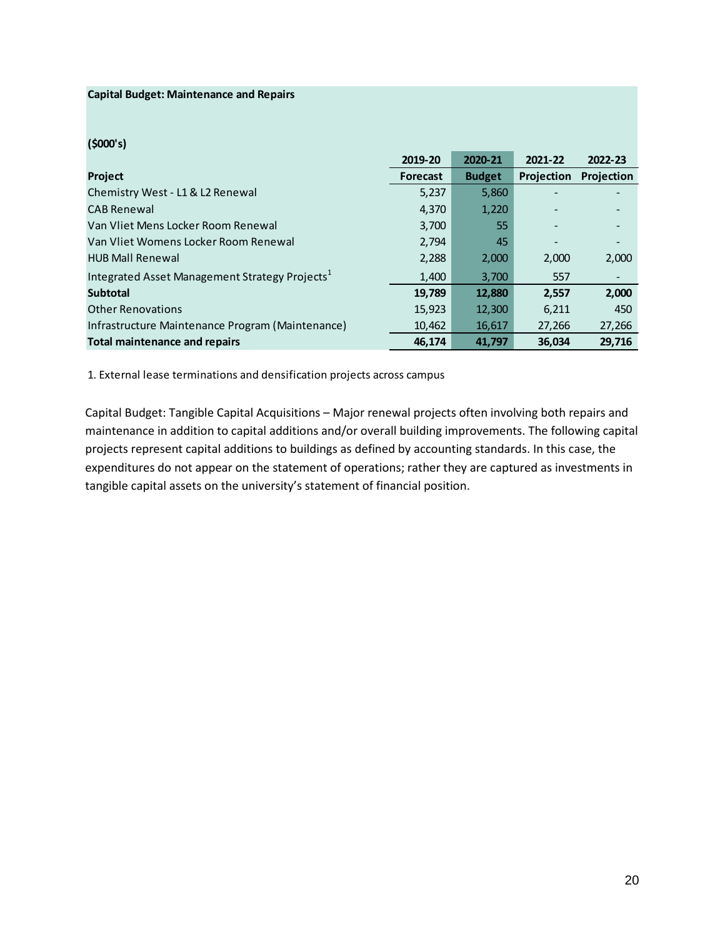#### **Capital Budget: Maintenance and Repairs**

## **(\$000's)**

|                                                            | 2019-20         | 2020-21       | 2021-22           | 2022-23    |
|------------------------------------------------------------|-----------------|---------------|-------------------|------------|
| <b>Project</b>                                             | <b>Forecast</b> | <b>Budget</b> | <b>Projection</b> | Projection |
| Chemistry West - L1 & L2 Renewal                           | 5,237           | 5,860         |                   |            |
| <b>CAB Renewal</b>                                         | 4,370           | 1,220         |                   |            |
| Van Vliet Mens Locker Room Renewal                         | 3,700           | 55            |                   |            |
| Van Vliet Womens Locker Room Renewal                       | 2.794           | 45            |                   |            |
| <b>HUB Mall Renewal</b>                                    | 2,288           | 2,000         | 2,000             | 2,000      |
| Integrated Asset Management Strategy Projects <sup>1</sup> | 1,400           | 3,700         | 557               | -          |
| <b>Subtotal</b>                                            | 19,789          | 12,880        | 2,557             | 2,000      |
| <b>Other Renovations</b>                                   | 15,923          | 12,300        | 6,211             | 450        |
| Infrastructure Maintenance Program (Maintenance)           | 10,462          | 16,617        | 27,266            | 27,266     |
| Total maintenance and repairs                              | 46.174          | 41.797        | 36.034            | 29.716     |

1. External lease terminations and densification projects across campus

Capital Budget: Tangible Capital Acquisitions – Major renewal projects often involving both repairs and maintenance in addition to capital additions and/or overall building improvements. The following capital projects represent capital additions to buildings as defined by accounting standards. In this case, the expenditures do not appear on the statement of operations; rather they are captured as investments in tangible capital assets on the university's statement of financial position.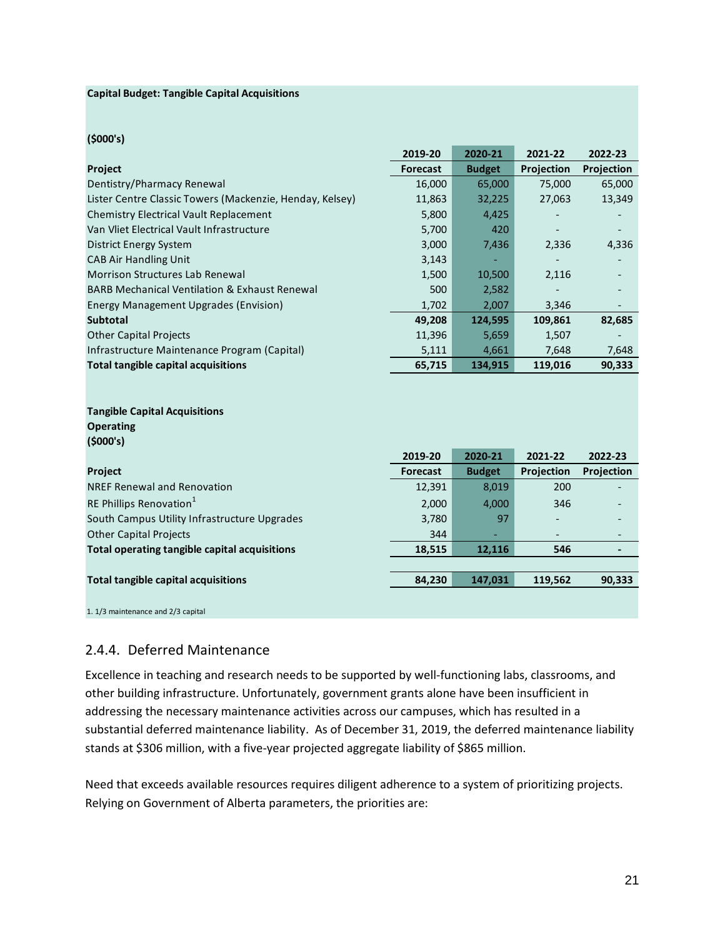#### **Capital Budget: Tangible Capital Acquisitions**

## **(\$000's)**

|                                                          | 2019-20         | 2020-21       | 2021-22    | 2022-23    |
|----------------------------------------------------------|-----------------|---------------|------------|------------|
| Project                                                  | <b>Forecast</b> | <b>Budget</b> | Projection | Projection |
| Dentistry/Pharmacy Renewal                               | 16,000          | 65,000        | 75,000     | 65,000     |
| Lister Centre Classic Towers (Mackenzie, Henday, Kelsey) | 11,863          | 32,225        | 27,063     | 13,349     |
| <b>Chemistry Electrical Vault Replacement</b>            | 5,800           | 4,425         |            |            |
| Van Vliet Electrical Vault Infrastructure                | 5,700           | 420           |            |            |
| <b>District Energy System</b>                            | 3,000           | 7,436         | 2,336      | 4,336      |
| <b>CAB Air Handling Unit</b>                             | 3,143           |               |            |            |
| <b>Morrison Structures Lab Renewal</b>                   | 1,500           | 10,500        | 2,116      |            |
| <b>BARB Mechanical Ventilation &amp; Exhaust Renewal</b> | 500             | 2,582         |            |            |
| <b>Energy Management Upgrades (Envision)</b>             | 1,702           | 2,007         | 3,346      |            |
| <b>Subtotal</b>                                          | 49,208          | 124,595       | 109,861    | 82,685     |
| <b>Other Capital Projects</b>                            | 11,396          | 5,659         | 1,507      |            |
| Infrastructure Maintenance Program (Capital)             | 5,111           | 4,661         | 7,648      | 7,648      |
| <b>Total tangible capital acquisitions</b>               | 65,715          | 134,915       | 119,016    | 90,333     |
|                                                          |                 |               |            |            |
| <b>Tangible Capital Acquisitions</b>                     |                 |               |            |            |
| <b>Operating</b>                                         |                 |               |            |            |
| (5000's)                                                 |                 |               |            |            |
|                                                          | 2019-20         | 2020-21       | 2021-22    | 2022-23    |
| Project                                                  | <b>Forecast</b> | <b>Budget</b> | Projection | Projection |
| <b>NREF Renewal and Renovation</b>                       | 12,391          | 8,019         | 200        |            |
| RE Phillips Renovation <sup>1</sup>                      | 2,000           | 4,000         | 346        |            |
| South Campus Utility Infrastructure Upgrades             | 3,780           | 97            |            |            |
| <b>Other Capital Projects</b>                            | 344             |               |            |            |
| Total operating tangible capital acquisitions            | 18,515          | 12,116        | 546        |            |
|                                                          |                 |               |            |            |
| <b>Total tangible capital acquisitions</b>               | 84,230          | 147,031       | 119,562    | 90,333     |
|                                                          |                 |               |            |            |
| 1. 1/3 maintenance and 2/3 capital                       |                 |               |            |            |

## <span id="page-53-0"></span>2.4.4. Deferred Maintenance

Excellence in teaching and research needs to be supported by well-functioning labs, classrooms, and other building infrastructure. Unfortunately, government grants alone have been insufficient in addressing the necessary maintenance activities across our campuses, which has resulted in a substantial deferred maintenance liability. As of December 31, 2019, the deferred maintenance liability stands at \$306 million, with a five-year projected aggregate liability of \$865 million.

Need that exceeds available resources requires diligent adherence to a system of prioritizing projects. Relying on Government of Alberta parameters, the priorities are: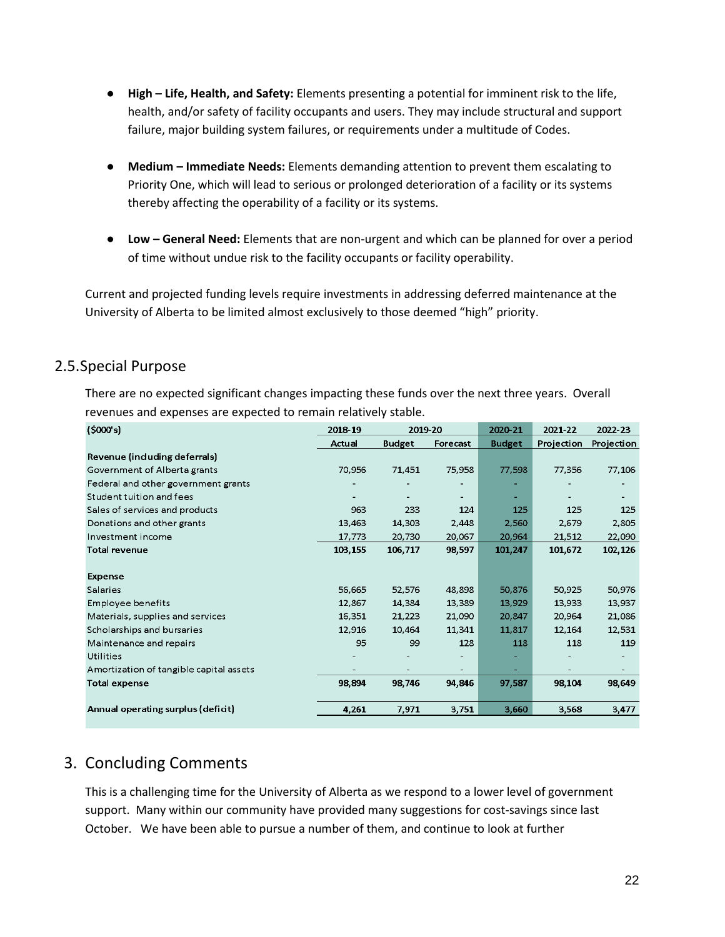- **High – Life, Health, and Safety:** Elements presenting a potential for imminent risk to the life, health, and/or safety of facility occupants and users. They may include structural and support failure, major building system failures, or requirements under a multitude of Codes.
- **Medium – Immediate Needs:** Elements demanding attention to prevent them escalating to Priority One, which will lead to serious or prolonged deterioration of a facility or its systems thereby affecting the operability of a facility or its systems.
- **Low – General Need:** Elements that are non-urgent and which can be planned for over a period of time without undue risk to the facility occupants or facility operability.

Current and projected funding levels require investments in addressing deferred maintenance at the University of Alberta to be limited almost exclusively to those deemed "high" priority.

# <span id="page-54-0"></span>2.5.Special Purpose

There are no expected significant changes impacting these funds over the next three years. Overall revenues and expenses are expected to remain relatively stable.

| (5000's)                                | 2018-19 | 2019-20        |                | 2020-21       | 2021-22    | 2022-23    |
|-----------------------------------------|---------|----------------|----------------|---------------|------------|------------|
|                                         | Actual  | Budget         | Forecast       | <b>Budget</b> | Projection | Projection |
| Revenue (induding deferrals)            |         |                |                |               |            |            |
| Government of Alberta grants            | 70,956  | 71,451         | 75,958         | 77,598        | 77,356     | 77,106     |
| Federal and other government grants     |         |                |                |               |            |            |
| Student tuition and fees                | ۰       | $\blacksquare$ | $\blacksquare$ | ٠             |            |            |
| Sales of services and products          | 963     | 233            | 124            | 125           | 125        | 125        |
| Donations and other grants              | 13,463  | 14,303         | 2,448          | 2,560         | 2,679      | 2,805      |
| Investment income                       | 17,773  | 20,730         | 20,067         | 20,964        | 21,512     | 22,090     |
| <b>Total revenue</b>                    | 103,155 | 106,717        | 98,597         | 101,247       | 101,672    | 102,126    |
|                                         |         |                |                |               |            |            |
| Expense                                 |         |                |                |               |            |            |
| <b>Salaries</b>                         | 56,665  | 52,576         | 48,898         | 50,876        | 50,925     | 50,976     |
| Employee benefits                       | 12,867  | 14,384         | 13,389         | 13.929        | 13,933     | 13,937     |
| Materials, supplies and services        | 16,351  | 21,223         | 21,090         | 20,847        | 20,964     | 21,086     |
| Scholarships and bursaries              | 12,916  | 10,464         | 11,341         | 11,817        | 12,164     | 12,531     |
| Maintenance and repairs                 | 95      | 99             | 128            | 118           | 118        | 119        |
| Utilities                               |         |                |                |               |            | -          |
| Amortization of tangible capital assets |         |                |                |               |            |            |
| <b>Total expense</b>                    | 98,894  | 98,746         | 94,846         | 97,587        | 98,104     | 98,649     |
|                                         |         |                |                |               |            |            |
| Annual operating surplus (deficit)      | 4,261   | 7,971          | 3,751          | 3,660         | 3,568      | 3,477      |

# <span id="page-54-1"></span>3. Concluding Comments

This is a challenging time for the University of Alberta as we respond to a lower level of government support. Many within our community have provided many suggestions for cost-savings since last October. We have been able to pursue a number of them, and continue to look at further